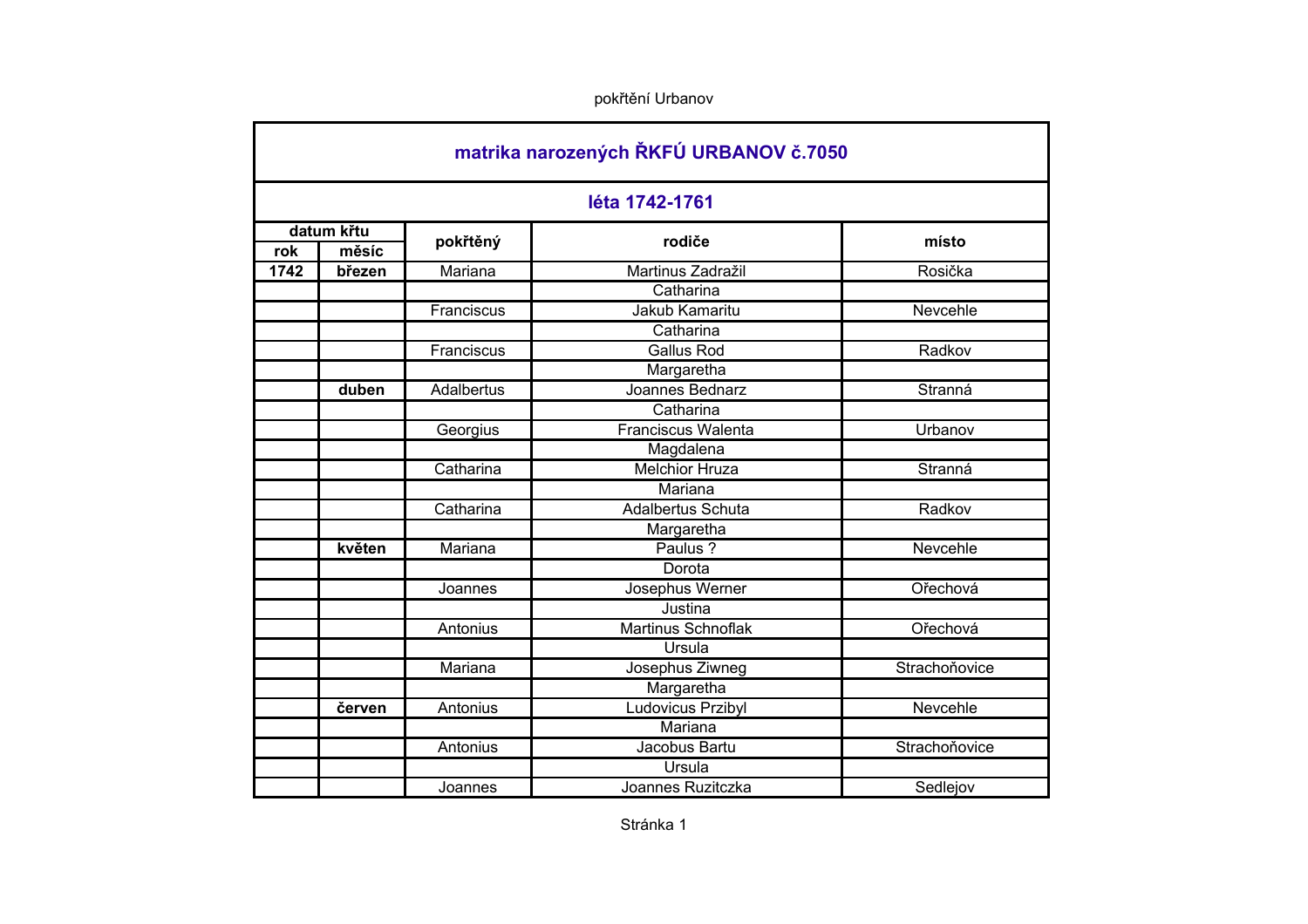|      |            |                   | léta 1742-1761            |               |
|------|------------|-------------------|---------------------------|---------------|
|      | datum křtu | pokřtěný          | rodiče                    | místo         |
| rok  | měsíc      |                   |                           |               |
| 1742 | březen     | Mariana           | Martinus Zadražil         | Rosička       |
|      |            |                   | Catharina                 |               |
|      |            | Franciscus        | Jakub Kamaritu            | Nevcehle      |
|      |            |                   | Catharina                 |               |
|      |            | Franciscus        | <b>Gallus Rod</b>         | Radkov        |
|      |            |                   | Margaretha                |               |
|      | duben      | <b>Adalbertus</b> | Joannes Bednarz           | Stranná       |
|      |            |                   | Catharina                 |               |
|      |            | Georgius          | <b>Franciscus Walenta</b> | Urbanov       |
|      |            |                   | Magdalena                 |               |
|      |            | Catharina         | <b>Melchior Hruza</b>     | Stranná       |
|      |            |                   | Mariana                   |               |
|      |            | Catharina         | <b>Adalbertus Schuta</b>  | Radkov        |
|      |            |                   | Margaretha                |               |
|      | květen     | Mariana           | Paulus ?                  | Nevcehle      |
|      |            |                   | Dorota                    |               |
|      |            | Joannes           | Josephus Werner           | Ořechová      |
|      |            |                   | Justina                   |               |
|      |            | Antonius          | <b>Martinus Schnoflak</b> | Ořechová      |
|      |            |                   | Ursula                    |               |
|      |            | Mariana           | Josephus Ziwneg           | Strachoňovice |
|      |            |                   | Margaretha                |               |
|      | červen     | Antonius          | Ludovicus Przibyl         | Nevcehle      |
|      |            |                   | Mariana                   |               |
|      |            | Antonius          | Jacobus Bartu             | Strachoňovice |
|      |            |                   | Ursula                    |               |
|      |            | Joannes           | Joannes Ruzitczka         | Sedlejov      |
|      |            |                   |                           |               |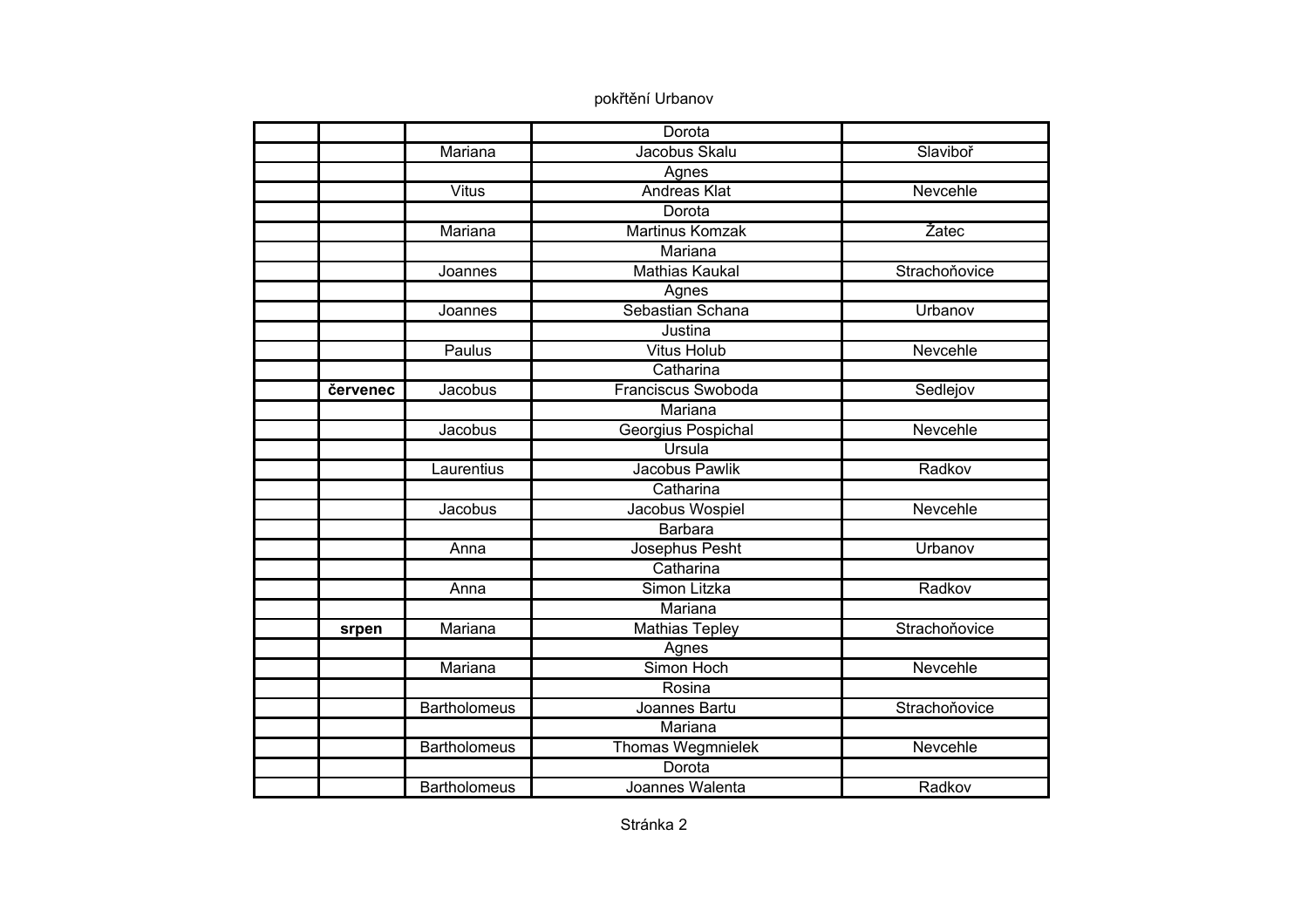|          |                     | Dorota                    |               |
|----------|---------------------|---------------------------|---------------|
|          | Mariana             | Jacobus Skalu             | Slaviboř      |
|          |                     | Agnes                     |               |
|          | <b>Vitus</b>        | <b>Andreas Klat</b>       | Nevcehle      |
|          |                     | Dorota                    |               |
|          | Mariana             | <b>Martinus Komzak</b>    | Žatec         |
|          |                     | Mariana                   |               |
|          | Joannes             | <b>Mathias Kaukal</b>     | Strachoňovice |
|          |                     | Agnes                     |               |
|          | Joannes             | Sebastian Schana          | Urbanov       |
|          |                     | Justina                   |               |
|          | Paulus              | <b>Vitus Holub</b>        | Nevcehle      |
|          |                     | Catharina                 |               |
| červenec | Jacobus             | <b>Franciscus Swoboda</b> | Sedlejov      |
|          |                     | Mariana                   |               |
|          | Jacobus             | Georgius Pospichal        | Nevcehle      |
|          |                     | Ursula                    |               |
|          | Laurentius          | Jacobus Pawlik            | Radkov        |
|          |                     | Catharina                 |               |
|          | Jacobus             | Jacobus Wospiel           | Nevcehle      |
|          |                     | <b>Barbara</b>            |               |
|          | Anna                | Josephus Pesht            | Urbanov       |
|          |                     | Catharina                 |               |
|          | Anna                | Simon Litzka              | Radkov        |
|          |                     | Mariana                   |               |
| srpen    | Mariana             | <b>Mathias Tepley</b>     | Strachoňovice |
|          |                     | Agnes                     |               |
|          | Mariana             | Simon Hoch                | Nevcehle      |
|          |                     | Rosina                    |               |
|          | <b>Bartholomeus</b> | Joannes Bartu             | Strachoňovice |
|          |                     | Mariana                   |               |
|          | <b>Bartholomeus</b> | Thomas Wegmnielek         | Nevcehle      |
|          |                     | Dorota                    |               |
|          | <b>Bartholomeus</b> | Joannes Walenta           | Radkov        |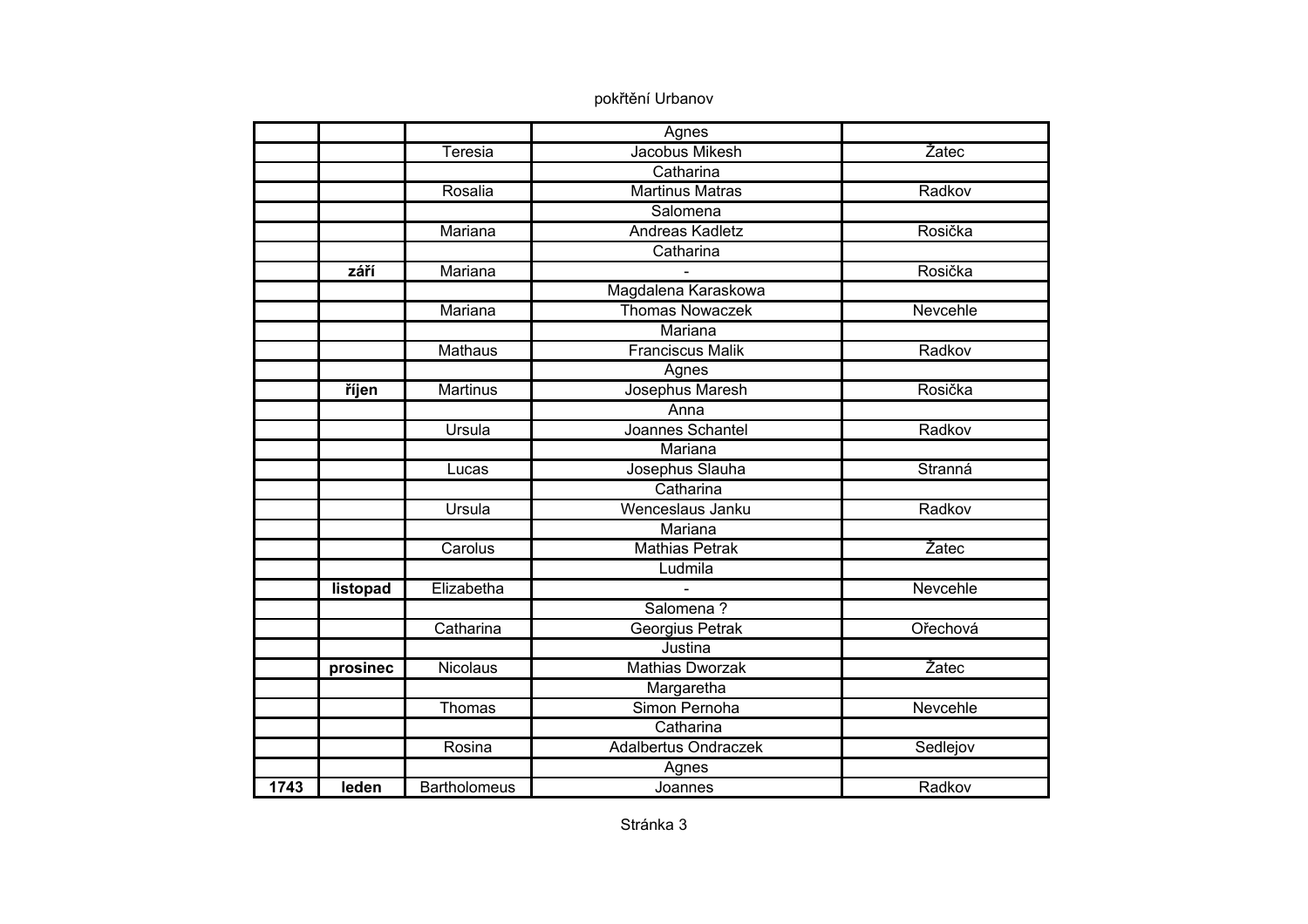|      |          |                     | Agnes                       |          |
|------|----------|---------------------|-----------------------------|----------|
|      |          | Teresia             | Jacobus Mikesh              | Žatec    |
|      |          |                     | Catharina                   |          |
|      |          | Rosalia             | <b>Martinus Matras</b>      | Radkov   |
|      |          |                     | Salomena                    |          |
|      |          | Mariana             | <b>Andreas Kadletz</b>      | Rosička  |
|      |          |                     | Catharina                   |          |
|      | září     | Mariana             |                             | Rosička  |
|      |          |                     | Magdalena Karaskowa         |          |
|      |          | Mariana             | <b>Thomas Nowaczek</b>      | Nevcehle |
|      |          |                     | Mariana                     |          |
|      |          | <b>Mathaus</b>      | <b>Franciscus Malik</b>     | Radkov   |
|      |          |                     | Agnes                       |          |
|      | říjen    | <b>Martinus</b>     | Josephus Maresh             | Rosička  |
|      |          |                     | Anna                        |          |
|      |          | <b>Ursula</b>       | Joannes Schantel            | Radkov   |
|      |          |                     | Mariana                     |          |
|      |          | Lucas               | Josephus Slauha             | Stranná  |
|      |          |                     | Catharina                   |          |
|      |          | Ursula              | Wenceslaus Janku            | Radkov   |
|      |          |                     | Mariana                     |          |
|      |          | Carolus             | <b>Mathias Petrak</b>       | Žatec    |
|      |          |                     | Ludmila                     |          |
|      | listopad | Elizabetha          | $\overline{a}$              | Nevcehle |
|      |          |                     | Salomena?                   |          |
|      |          | Catharina           | Georgius Petrak             | Ořechová |
|      |          |                     | Justina                     |          |
|      | prosinec | <b>Nicolaus</b>     | <b>Mathias Dworzak</b>      | Žatec    |
|      |          |                     | Margaretha                  |          |
|      |          | Thomas              | Simon Pernoha               | Nevcehle |
|      |          |                     | Catharina                   |          |
|      |          | Rosina              | <b>Adalbertus Ondraczek</b> | Sedlejov |
|      |          |                     | Agnes                       |          |
| 1743 | leden    | <b>Bartholomeus</b> | Joannes                     | Radkov   |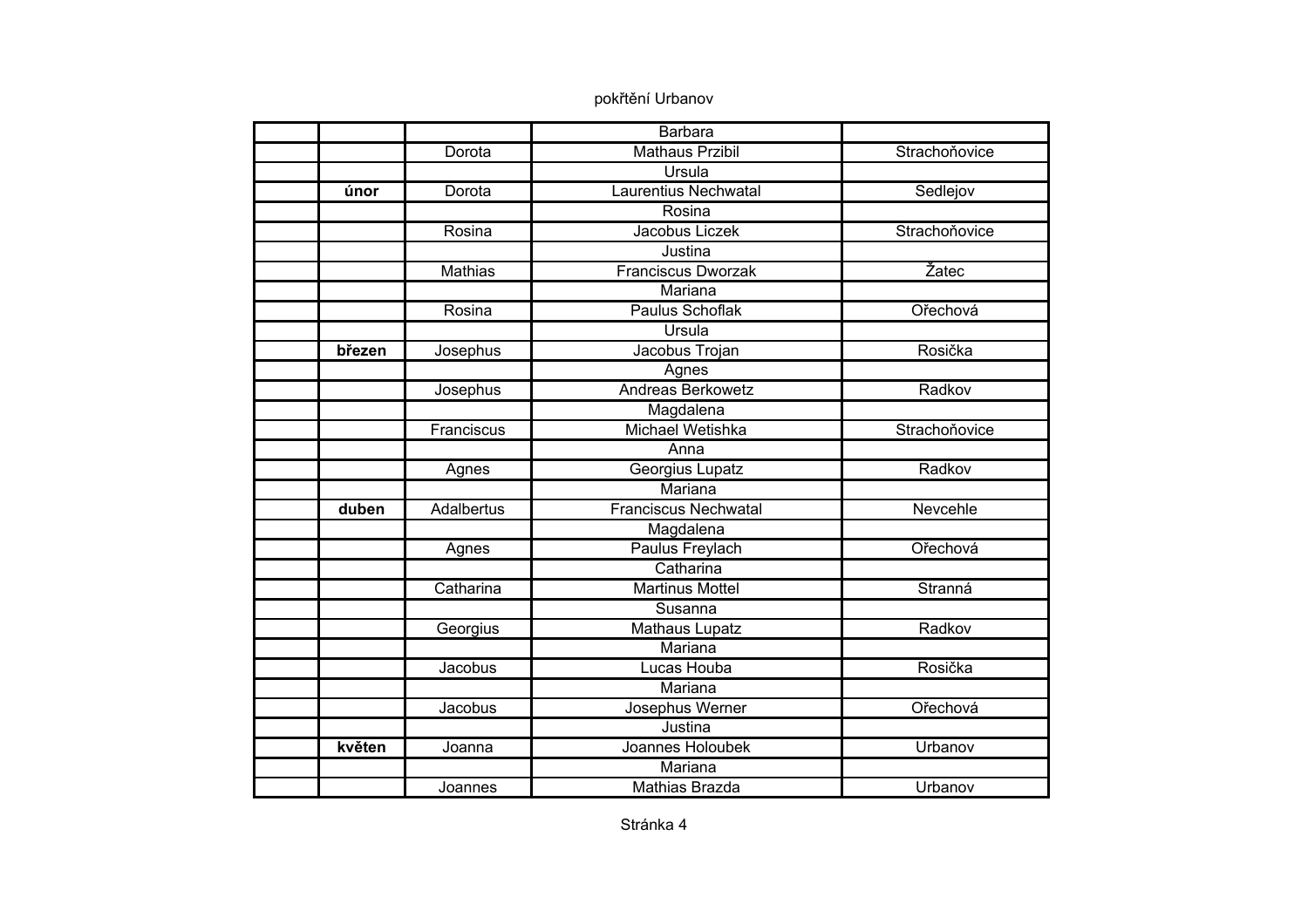|        |            | Barbara                     |               |
|--------|------------|-----------------------------|---------------|
|        | Dorota     | <b>Mathaus Przibil</b>      | Strachoňovice |
|        |            | Ursula                      |               |
| únor   | Dorota     | <b>Laurentius Nechwatal</b> | Sedlejov      |
|        |            | Rosina                      |               |
|        | Rosina     | Jacobus Liczek              | Strachoňovice |
|        |            | Justina                     |               |
|        | Mathias    | <b>Franciscus Dworzak</b>   | Žatec         |
|        |            | Mariana                     |               |
|        | Rosina     | Paulus Schoflak             | Ořechová      |
|        |            | Ursula                      |               |
| březen | Josephus   | Jacobus Trojan              | Rosička       |
|        |            | Agnes                       |               |
|        | Josephus   | <b>Andreas Berkowetz</b>    | Radkov        |
|        |            | Magdalena                   |               |
|        | Franciscus | Michael Wetishka            | Strachoňovice |
|        |            | Anna                        |               |
|        | Agnes      | Georgius Lupatz             | Radkov        |
|        |            | Mariana                     |               |
| duben  | Adalbertus | <b>Franciscus Nechwatal</b> | Nevcehle      |
|        |            | Magdalena                   |               |
|        | Agnes      | Paulus Freylach             | Ořechová      |
|        |            | Catharina                   |               |
|        | Catharina  | <b>Martinus Mottel</b>      | Stranná       |
|        |            | Susanna                     |               |
|        | Georgius   | <b>Mathaus Lupatz</b>       | Radkov        |
|        |            | Mariana                     |               |
|        | Jacobus    | Lucas Houba                 | Rosička       |
|        |            | Mariana                     |               |
|        | Jacobus    | Josephus Werner             | Ořechová      |
|        |            | Justina                     |               |
| květen | Joanna     | Joannes Holoubek            | Urbanov       |
|        |            | Mariana                     |               |
|        | Joannes    | Mathias Brazda              | Urbanov       |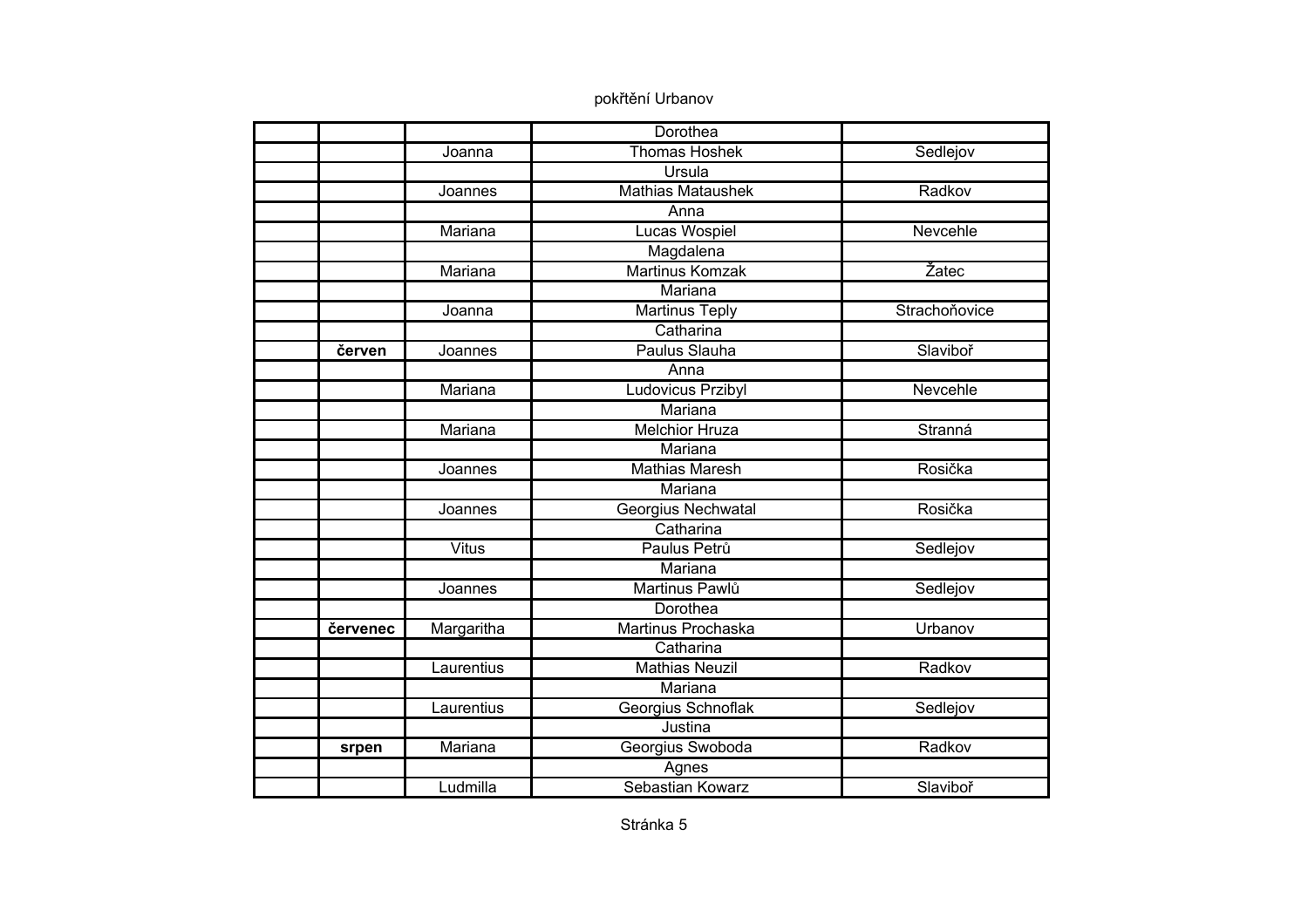|          |              | Dorothea                 |               |
|----------|--------------|--------------------------|---------------|
|          | Joanna       | <b>Thomas Hoshek</b>     | Sedlejov      |
|          |              | Ursula                   |               |
|          | Joannes      | <b>Mathias Mataushek</b> | Radkov        |
|          |              | Anna                     |               |
|          | Mariana      | <b>Lucas Wospiel</b>     | Nevcehle      |
|          |              | Magdalena                |               |
|          | Mariana      | Martinus Komzak          | Žatec         |
|          |              | Mariana                  |               |
|          | Joanna       | <b>Martinus Teply</b>    | Strachoňovice |
|          |              | Catharina                |               |
| červen   | Joannes      | Paulus Slauha            | Slaviboř      |
|          |              | Anna                     |               |
|          | Mariana      | Ludovicus Przibyl        | Nevcehle      |
|          |              | Mariana                  |               |
|          | Mariana      | <b>Melchior Hruza</b>    | Stranná       |
|          |              | <b>Mariana</b>           |               |
|          | Joannes      | <b>Mathias Maresh</b>    | Rosička       |
|          |              | Mariana                  |               |
|          | Joannes      | Georgius Nechwatal       | Rosička       |
|          |              | Catharina                |               |
|          | <b>Vitus</b> | Paulus Petrů             | Sedlejov      |
|          |              | Mariana                  |               |
|          | Joannes      | Martinus Pawlů           | Sedlejov      |
|          |              | Dorothea                 |               |
| červenec | Margaritha   | Martinus Prochaska       | Urbanov       |
|          |              | Catharina                |               |
|          | Laurentius   | <b>Mathias Neuzil</b>    | Radkov        |
|          |              | Mariana                  |               |
|          | Laurentius   | Georgius Schnoflak       | Sedlejov      |
|          |              | Justina                  |               |
| srpen    | Mariana      | Georgius Swoboda         | Radkov        |
|          |              | Agnes                    |               |
|          | Ludmilla     | Sebastian Kowarz         | Slaviboř      |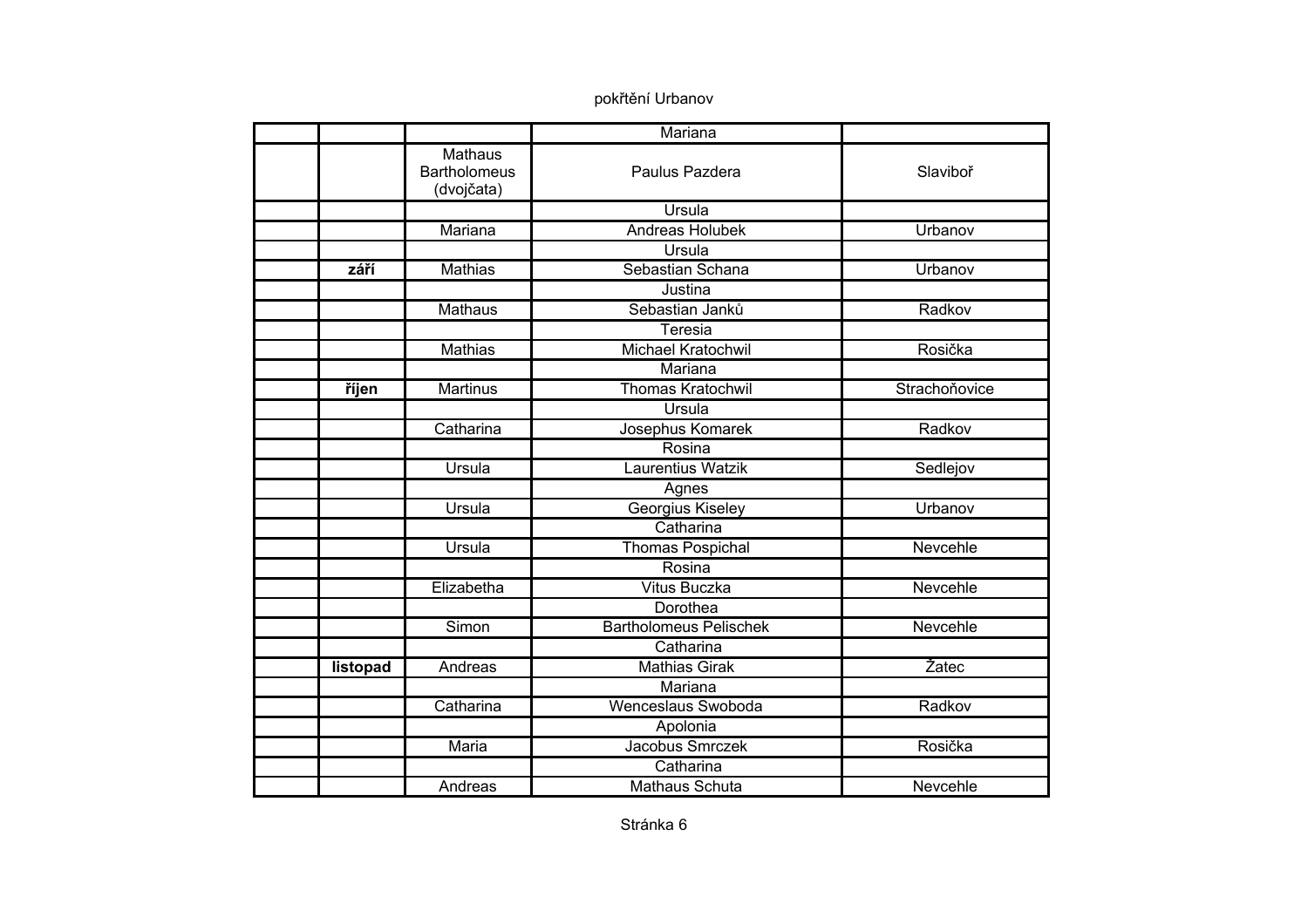|          |                                                     | Mariana                       |               |
|----------|-----------------------------------------------------|-------------------------------|---------------|
|          | <b>Mathaus</b><br><b>Bartholomeus</b><br>(dvojčata) | Paulus Pazdera                | Slaviboř      |
|          |                                                     | Ursula                        |               |
|          | Mariana                                             | Andreas Holubek               | Urbanov       |
|          |                                                     | Ursula                        |               |
| září     | <b>Mathias</b>                                      | Sebastian Schana              | Urbanov       |
|          |                                                     | Justina                       |               |
|          | <b>Mathaus</b>                                      | Sebastian Janků               | Radkov        |
|          |                                                     | Teresia                       |               |
|          | <b>Mathias</b>                                      | <b>Michael Kratochwil</b>     | Rosička       |
|          |                                                     | Mariana                       |               |
| říjen    | <b>Martinus</b>                                     | <b>Thomas Kratochwil</b>      | Strachoňovice |
|          |                                                     | Ursula                        |               |
|          | Catharina                                           | Josephus Komarek              | Radkov        |
|          |                                                     | Rosina                        |               |
|          | Ursula                                              | Laurentius Watzik             | Sedlejov      |
|          |                                                     | Agnes                         |               |
|          | Ursula                                              | Georgius Kiseley              | Urbanov       |
|          |                                                     | Catharina                     |               |
|          | <b>Ursula</b>                                       | Thomas Pospichal              | Nevcehle      |
|          |                                                     | Rosina                        |               |
|          | Elizabetha                                          | <b>Vitus Buczka</b>           | Nevcehle      |
|          |                                                     | Dorothea                      |               |
|          | Simon                                               | <b>Bartholomeus Pelischek</b> | Nevcehle      |
|          |                                                     | Catharina                     |               |
| listopad | Andreas                                             | <b>Mathias Girak</b>          | Žatec         |
|          |                                                     | Mariana                       |               |
|          | Catharina                                           | Wenceslaus Swoboda            | Radkov        |
|          |                                                     | Apolonia                      |               |
|          | <b>Maria</b>                                        | Jacobus Smrczek               | Rosička       |
|          |                                                     | Catharina                     |               |
|          | Andreas                                             | <b>Mathaus Schuta</b>         | Nevcehle      |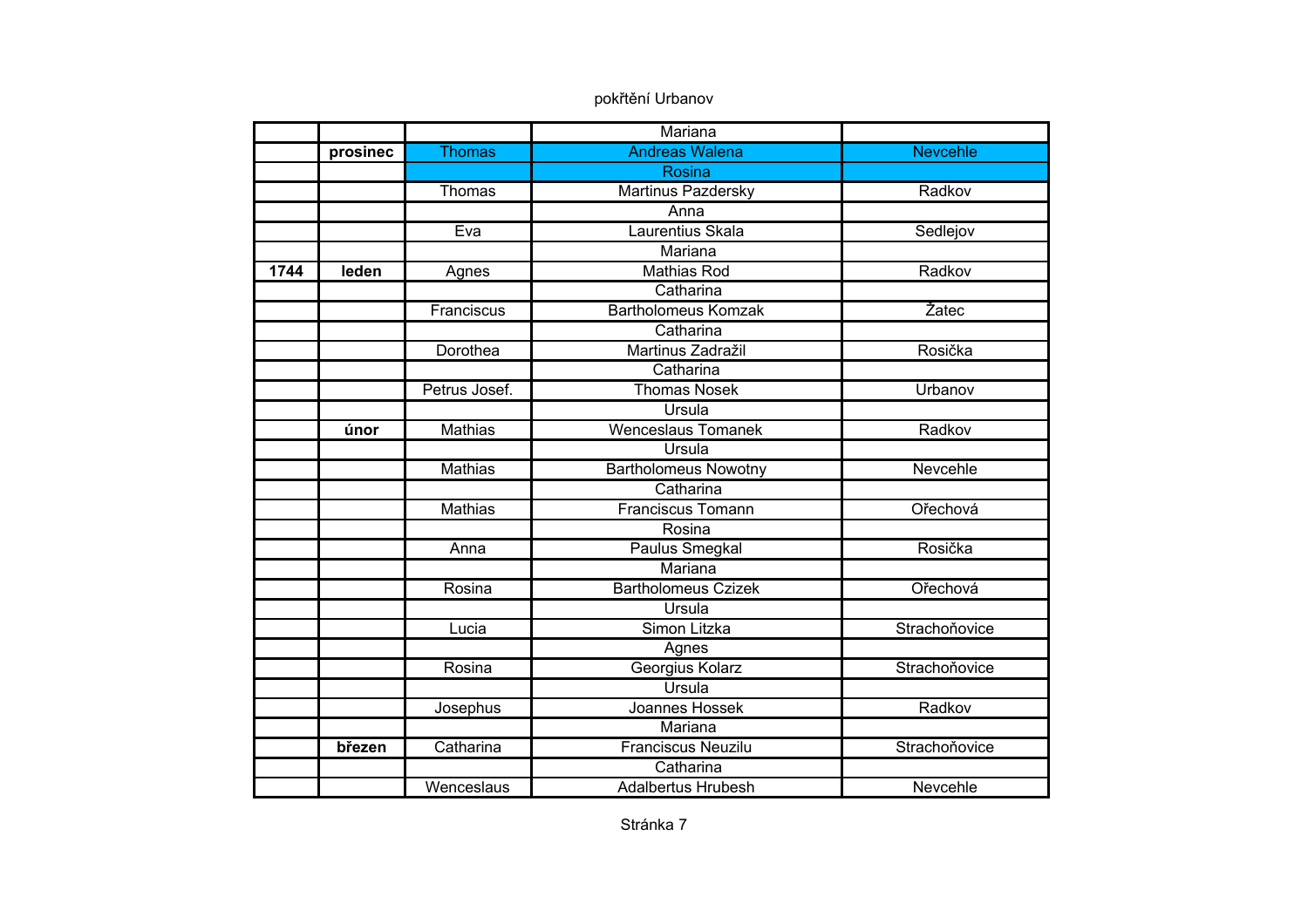|      |          |                | Mariana                     |                 |
|------|----------|----------------|-----------------------------|-----------------|
|      | prosinec | <b>Thomas</b>  | <b>Andreas Walena</b>       | <b>Nevcehle</b> |
|      |          |                | Rosina                      |                 |
|      |          | Thomas         | <b>Martinus Pazdersky</b>   | Radkov          |
|      |          |                | Anna                        |                 |
|      |          | Eva            | Laurentius Skala            | Sedlejov        |
|      |          |                | Mariana                     |                 |
| 1744 | leden    | Agnes          | <b>Mathias Rod</b>          | Radkov          |
|      |          |                | Catharina                   |                 |
|      |          | Franciscus     | <b>Bartholomeus Komzak</b>  | Žatec           |
|      |          |                | Catharina                   |                 |
|      |          | Dorothea       | Martinus Zadražil           | Rosička         |
|      |          |                | Catharina                   |                 |
|      |          | Petrus Josef.  | <b>Thomas Nosek</b>         | Urbanov         |
|      |          |                | <b>Ursula</b>               |                 |
|      | únor     | <b>Mathias</b> | <b>Wenceslaus Tomanek</b>   | Radkov          |
|      |          |                | Ursula                      |                 |
|      |          | <b>Mathias</b> | <b>Bartholomeus Nowotny</b> | Nevcehle        |
|      |          |                | Catharina                   |                 |
|      |          | <b>Mathias</b> | <b>Franciscus Tomann</b>    | Ořechová        |
|      |          |                | Rosina                      |                 |
|      |          | Anna           | Paulus Smegkal              | Rosička         |
|      |          |                | Mariana                     |                 |
|      |          | Rosina         | <b>Bartholomeus Czizek</b>  | Ořechová        |
|      |          |                | <b>Ursula</b>               |                 |
|      |          | Lucia          | Simon Litzka                | Strachoňovice   |
|      |          |                | Agnes                       |                 |
|      |          | Rosina         | Georgius Kolarz             | Strachoňovice   |
|      |          |                | Ursula                      |                 |
|      |          | Josephus       | Joannes Hossek              | Radkov          |
|      |          |                | Mariana                     |                 |
|      | březen   | Catharina      | <b>Franciscus Neuzilu</b>   | Strachoňovice   |
|      |          |                | Catharina                   |                 |
|      |          | Wenceslaus     | <b>Adalbertus Hrubesh</b>   | Nevcehle        |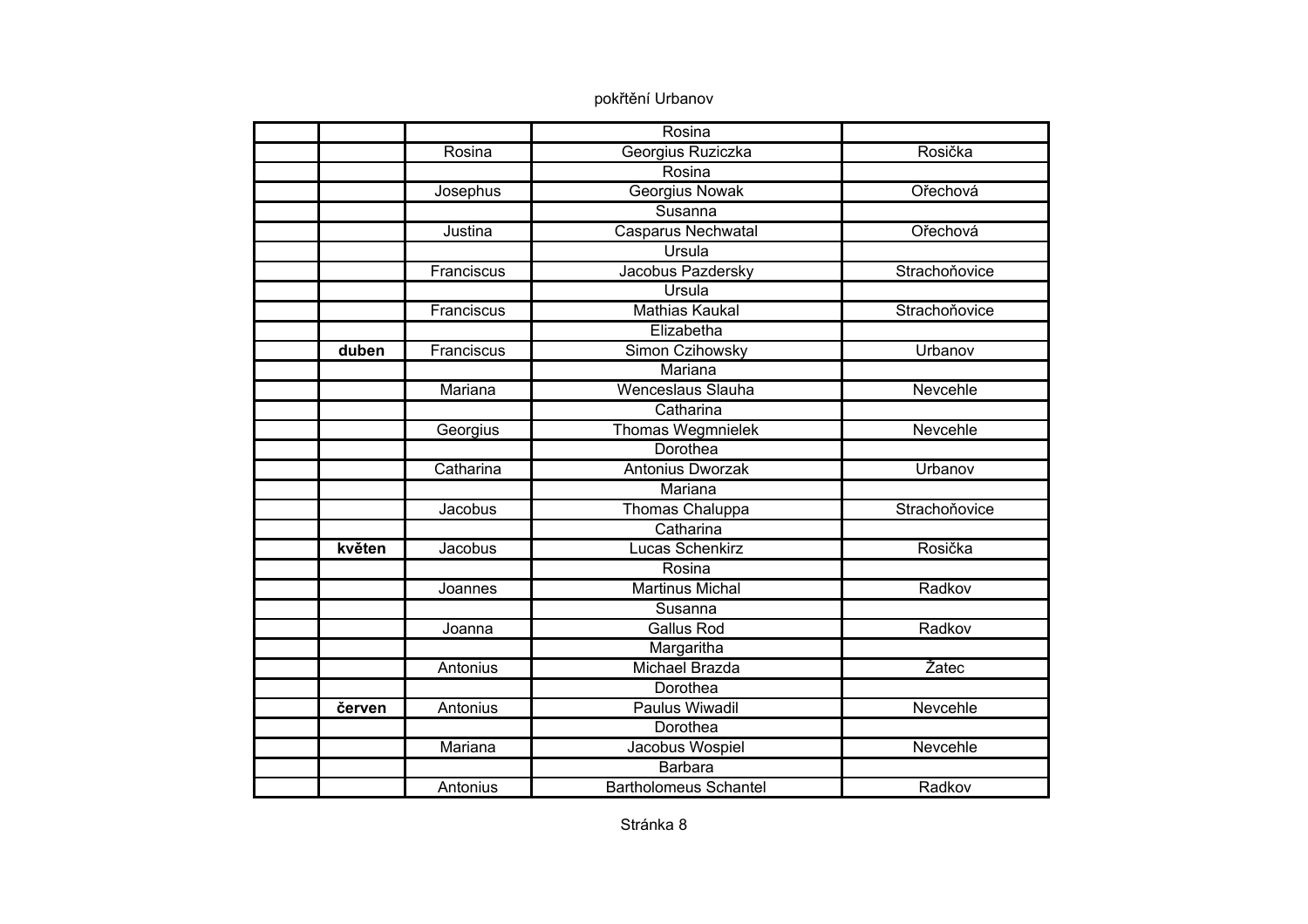|        |            | Rosina                       |               |
|--------|------------|------------------------------|---------------|
|        | Rosina     | Georgius Ruziczka            | Rosička       |
|        |            | Rosina                       |               |
|        | Josephus   | <b>Georgius Nowak</b>        | Ořechová      |
|        |            | Susanna                      |               |
|        | Justina    | <b>Casparus Nechwatal</b>    | Ořechová      |
|        |            | Ursula                       |               |
|        | Franciscus | Jacobus Pazdersky            | Strachoňovice |
|        |            | Ursula                       |               |
|        | Franciscus | <b>Mathias Kaukal</b>        | Strachoňovice |
|        |            | Elizabetha                   |               |
| duben  | Franciscus | Simon Czihowsky              | Urbanov       |
|        |            | Mariana                      |               |
|        | Mariana    | <b>Wenceslaus Slauha</b>     | Nevcehle      |
|        |            | Catharina                    |               |
|        | Georgius   | <b>Thomas Wegmnielek</b>     | Nevcehle      |
|        |            | Dorothea                     |               |
|        | Catharina  | Antonius Dworzak             | Urbanov       |
|        |            | Mariana                      |               |
|        | Jacobus    | <b>Thomas Chaluppa</b>       | Strachoňovice |
|        |            | Catharina                    |               |
| květen | Jacobus    | Lucas Schenkirz              | Rosička       |
|        |            | Rosina                       |               |
|        | Joannes    | <b>Martinus Michal</b>       | Radkov        |
|        |            | Susanna                      |               |
|        | Joanna     | <b>Gallus Rod</b>            | Radkov        |
|        |            | Margaritha                   |               |
|        | Antonius   | <b>Michael Brazda</b>        | Žatec         |
|        |            | Dorothea                     |               |
| červen | Antonius   | Paulus Wiwadil               | Nevcehle      |
|        |            | Dorothea                     |               |
|        | Mariana    | Jacobus Wospiel              | Nevcehle      |
|        |            | Barbara                      |               |
|        | Antonius   | <b>Bartholomeus Schantel</b> | Radkov        |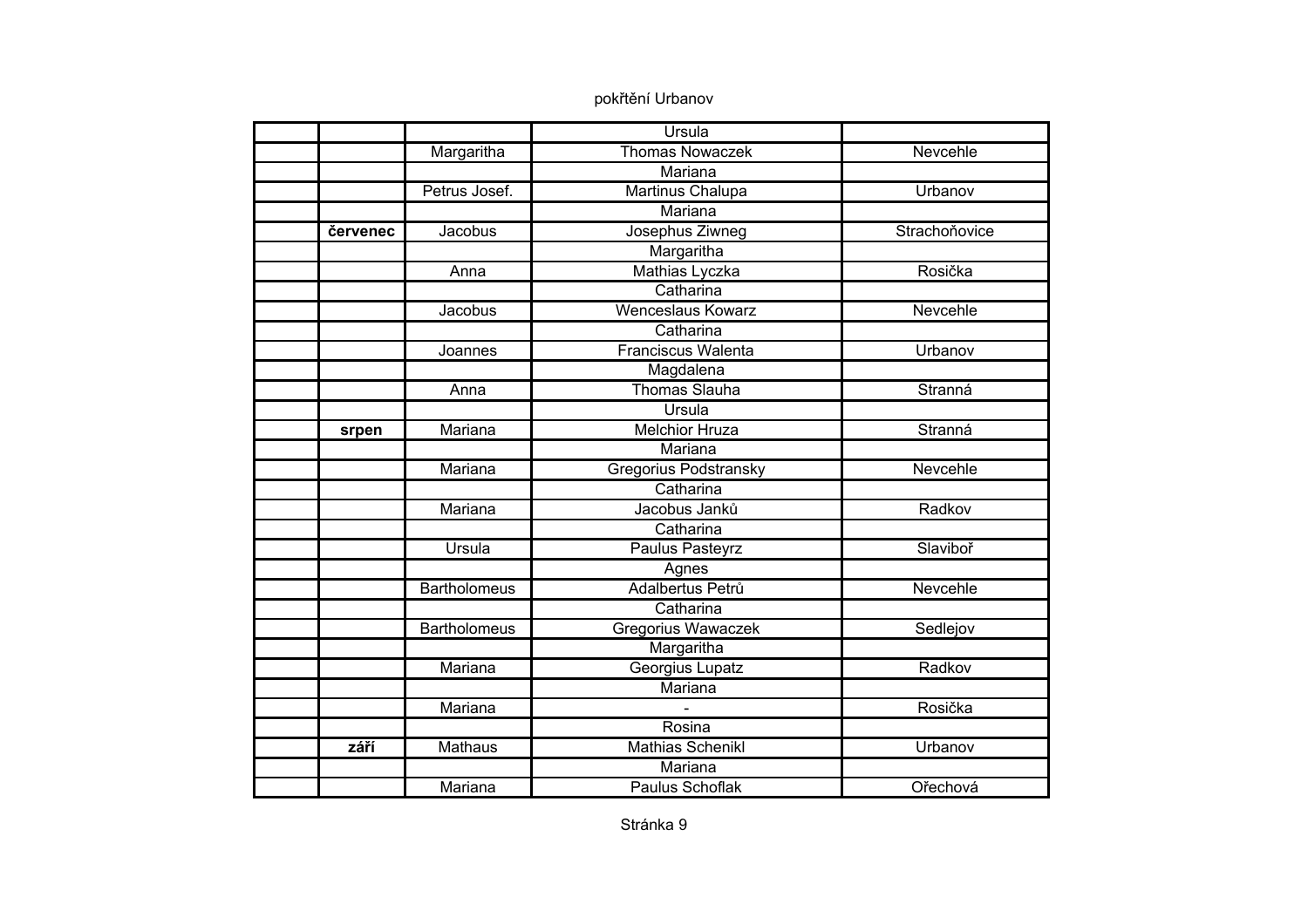|          |                     | Ursula                       |               |
|----------|---------------------|------------------------------|---------------|
|          | Margaritha          | <b>Thomas Nowaczek</b>       | Nevcehle      |
|          |                     | Mariana                      |               |
|          | Petrus Josef.       | Martinus Chalupa             | Urbanov       |
|          |                     | <b>Mariana</b>               |               |
| červenec | Jacobus             | Josephus Ziwneg              | Strachoňovice |
|          |                     | Margaritha                   |               |
|          | Anna                | Mathias Lyczka               | Rosička       |
|          |                     | Catharina                    |               |
|          | Jacobus             | <b>Wenceslaus Kowarz</b>     | Nevcehle      |
|          |                     | Catharina                    |               |
|          | Joannes             | <b>Franciscus Walenta</b>    | Urbanov       |
|          |                     | Magdalena                    |               |
|          | Anna                | <b>Thomas Slauha</b>         | Stranná       |
|          |                     | Ursula                       |               |
| srpen    | Mariana             | <b>Melchior Hruza</b>        | Stranná       |
|          |                     | Mariana                      |               |
|          | Mariana             | <b>Gregorius Podstransky</b> | Nevcehle      |
|          |                     | Catharina                    |               |
|          | Mariana             | Jacobus Janků                | Radkov        |
|          |                     | Catharina                    |               |
|          | Ursula              | Paulus Pasteyrz              | Slaviboř      |
|          |                     | Agnes                        |               |
|          | <b>Bartholomeus</b> | Adalbertus Petrů             | Nevcehle      |
|          |                     | Catharina                    |               |
|          | <b>Bartholomeus</b> | Gregorius Wawaczek           | Sedlejov      |
|          |                     | Margaritha                   |               |
|          | Mariana             | Georgius Lupatz              | Radkov        |
|          |                     | Mariana                      |               |
|          | Mariana             |                              | Rosička       |
|          |                     | Rosina                       |               |
| září     | <b>Mathaus</b>      | <b>Mathias Schenikl</b>      | Urbanov       |
|          |                     | Mariana                      |               |
|          | Mariana             | <b>Paulus Schoflak</b>       | Ořechová      |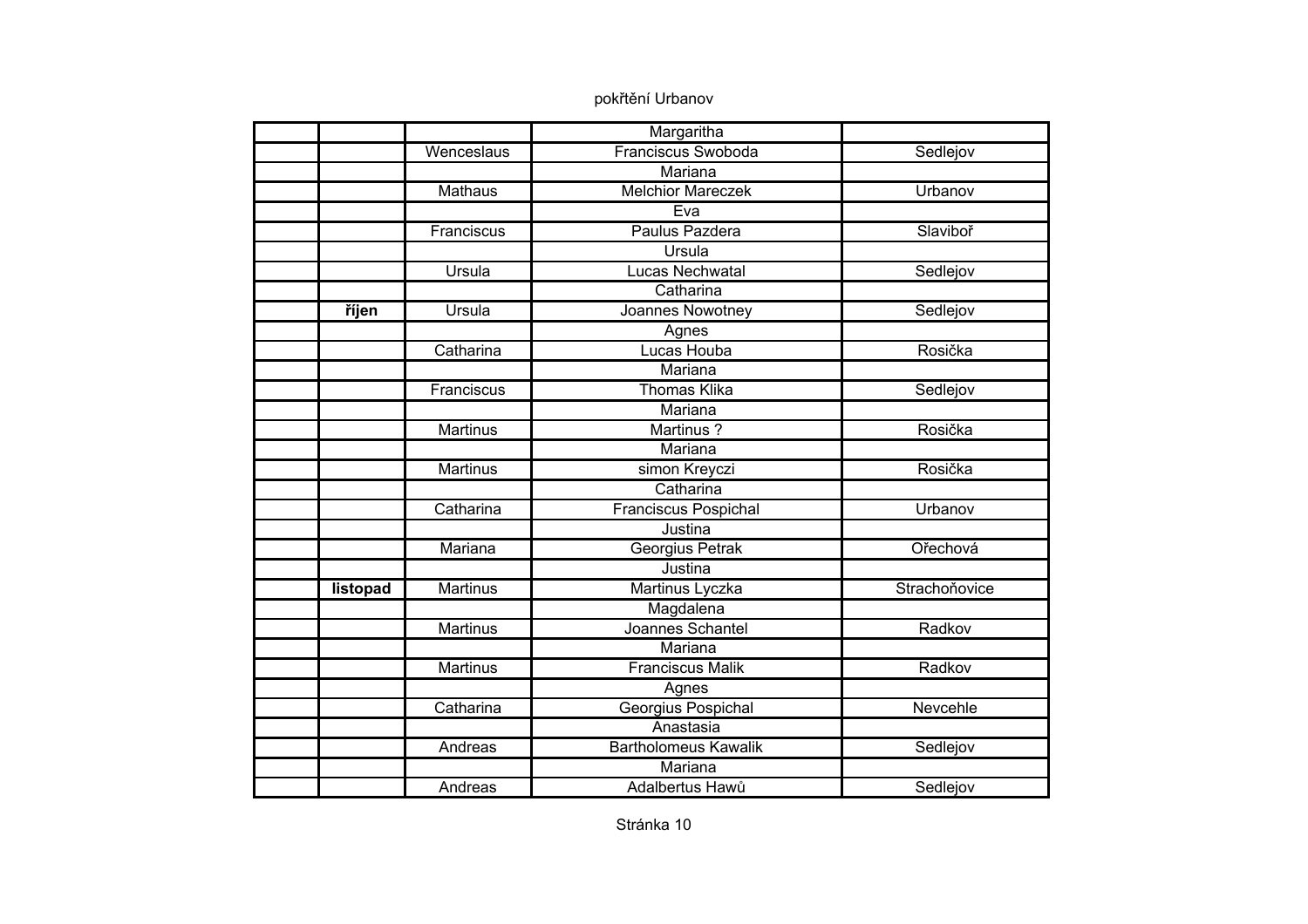|          |                 | Margaritha                  |               |
|----------|-----------------|-----------------------------|---------------|
|          | Wenceslaus      | Franciscus Swoboda          | Sedlejov      |
|          |                 | <b>Mariana</b>              |               |
|          | <b>Mathaus</b>  | <b>Melchior Mareczek</b>    | Urbanov       |
|          |                 | Eva                         |               |
|          | Franciscus      | Paulus Pazdera              | Slaviboř      |
|          |                 | Ursula                      |               |
|          | Ursula          | <b>Lucas Nechwatal</b>      | Sedlejov      |
|          |                 | Catharina                   |               |
| říjen    | Ursula          | Joannes Nowotney            | Sedlejov      |
|          |                 | Agnes                       |               |
|          | Catharina       | Lucas Houba                 | Rosička       |
|          |                 | <b>Mariana</b>              |               |
|          | Franciscus      | <b>Thomas Klika</b>         | Sedlejov      |
|          |                 | Mariana                     |               |
|          | <b>Martinus</b> | Martinus?                   | Rosička       |
|          |                 | Mariana                     |               |
|          | Martinus        | simon Kreyczi               | Rosička       |
|          |                 | Catharina                   |               |
|          | Catharina       | <b>Franciscus Pospichal</b> | Urbanov       |
|          |                 | Justina                     |               |
|          | Mariana         | Georgius Petrak             | Ořechová      |
|          |                 | Justina                     |               |
| listopad | <b>Martinus</b> | Martinus Lyczka             | Strachoňovice |
|          |                 | Magdalena                   |               |
|          | <b>Martinus</b> | Joannes Schantel            | Radkov        |
|          |                 | Mariana                     |               |
|          | Martinus        | <b>Franciscus Malik</b>     | Radkov        |
|          |                 | Agnes                       |               |
|          | Catharina       | Georgius Pospichal          | Nevcehle      |
|          |                 | Anastasia                   |               |
|          | Andreas         | <b>Bartholomeus Kawalik</b> | Sedlejov      |
|          |                 | Mariana                     |               |
|          | Andreas         | Adalbertus Hawů             | Sedlejov      |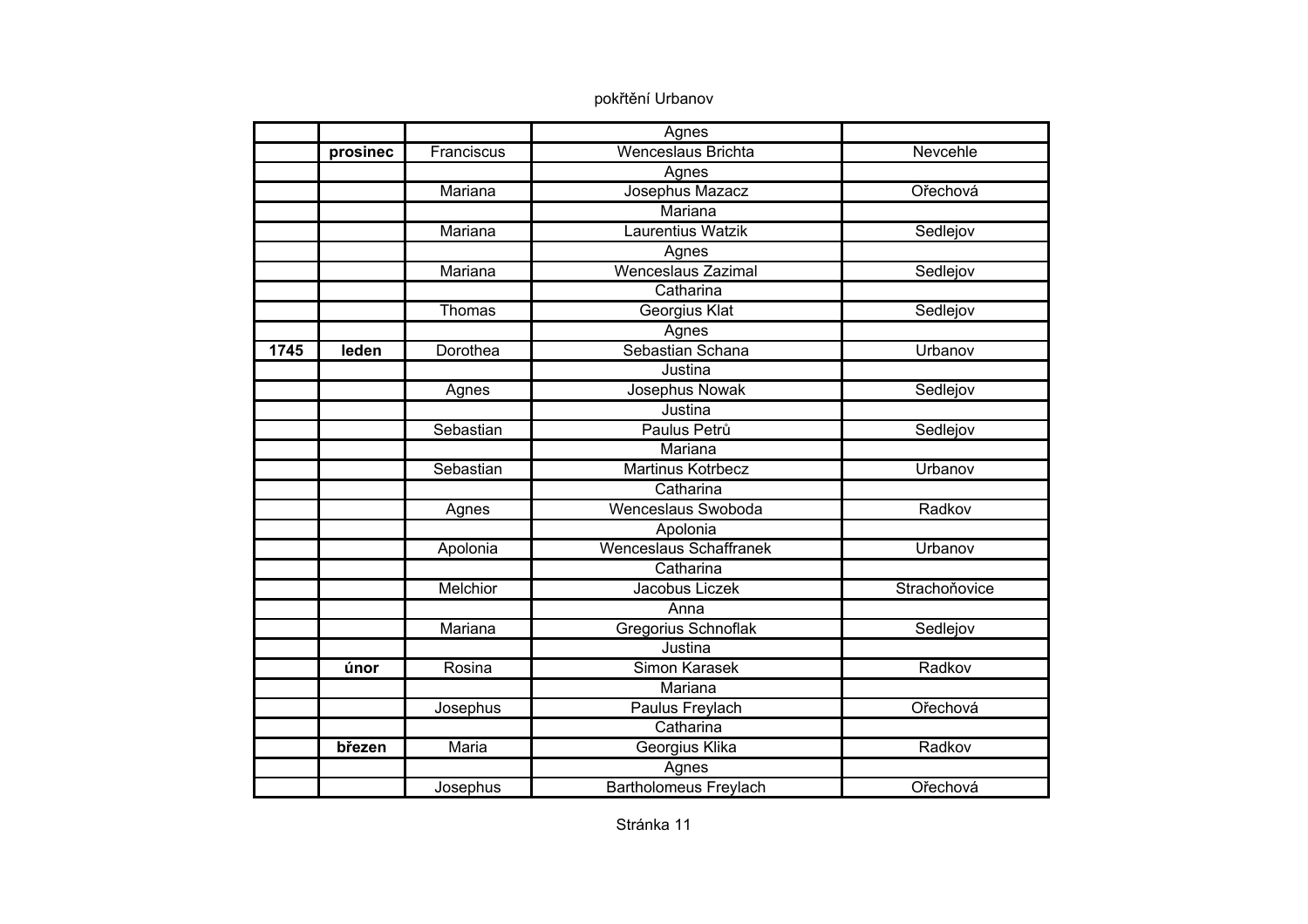|      |          |              | Agnes                         |               |
|------|----------|--------------|-------------------------------|---------------|
|      | prosinec | Franciscus   | <b>Wenceslaus Brichta</b>     | Nevcehle      |
|      |          |              | Agnes                         |               |
|      |          | Mariana      | Josephus Mazacz               | Ořechová      |
|      |          |              | Mariana                       |               |
|      |          | Mariana      | Laurentius Watzik             | Sedlejov      |
|      |          |              | Agnes                         |               |
|      |          | Mariana      | <b>Wenceslaus Zazimal</b>     | Sedlejov      |
|      |          |              | Catharina                     |               |
|      |          | Thomas       | Georgius Klat                 | Sedlejov      |
|      |          |              | Agnes                         |               |
| 1745 | leden    | Dorothea     | Sebastian Schana              | Urbanov       |
|      |          |              | Justina                       |               |
|      |          | Agnes        | Josephus Nowak                | Sedlejov      |
|      |          |              | Justina                       |               |
|      |          | Sebastian    | Paulus Petrů                  | Sedlejov      |
|      |          |              | <b>Mariana</b>                |               |
|      |          | Sebastian    | <b>Martinus Kotrbecz</b>      | Urbanov       |
|      |          |              | Catharina                     |               |
|      |          | Agnes        | Wenceslaus Swoboda            | Radkov        |
|      |          |              | Apolonia                      |               |
|      |          | Apolonia     | <b>Wenceslaus Schaffranek</b> | Urbanov       |
|      |          |              | Catharina                     |               |
|      |          | Melchior     | Jacobus Liczek                | Strachoňovice |
|      |          |              | Anna                          |               |
|      |          | Mariana      | Gregorius Schnoflak           | Sedlejov      |
|      |          |              | Justina                       |               |
|      | únor     | Rosina       | <b>Simon Karasek</b>          | Radkov        |
|      |          |              | Mariana                       |               |
|      |          | Josephus     | Paulus Freylach               | Ořechová      |
|      |          |              | Catharina                     |               |
|      | březen   | <b>Maria</b> | Georgius Klika                | Radkov        |
|      |          |              | Agnes                         |               |
|      |          | Josephus     | <b>Bartholomeus Freylach</b>  | Ořechová      |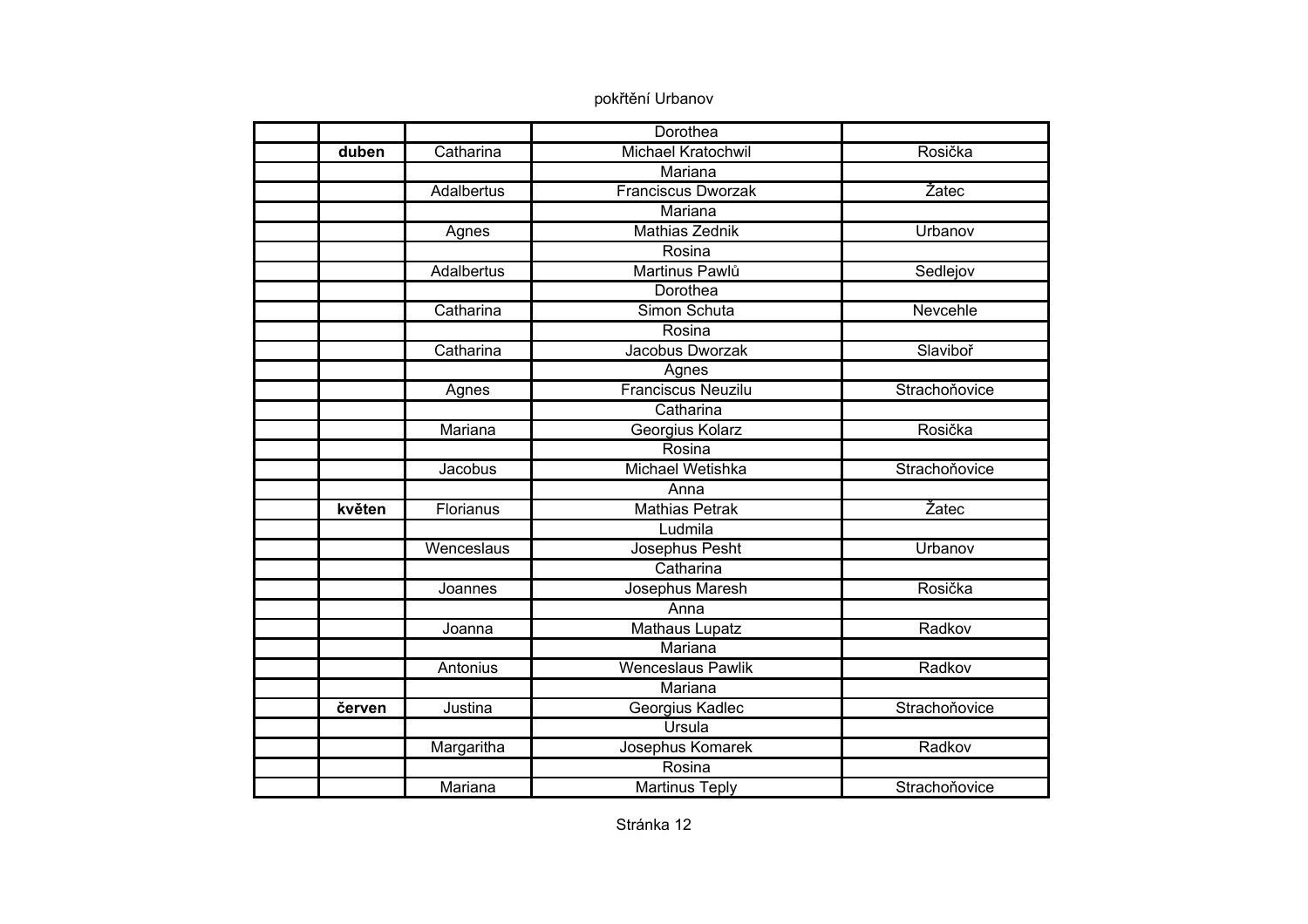|        |                   | Dorothea                  |               |
|--------|-------------------|---------------------------|---------------|
| duben  | Catharina         | Michael Kratochwil        | Rosička       |
|        |                   | Mariana                   |               |
|        | <b>Adalbertus</b> | <b>Franciscus Dworzak</b> | Žatec         |
|        |                   | Mariana                   |               |
|        | Agnes             | <b>Mathias Zednik</b>     | Urbanov       |
|        |                   | Rosina                    |               |
|        | Adalbertus        | Martinus Pawlů            | Sedlejov      |
|        |                   | Dorothea                  |               |
|        | Catharina         | Simon Schuta              | Nevcehle      |
|        |                   | Rosina                    |               |
|        | Catharina         | Jacobus Dworzak           | Slaviboř      |
|        |                   | Agnes                     |               |
|        | Agnes             | <b>Franciscus Neuzilu</b> | Strachoňovice |
|        |                   | Catharina                 |               |
|        | Mariana           | Georgius Kolarz           | Rosička       |
|        |                   | Rosina                    |               |
|        | Jacobus           | Michael Wetishka          | Strachoňovice |
|        |                   | Anna                      |               |
| květen | Florianus         | <b>Mathias Petrak</b>     | Žatec         |
|        |                   | Ludmila                   |               |
|        | Wenceslaus        | Josephus Pesht            | Urbanov       |
|        |                   | Catharina                 |               |
|        | Joannes           | Josephus Maresh           | Rosička       |
|        |                   | Anna                      |               |
|        | Joanna            | <b>Mathaus Lupatz</b>     | Radkov        |
|        |                   | Mariana                   |               |
|        | Antonius          | Wenceslaus Pawlik         | Radkov        |
|        |                   | Mariana                   |               |
| červen | Justina           | Georgius Kadlec           | Strachoňovice |
|        |                   | Ursula                    |               |
|        | Margaritha        | Josephus Komarek          | Radkov        |
|        |                   | Rosina                    |               |
|        | Mariana           | <b>Martinus Teply</b>     | Strachoňovice |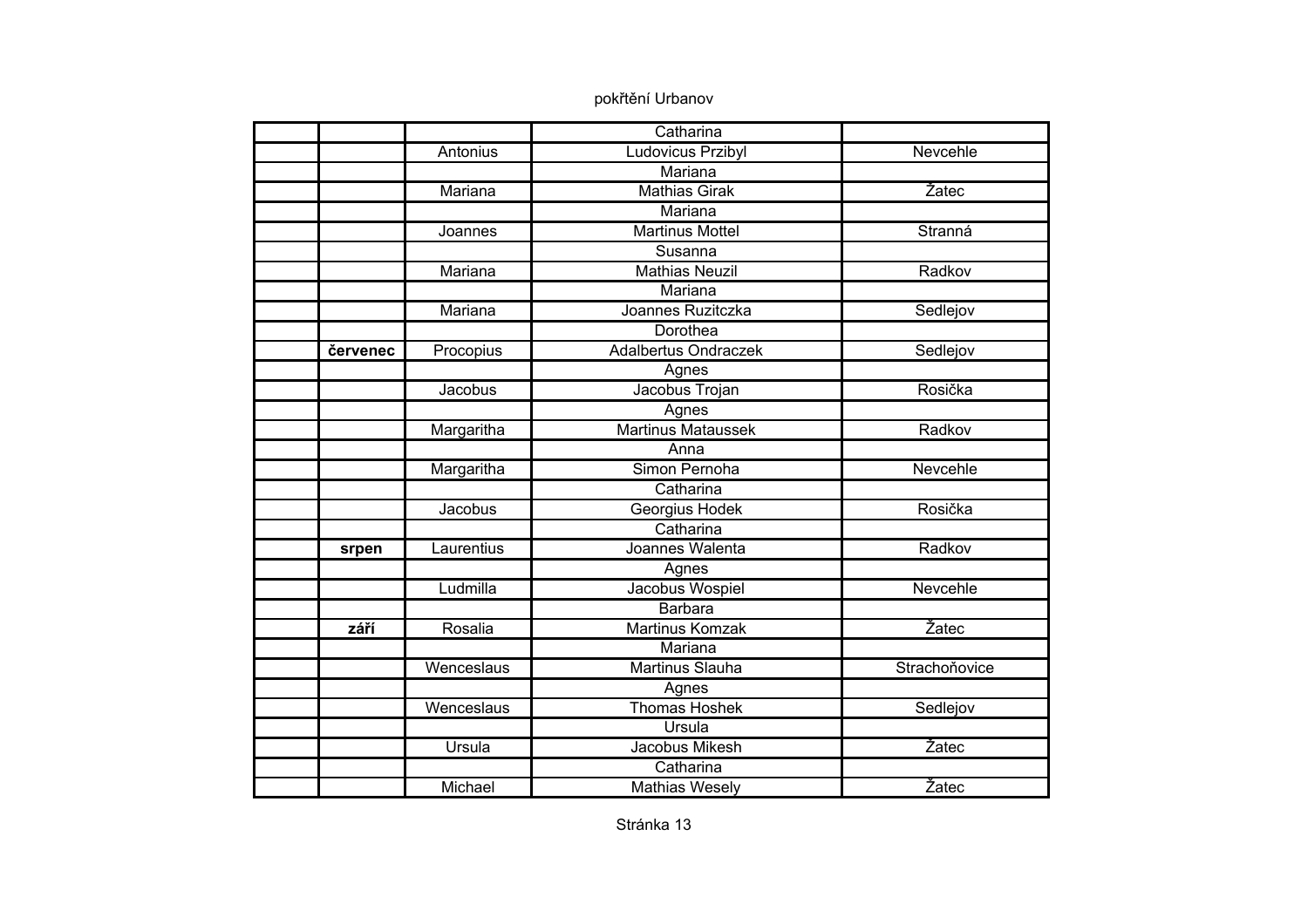|          |            | Catharina                   |               |
|----------|------------|-----------------------------|---------------|
|          | Antonius   | Ludovicus Przibyl           | Nevcehle      |
|          |            | Mariana                     |               |
|          | Mariana    | <b>Mathias Girak</b>        | Žatec         |
|          |            | Mariana                     |               |
|          | Joannes    | <b>Martinus Mottel</b>      | Stranná       |
|          |            | Susanna                     |               |
|          | Mariana    | <b>Mathias Neuzil</b>       | Radkov        |
|          |            | Mariana                     |               |
|          | Mariana    | Joannes Ruzitczka           | Sedlejov      |
|          |            | Dorothea                    |               |
| červenec | Procopius  | <b>Adalbertus Ondraczek</b> | Sedlejov      |
|          |            | Agnes                       |               |
|          | Jacobus    | Jacobus Trojan              | Rosička       |
|          |            | Agnes                       |               |
|          | Margaritha | <b>Martinus Mataussek</b>   | Radkov        |
|          |            | Anna                        |               |
|          | Margaritha | Simon Pernoha               | Nevcehle      |
|          |            | Catharina                   |               |
|          | Jacobus    | Georgius Hodek              | Rosička       |
|          |            | Catharina                   |               |
| srpen    | Laurentius | Joannes Walenta             | Radkov        |
|          |            | Agnes                       |               |
|          | Ludmilla   | Jacobus Wospiel             | Nevcehle      |
|          |            | <b>Barbara</b>              |               |
| září     | Rosalia    | <b>Martinus Komzak</b>      | Žatec         |
|          |            | Mariana                     |               |
|          | Wenceslaus | Martinus Slauha             | Strachoňovice |
|          |            | Agnes                       |               |
|          | Wenceslaus | <b>Thomas Hoshek</b>        | Sedlejov      |
|          |            | Ursula                      |               |
|          | Ursula     | Jacobus Mikesh              | Žatec         |
|          |            | Catharina                   |               |
|          | Michael    | <b>Mathias Wesely</b>       | Žatec         |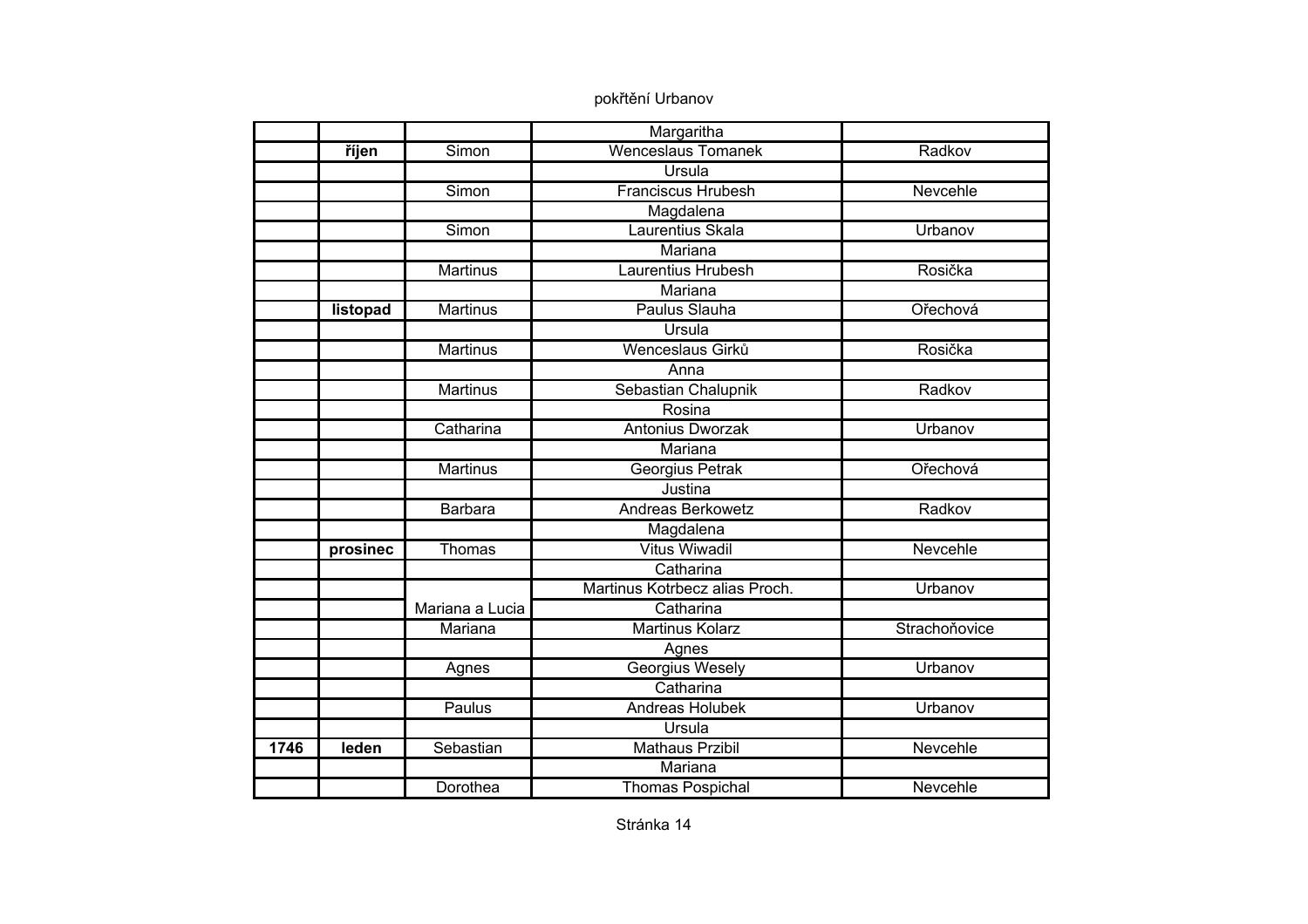|      |          |                 | Margaritha                     |               |
|------|----------|-----------------|--------------------------------|---------------|
|      | říjen    | Simon           | <b>Wenceslaus Tomanek</b>      | Radkov        |
|      |          |                 | <b>Ursula</b>                  |               |
|      |          | Simon           | <b>Franciscus Hrubesh</b>      | Nevcehle      |
|      |          |                 | Magdalena                      |               |
|      |          | Simon           | Laurentius Skala               | Urbanov       |
|      |          |                 | Mariana                        |               |
|      |          | <b>Martinus</b> | Laurentius Hrubesh             | Rosička       |
|      |          |                 | Mariana                        |               |
|      | listopad | <b>Martinus</b> | Paulus Slauha                  | Ořechová      |
|      |          |                 | Ursula                         |               |
|      |          | <b>Martinus</b> | Wenceslaus Girků               | Rosička       |
|      |          |                 | Anna                           |               |
|      |          | Martinus        | Sebastian Chalupnik            | Radkov        |
|      |          |                 | Rosina                         |               |
|      |          | Catharina       | Antonius Dworzak               | Urbanov       |
|      |          |                 | Mariana                        |               |
|      |          | <b>Martinus</b> | Georgius Petrak                | Ořechová      |
|      |          |                 | Justina                        |               |
|      |          | Barbara         | Andreas Berkowetz              | Radkov        |
|      |          |                 | Magdalena                      |               |
|      | prosinec | Thomas          | <b>Vitus Wiwadil</b>           | Nevcehle      |
|      |          |                 | Catharina                      |               |
|      |          |                 | Martinus Kotrbecz alias Proch. | Urbanov       |
|      |          | Mariana a Lucia | Catharina                      |               |
|      |          | Mariana         | <b>Martinus Kolarz</b>         | Strachoňovice |
|      |          |                 | Agnes                          |               |
|      |          | Agnes           | Georgius Wesely                | Urbanov       |
|      |          |                 | Catharina                      |               |
|      |          | Paulus          | Andreas Holubek                | Urbanov       |
|      |          |                 | Ursula                         |               |
| 1746 | leden    | Sebastian       | Mathaus Przibil                | Nevcehle      |
|      |          |                 | Mariana                        |               |
|      |          | Dorothea        | <b>Thomas Pospichal</b>        | Nevcehle      |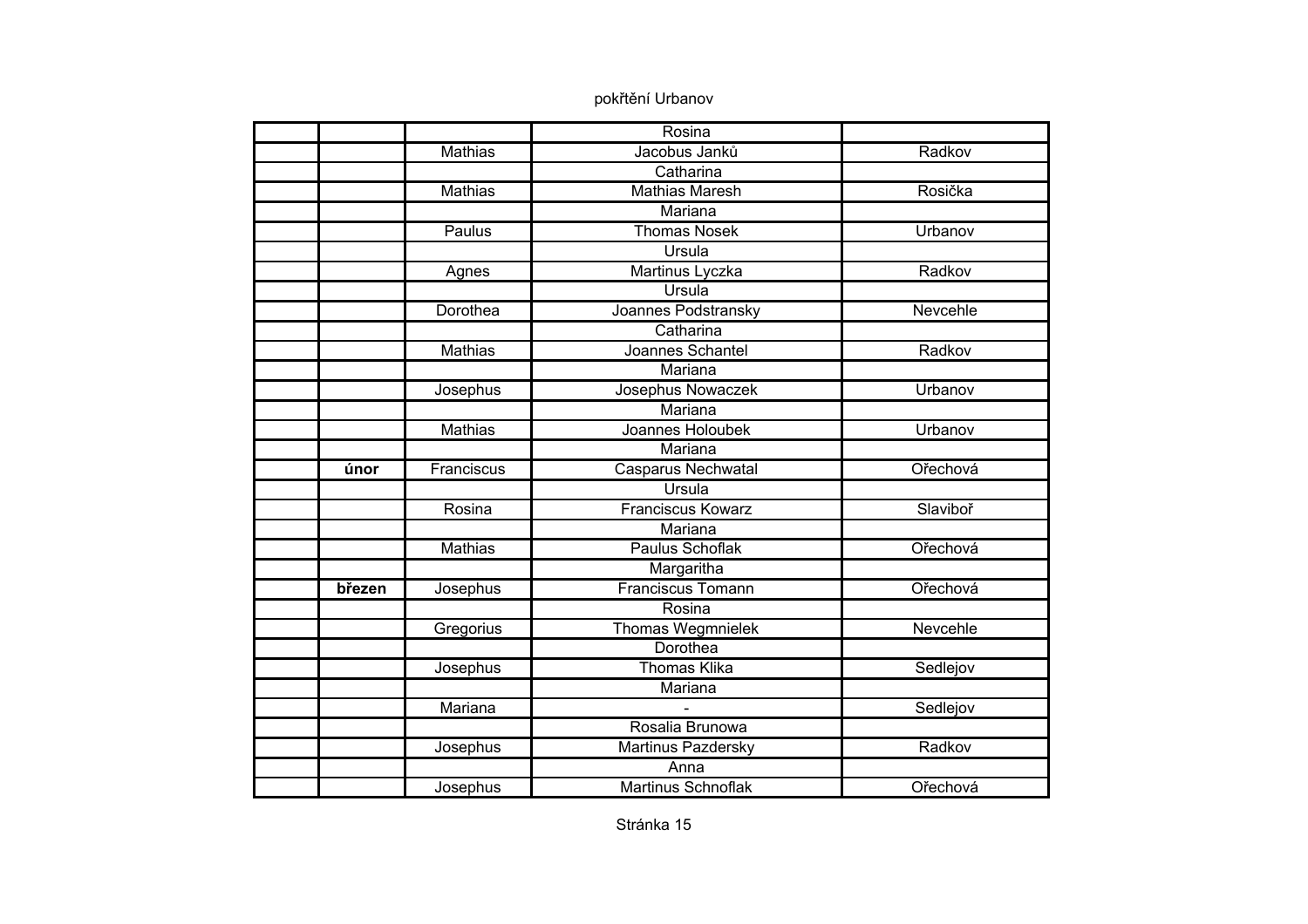|        |                | Rosina                    |          |
|--------|----------------|---------------------------|----------|
|        | <b>Mathias</b> | Jacobus Janků             | Radkov   |
|        |                | Catharina                 |          |
|        | <b>Mathias</b> | <b>Mathias Maresh</b>     | Rosička  |
|        |                | Mariana                   |          |
|        | Paulus         | <b>Thomas Nosek</b>       | Urbanov  |
|        |                | <b>Ursula</b>             |          |
|        | Agnes          | Martinus Lyczka           | Radkov   |
|        |                | Ursula                    |          |
|        | Dorothea       | Joannes Podstransky       | Nevcehle |
|        |                | Catharina                 |          |
|        | <b>Mathias</b> | Joannes Schantel          | Radkov   |
|        |                | Mariana                   |          |
|        | Josephus       | Josephus Nowaczek         | Urbanov  |
|        |                | Mariana                   |          |
|        | <b>Mathias</b> | Joannes Holoubek          | Urbanov  |
|        |                | Mariana                   |          |
| únor   | Franciscus     | Casparus Nechwatal        | Ořechová |
|        |                | Ursula                    |          |
|        | Rosina         | <b>Franciscus Kowarz</b>  | Slaviboř |
|        |                | Mariana                   |          |
|        | <b>Mathias</b> | <b>Paulus Schoflak</b>    | Ořechová |
|        |                | Margaritha                |          |
| březen | Josephus       | <b>Franciscus Tomann</b>  | Ořechová |
|        |                | Rosina                    |          |
|        | Gregorius      | <b>Thomas Wegmnielek</b>  | Nevcehle |
|        |                | Dorothea                  |          |
|        | Josephus       | <b>Thomas Klika</b>       | Sedlejov |
|        |                | Mariana                   |          |
|        | Mariana        |                           | Sedlejov |
|        |                | Rosalia Brunowa           |          |
|        | Josephus       | Martinus Pazdersky        | Radkov   |
|        |                | Anna                      |          |
|        | Josephus       | <b>Martinus Schnoflak</b> | Ořechová |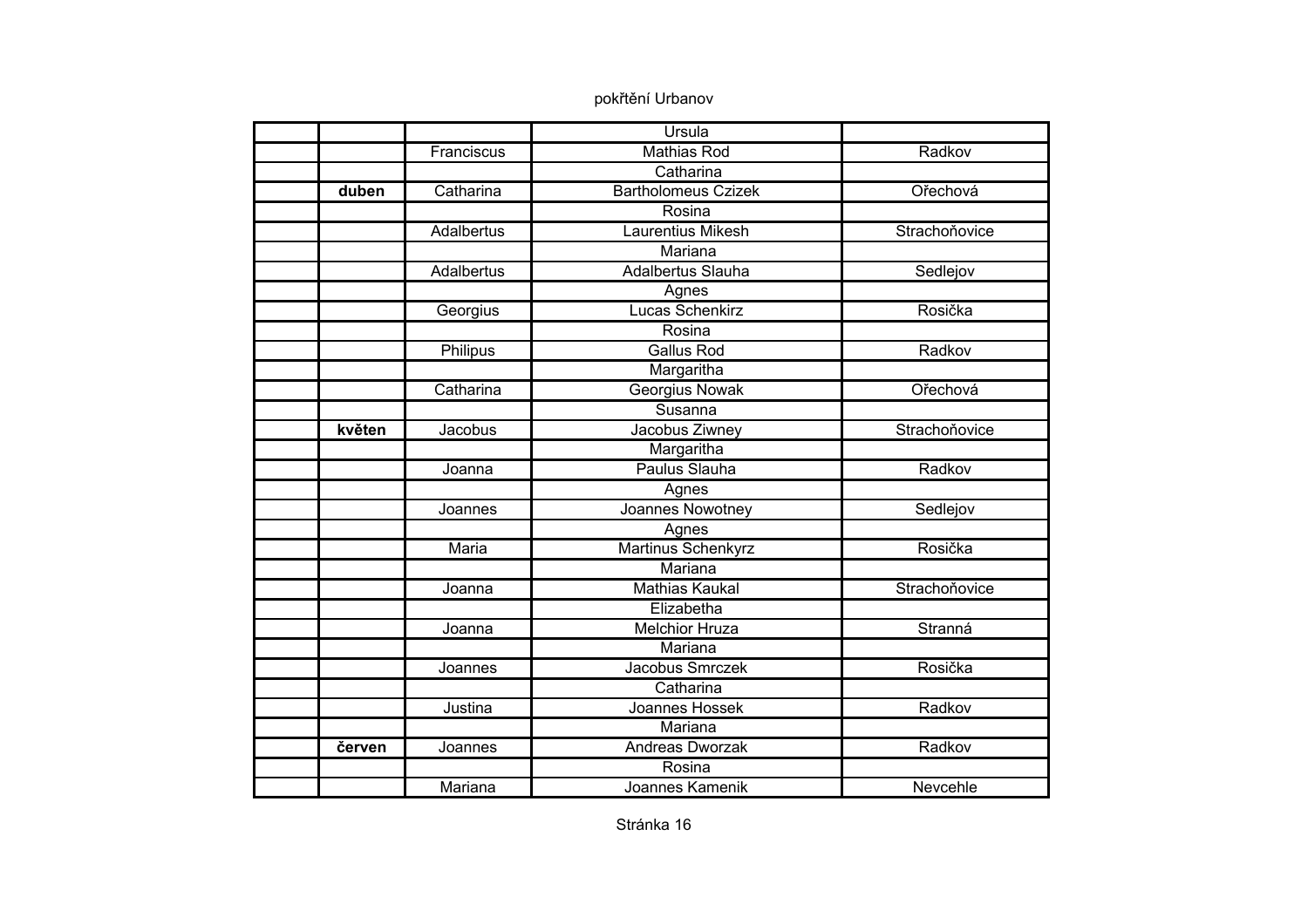|        |            | Ursula                     |               |
|--------|------------|----------------------------|---------------|
|        | Franciscus | <b>Mathias Rod</b>         | Radkov        |
|        |            | Catharina                  |               |
| duben  | Catharina  | <b>Bartholomeus Czizek</b> | Ořechová      |
|        |            | Rosina                     |               |
|        | Adalbertus | <b>Laurentius Mikesh</b>   | Strachoňovice |
|        |            | Mariana                    |               |
|        | Adalbertus | Adalbertus Slauha          | Sedlejov      |
|        |            | Agnes                      |               |
|        | Georgius   | Lucas Schenkirz            | Rosička       |
|        |            | Rosina                     |               |
|        | Philipus   | <b>Gallus Rod</b>          | Radkov        |
|        |            | Margaritha                 |               |
|        | Catharina  | <b>Georgius Nowak</b>      | Ořechová      |
|        |            | Susanna                    |               |
| květen | Jacobus    | Jacobus Ziwney             | Strachoňovice |
|        |            | Margaritha                 |               |
|        | Joanna     | Paulus Slauha              | Radkov        |
|        |            | Agnes                      |               |
|        | Joannes    | Joannes Nowotney           | Sedlejov      |
|        |            | Agnes                      |               |
|        | Maria      | <b>Martinus Schenkyrz</b>  | Rosička       |
|        |            | Mariana                    |               |
|        | Joanna     | <b>Mathias Kaukal</b>      | Strachoňovice |
|        |            | Elizabetha                 |               |
|        | Joanna     | <b>Melchior Hruza</b>      | Stranná       |
|        |            | Mariana                    |               |
|        | Joannes    | Jacobus Smrczek            | Rosička       |
|        |            | Catharina                  |               |
|        | Justina    | Joannes Hossek             | Radkov        |
|        |            | Mariana                    |               |
| červen | Joannes    | <b>Andreas Dworzak</b>     | Radkov        |
|        |            | Rosina                     |               |
|        | Mariana    | Joannes Kamenik            | Nevcehle      |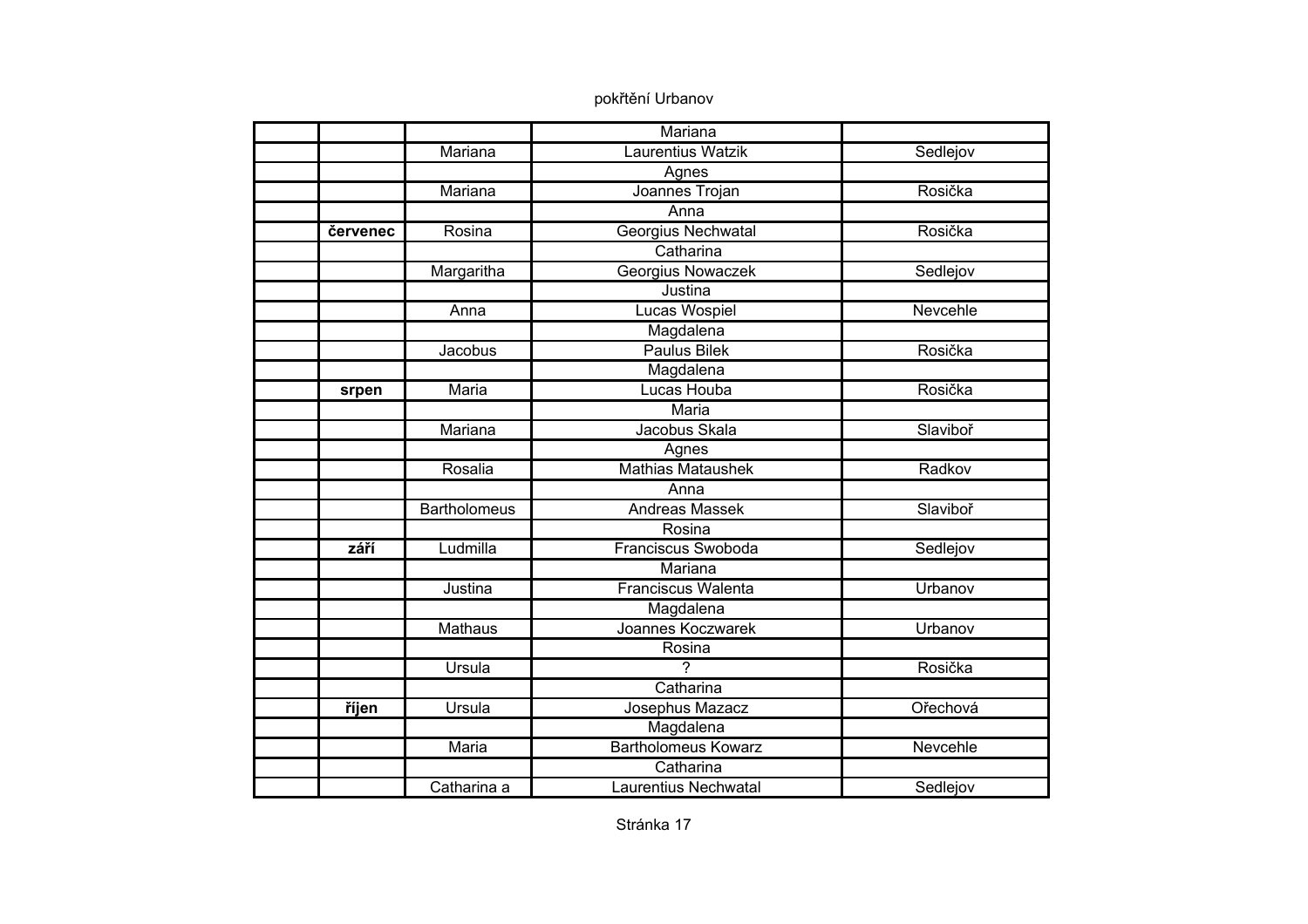|          |                     | Mariana                    |          |
|----------|---------------------|----------------------------|----------|
|          | Mariana             | Laurentius Watzik          | Sedlejov |
|          |                     | Agnes                      |          |
|          | Mariana             | Joannes Trojan             | Rosička  |
|          |                     | Anna                       |          |
| červenec | Rosina              | Georgius Nechwatal         | Rosička  |
|          |                     | Catharina                  |          |
|          | Margaritha          | <b>Georgius Nowaczek</b>   | Sedlejov |
|          |                     | Justina                    |          |
|          | Anna                | Lucas Wospiel              | Nevcehle |
|          |                     | Magdalena                  |          |
|          | Jacobus             | <b>Paulus Bilek</b>        | Rosička  |
|          |                     | Magdalena                  |          |
| srpen    | Maria               | Lucas Houba                | Rosička  |
|          |                     | <b>Maria</b>               |          |
|          | Mariana             | Jacobus Skala              | Slaviboř |
|          |                     | Agnes                      |          |
|          | Rosalia             | <b>Mathias Mataushek</b>   | Radkov   |
|          |                     | Anna                       |          |
|          | <b>Bartholomeus</b> | <b>Andreas Massek</b>      | Slaviboř |
|          |                     | Rosina                     |          |
| září     | Ludmilla            | <b>Franciscus Swoboda</b>  | Sedlejov |
|          |                     | Mariana                    |          |
|          | Justina             | <b>Franciscus Walenta</b>  | Urbanov  |
|          |                     | Magdalena                  |          |
|          | <b>Mathaus</b>      | Joannes Koczwarek          | Urbanov  |
|          |                     | Rosina                     |          |
|          | Ursula              | 2                          | Rosička  |
|          |                     | Catharina                  |          |
| říjen    | Ursula              | Josephus Mazacz            | Ořechová |
|          |                     | Magdalena                  |          |
|          | Maria               | <b>Bartholomeus Kowarz</b> | Nevcehle |
|          |                     | Catharina                  |          |
|          | Catharina a         | Laurentius Nechwatal       | Sedlejov |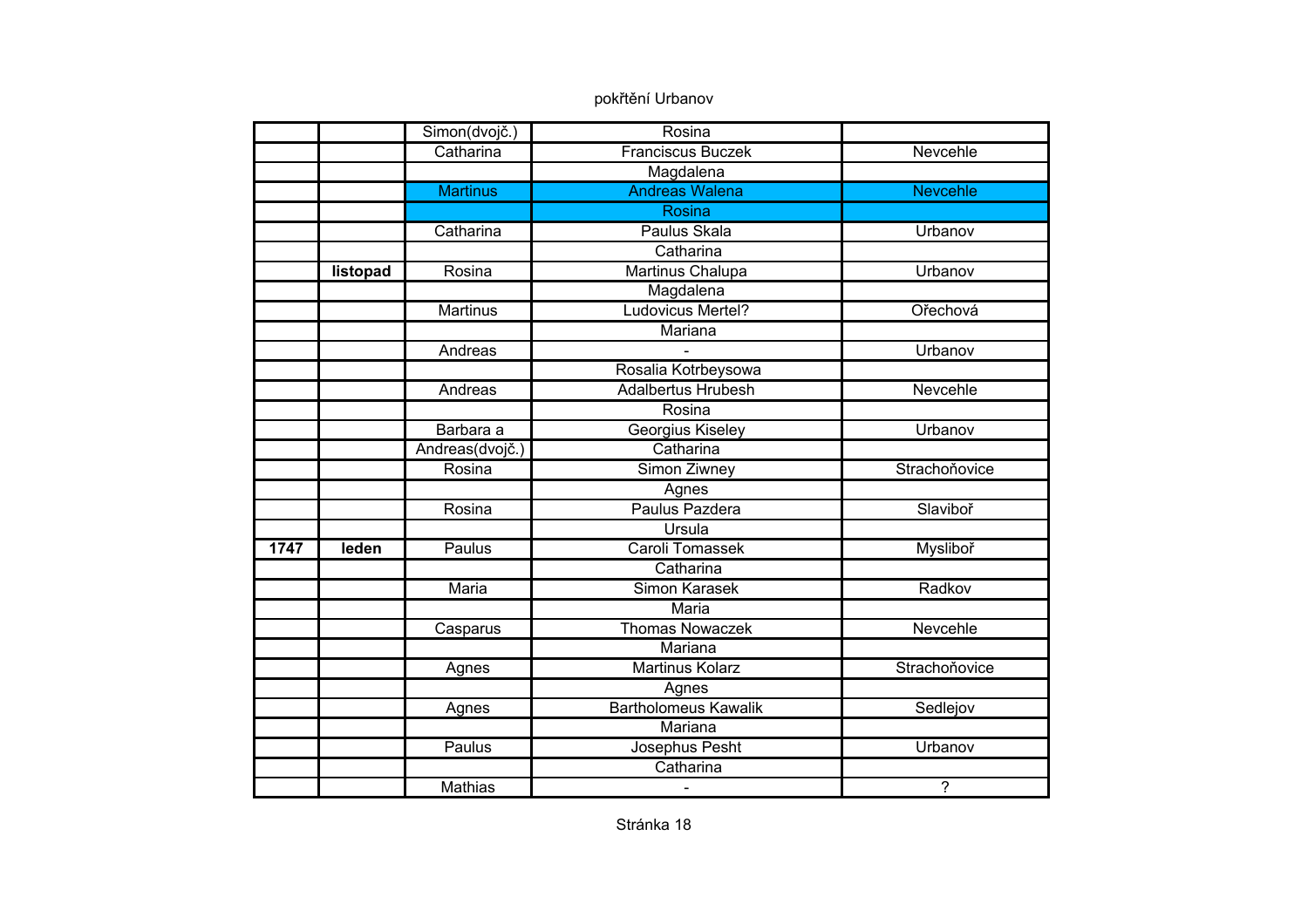|      |          | Simon(dvojč.)   | Rosina                      |                 |
|------|----------|-----------------|-----------------------------|-----------------|
|      |          | Catharina       | <b>Franciscus Buczek</b>    | Nevcehle        |
|      |          |                 | Magdalena                   |                 |
|      |          | <b>Martinus</b> | <b>Andreas Walena</b>       | <b>Nevcehle</b> |
|      |          |                 | Rosina                      |                 |
|      |          | Catharina       | Paulus Skala                | Urbanov         |
|      |          |                 | Catharina                   |                 |
|      | listopad | Rosina          | Martinus Chalupa            | Urbanov         |
|      |          |                 | Magdalena                   |                 |
|      |          | <b>Martinus</b> | Ludovicus Mertel?           | Ořechová        |
|      |          |                 | Mariana                     |                 |
|      |          | Andreas         |                             | Urbanov         |
|      |          |                 | Rosalia Kotrbeysowa         |                 |
|      |          | Andreas         | <b>Adalbertus Hrubesh</b>   | Nevcehle        |
|      |          |                 | Rosina                      |                 |
|      |          | Barbara a       | Georgius Kiseley            | Urbanov         |
|      |          | Andreas(dvojč.) | Catharina                   |                 |
|      |          | Rosina          | Simon Ziwney                | Strachoňovice   |
|      |          |                 | Agnes                       |                 |
|      |          | Rosina          | Paulus Pazdera              | Slaviboř        |
|      |          |                 | Ursula                      |                 |
| 1747 | leden    | Paulus          | Caroli Tomassek             | Mysliboř        |
|      |          |                 | Catharina                   |                 |
|      |          | <b>Maria</b>    | <b>Simon Karasek</b>        | Radkov          |
|      |          |                 | <b>Maria</b>                |                 |
|      |          | Casparus        | <b>Thomas Nowaczek</b>      | Nevcehle        |
|      |          |                 | Mariana                     |                 |
|      |          | Agnes           | <b>Martinus Kolarz</b>      | Strachoňovice   |
|      |          |                 | Agnes                       |                 |
|      |          | Agnes           | <b>Bartholomeus Kawalik</b> | Sedlejov        |
|      |          |                 | Mariana                     |                 |
|      |          | Paulus          | Josephus Pesht              | Urbanov         |
|      |          |                 | Catharina                   |                 |
|      |          | <b>Mathias</b>  |                             | $\overline{?}$  |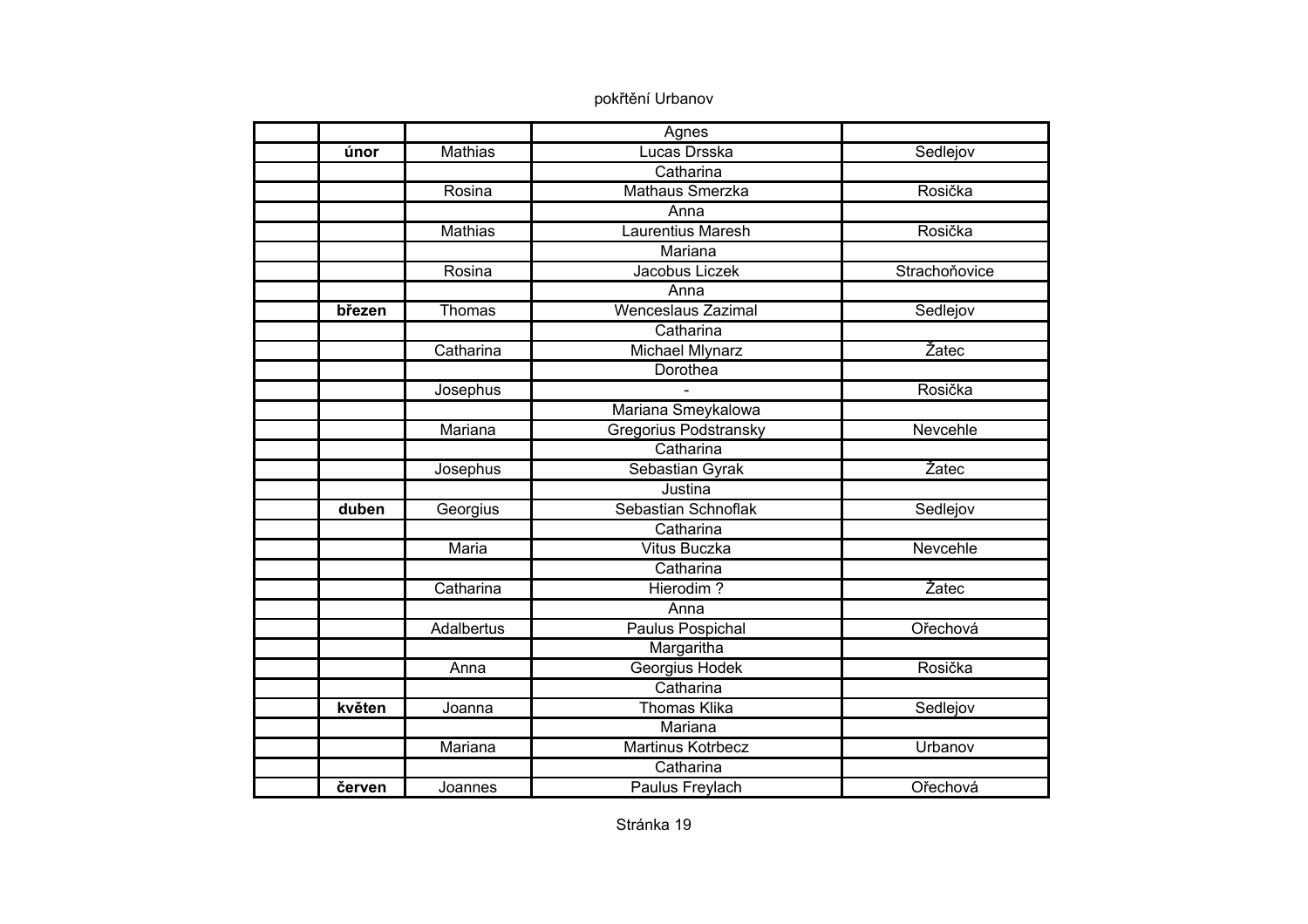|        |                   | Agnes                        |               |
|--------|-------------------|------------------------------|---------------|
| únor   | <b>Mathias</b>    | Lucas Drsska                 | Sedlejov      |
|        |                   | Catharina                    |               |
|        | Rosina            | <b>Mathaus Smerzka</b>       | Rosička       |
|        |                   | Anna                         |               |
|        | Mathias           | <b>Laurentius Maresh</b>     | Rosička       |
|        |                   | Mariana                      |               |
|        | Rosina            | Jacobus Liczek               | Strachoňovice |
|        |                   | Anna                         |               |
| březen | Thomas            | <b>Wenceslaus Zazimal</b>    | Sedlejov      |
|        |                   | Catharina                    |               |
|        | Catharina         | Michael Mlynarz              | Žatec         |
|        |                   | Dorothea                     |               |
|        | Josephus          |                              | Rosička       |
|        |                   | Mariana Smeykalowa           |               |
|        | Mariana           | <b>Gregorius Podstransky</b> | Nevcehle      |
|        |                   | Catharina                    |               |
|        | Josephus          | Sebastian Gyrak              | Žatec         |
|        |                   | Justina                      |               |
| duben  | Georgius          | Sebastian Schnoflak          | Sedlejov      |
|        |                   | Catharina                    |               |
|        | Maria             | <b>Vitus Buczka</b>          | Nevcehle      |
|        |                   | Catharina                    |               |
|        | Catharina         | Hierodim?                    | Žatec         |
|        |                   | Anna                         |               |
|        | <b>Adalbertus</b> | Paulus Pospichal             | Ořechová      |
|        |                   | Margaritha                   |               |
|        | Anna              | Georgius Hodek               | Rosička       |
|        |                   | Catharina                    |               |
| květen | Joanna            | <b>Thomas Klika</b>          | Sedlejov      |
|        |                   | Mariana                      |               |
|        | Mariana           | <b>Martinus Kotrbecz</b>     | Urbanov       |
|        |                   | Catharina                    |               |
| červen | Joannes           | Paulus Freylach              | Ořechová      |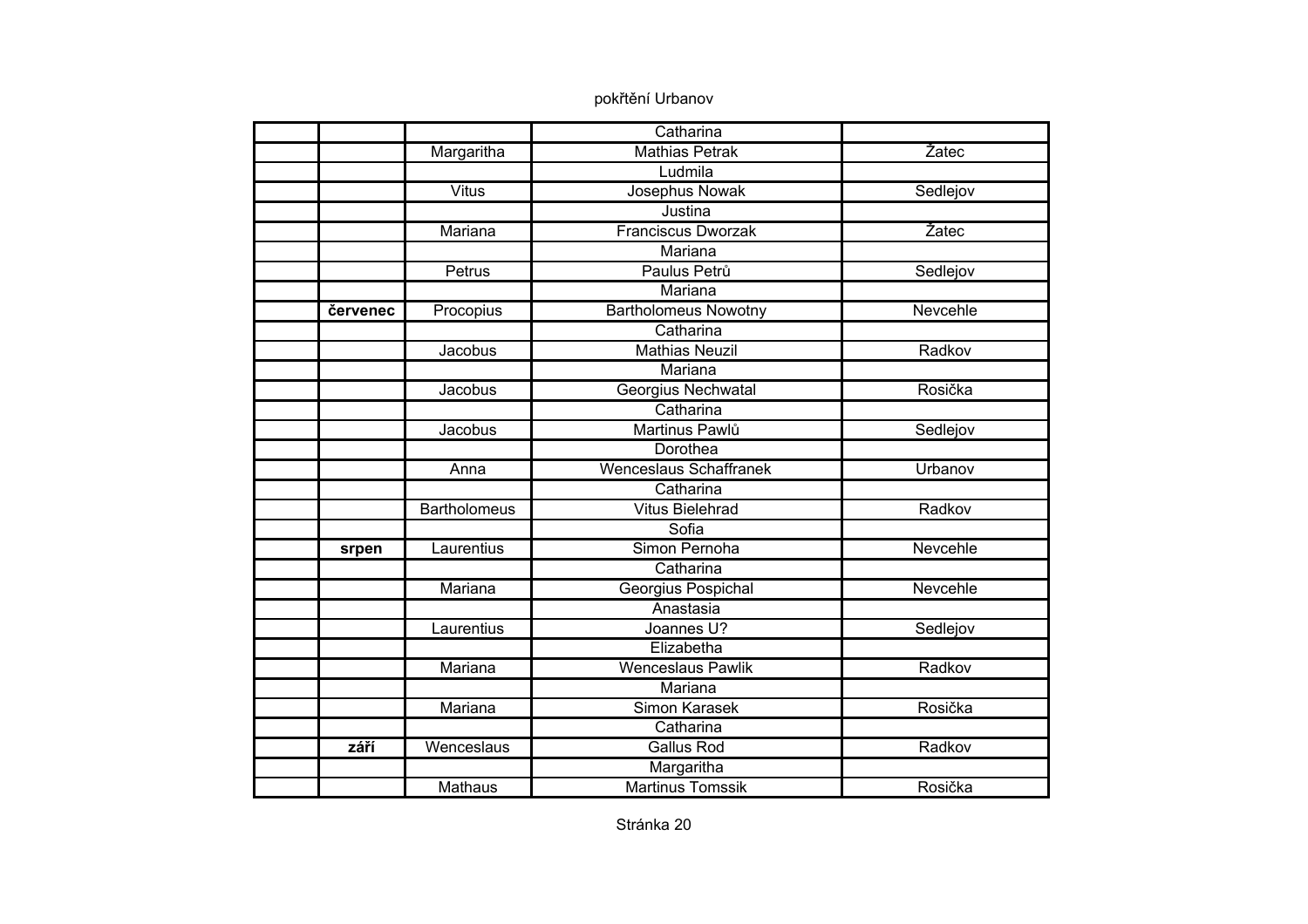|          |                     | Catharina                     |          |
|----------|---------------------|-------------------------------|----------|
|          | Margaritha          | <b>Mathias Petrak</b>         | Žatec    |
|          |                     | Ludmila                       |          |
|          | <b>Vitus</b>        | Josephus Nowak                | Sedlejov |
|          |                     | Justina                       |          |
|          | Mariana             | <b>Franciscus Dworzak</b>     | Žatec    |
|          |                     | Mariana                       |          |
|          | Petrus              | Paulus Petrů                  | Sedlejov |
|          |                     | Mariana                       |          |
| červenec | Procopius           | <b>Bartholomeus Nowotny</b>   | Nevcehle |
|          |                     | Catharina                     |          |
|          | Jacobus             | <b>Mathias Neuzil</b>         | Radkov   |
|          |                     | Mariana                       |          |
|          | Jacobus             | Georgius Nechwatal            | Rosička  |
|          |                     | Catharina                     |          |
|          | Jacobus             | Martinus Pawlů                | Sedlejov |
|          |                     | Dorothea                      |          |
|          | Anna                | <b>Wenceslaus Schaffranek</b> | Urbanov  |
|          |                     | Catharina                     |          |
|          | <b>Bartholomeus</b> | <b>Vitus Bielehrad</b>        | Radkov   |
|          |                     | Sofia                         |          |
| srpen    | Laurentius          | Simon Pernoha                 | Nevcehle |
|          |                     | Catharina                     |          |
|          | Mariana             | Georgius Pospichal            | Nevcehle |
|          |                     | Anastasia                     |          |
|          | Laurentius          | Joannes U?                    | Sedlejov |
|          |                     | Elizabetha                    |          |
|          | Mariana             | Wenceslaus Pawlik             | Radkov   |
|          |                     | Mariana                       |          |
|          | Mariana             | Simon Karasek                 | Rosička  |
|          |                     | Catharina                     |          |
| září     | Wenceslaus          | <b>Gallus Rod</b>             | Radkov   |
|          |                     | Margaritha                    |          |
|          | <b>Mathaus</b>      | <b>Martinus Tomssik</b>       | Rosička  |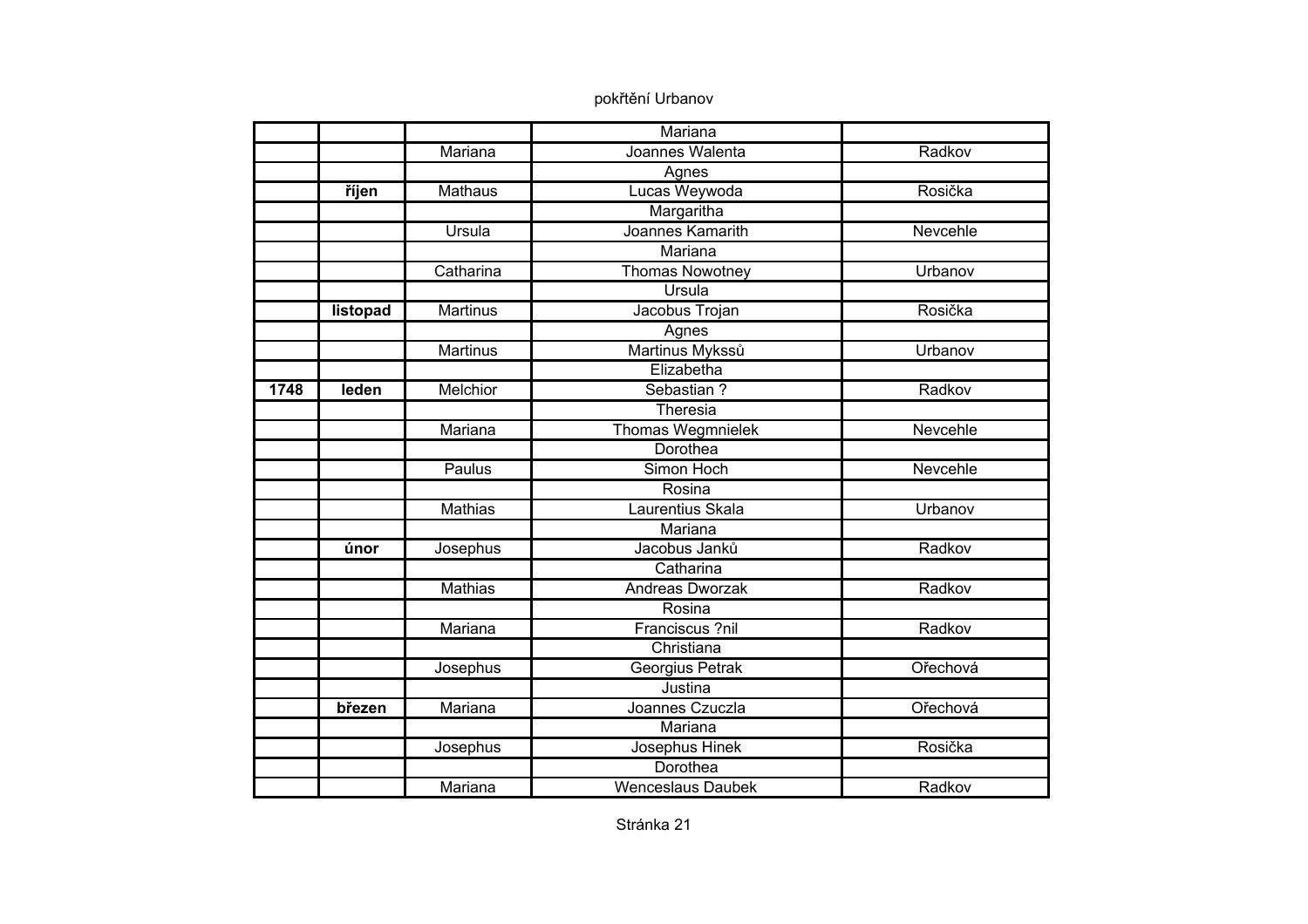|      |          |                 | Mariana                  |          |
|------|----------|-----------------|--------------------------|----------|
|      |          | Mariana         | Joannes Walenta          | Radkov   |
|      |          |                 | Agnes                    |          |
|      | říjen    | <b>Mathaus</b>  | Lucas Weywoda            | Rosička  |
|      |          |                 | Margaritha               |          |
|      |          | Ursula          | Joannes Kamarith         | Nevcehle |
|      |          |                 | Mariana                  |          |
|      |          | Catharina       | <b>Thomas Nowotney</b>   | Urbanov  |
|      |          |                 | Ursula                   |          |
|      | listopad | <b>Martinus</b> | Jacobus Trojan           | Rosička  |
|      |          |                 | Agnes                    |          |
|      |          | <b>Martinus</b> | Martinus Mykssů          | Urbanov  |
|      |          |                 | Elizabetha               |          |
| 1748 | leden    | <b>Melchior</b> | Sebastian?               | Radkov   |
|      |          |                 | Theresia                 |          |
|      |          | Mariana         | <b>Thomas Wegmnielek</b> | Nevcehle |
|      |          |                 | Dorothea                 |          |
|      |          | Paulus          | Simon Hoch               | Nevcehle |
|      |          |                 | Rosina                   |          |
|      |          | <b>Mathias</b>  | Laurentius Skala         | Urbanov  |
|      |          |                 | Mariana                  |          |
|      | únor     | Josephus        | Jacobus Janků            | Radkov   |
|      |          |                 | Catharina                |          |
|      |          | <b>Mathias</b>  | Andreas Dworzak          | Radkov   |
|      |          |                 | Rosina                   |          |
|      |          | Mariana         | Franciscus ?nil          | Radkov   |
|      |          |                 | Christiana               |          |
|      |          | Josephus        | Georgius Petrak          | Ořechová |
|      |          |                 | Justina                  |          |
|      | březen   | Mariana         | Joannes Czuczla          | Ořechová |
|      |          |                 | Mariana                  |          |
|      |          | Josephus        | Josephus Hinek           | Rosička  |
|      |          |                 | Dorothea                 |          |
|      |          | Mariana         | <b>Wenceslaus Daubek</b> | Radkov   |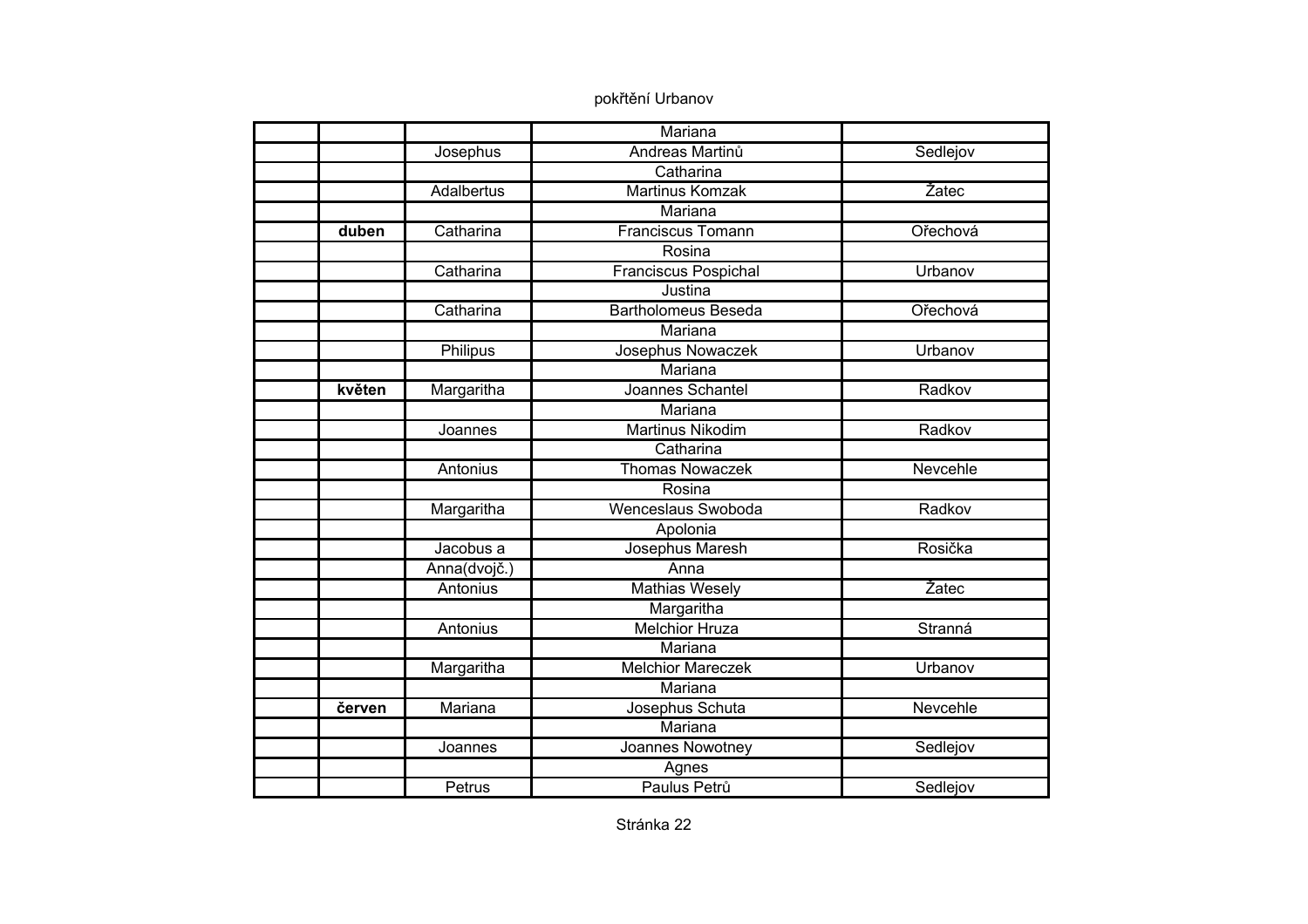|        |                   | Mariana                     |          |
|--------|-------------------|-----------------------------|----------|
|        |                   | Andreas Martinů             |          |
|        | Josephus          | Catharina                   | Sedlejov |
|        |                   |                             |          |
|        | <b>Adalbertus</b> | <b>Martinus Komzak</b>      | Žatec    |
|        |                   | Mariana                     |          |
| duben  | Catharina         | <b>Franciscus Tomann</b>    | Ořechová |
|        |                   | Rosina                      |          |
|        | Catharina         | <b>Franciscus Pospichal</b> | Urbanov  |
|        |                   | Justina                     |          |
|        | Catharina         | <b>Bartholomeus Beseda</b>  | Ořechová |
|        |                   | Mariana                     |          |
|        | Philipus          | Josephus Nowaczek           | Urbanov  |
|        |                   | Mariana                     |          |
| květen | Margaritha        | Joannes Schantel            | Radkov   |
|        |                   | Mariana                     |          |
|        | Joannes           | <b>Martinus Nikodim</b>     | Radkov   |
|        |                   | Catharina                   |          |
|        | Antonius          | <b>Thomas Nowaczek</b>      | Nevcehle |
|        |                   | Rosina                      |          |
|        | Margaritha        | Wenceslaus Swoboda          | Radkov   |
|        |                   | Apolonia                    |          |
|        | Jacobus a         | Josephus Maresh             | Rosička  |
|        | Anna(dvojč.)      | Anna                        |          |
|        | Antonius          | <b>Mathias Wesely</b>       | Žatec    |
|        |                   | Margaritha                  |          |
|        | Antonius          | <b>Melchior Hruza</b>       | Stranná  |
|        |                   | Mariana                     |          |
|        | Margaritha        | <b>Melchior Mareczek</b>    | Urbanov  |
|        |                   | Mariana                     |          |
| červen | Mariana           | Josephus Schuta             | Nevcehle |
|        |                   | Mariana                     |          |
|        | Joannes           | Joannes Nowotney            | Sedlejov |
|        |                   | Agnes                       |          |
|        | Petrus            | Paulus Petrů                | Sedlejov |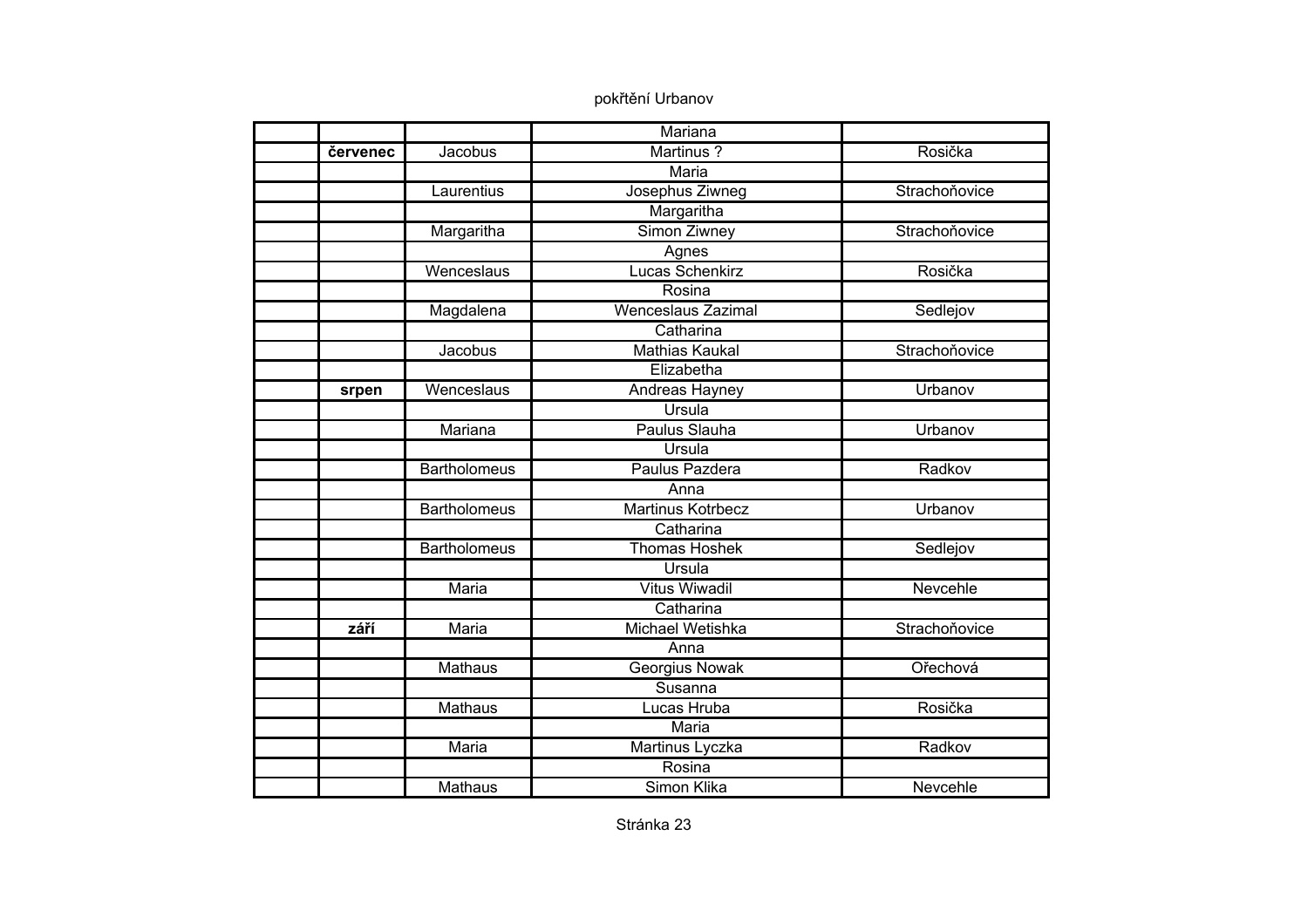|          |                     | Mariana                   |               |
|----------|---------------------|---------------------------|---------------|
| červenec | Jacobus             | Martinus?                 | Rosička       |
|          |                     | <b>Maria</b>              |               |
|          | Laurentius          | Josephus Ziwneg           | Strachoňovice |
|          |                     | Margaritha                |               |
|          | Margaritha          | Simon Ziwney              | Strachoňovice |
|          |                     | Agnes                     |               |
|          | Wenceslaus          | Lucas Schenkirz           | Rosička       |
|          |                     | Rosina                    |               |
|          | Magdalena           | <b>Wenceslaus Zazimal</b> | Sedlejov      |
|          |                     | Catharina                 |               |
|          | Jacobus             | <b>Mathias Kaukal</b>     | Strachoňovice |
|          |                     | Elizabetha                |               |
| srpen    | Wenceslaus          | Andreas Hayney            | Urbanov       |
|          |                     | Ursula                    |               |
|          | Mariana             | Paulus Slauha             | Urbanov       |
|          |                     | Ursula                    |               |
|          | <b>Bartholomeus</b> | Paulus Pazdera            | Radkov        |
|          |                     | Anna                      |               |
|          | <b>Bartholomeus</b> | <b>Martinus Kotrbecz</b>  | Urbanov       |
|          |                     | Catharina                 |               |
|          | <b>Bartholomeus</b> | <b>Thomas Hoshek</b>      | Sedlejov      |
|          |                     | Ursula                    |               |
|          | <b>Maria</b>        | <b>Vitus Wiwadil</b>      | Nevcehle      |
|          |                     | Catharina                 |               |
| září     | Maria               | Michael Wetishka          | Strachoňovice |
|          |                     | Anna                      |               |
|          | Mathaus             | Georgius Nowak            | Ořechová      |
|          |                     | Susanna                   |               |
|          | Mathaus             | Lucas Hruba               | Rosička       |
|          |                     | Maria                     |               |
|          | Maria               | Martinus Lyczka           | Radkov        |
|          |                     | Rosina                    |               |
|          | <b>Mathaus</b>      | Simon Klika               | Nevcehle      |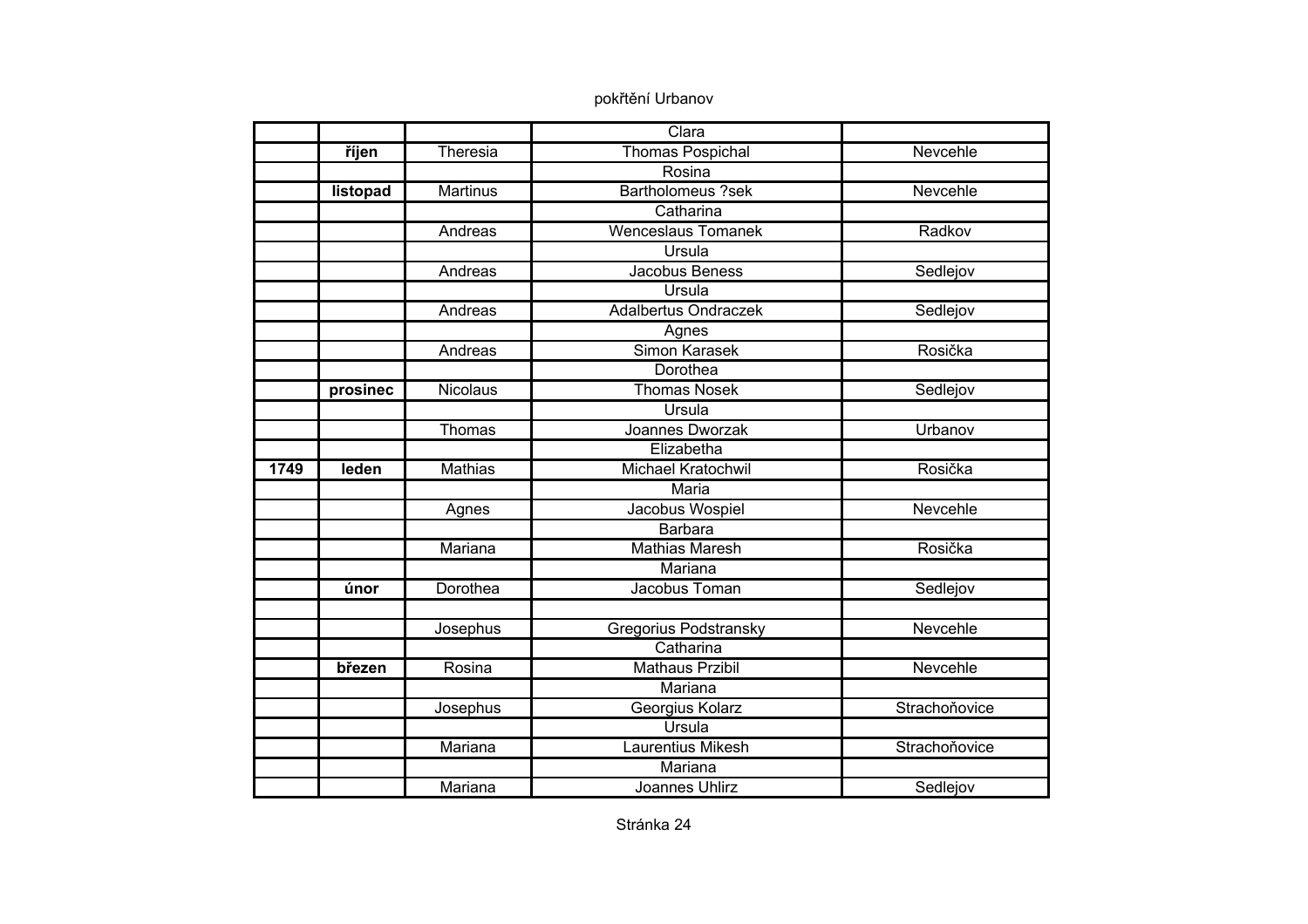|      |          |                 | Clara                       |               |
|------|----------|-----------------|-----------------------------|---------------|
|      | říjen    | Theresia        | <b>Thomas Pospichal</b>     | Nevcehle      |
|      |          |                 | Rosina                      |               |
|      | listopad | <b>Martinus</b> | <b>Bartholomeus ?sek</b>    | Nevcehle      |
|      |          |                 | Catharina                   |               |
|      |          | Andreas         | <b>Wenceslaus Tomanek</b>   | Radkov        |
|      |          |                 | Ursula                      |               |
|      |          | Andreas         | Jacobus Beness              | Sedlejov      |
|      |          |                 | Ursula                      |               |
|      |          | Andreas         | <b>Adalbertus Ondraczek</b> | Sedlejov      |
|      |          |                 | Agnes                       |               |
|      |          | Andreas         | Simon Karasek               | Rosička       |
|      |          |                 | Dorothea                    |               |
|      | prosinec | <b>Nicolaus</b> | <b>Thomas Nosek</b>         | Sedlejov      |
|      |          |                 | <b>Ursula</b>               |               |
|      |          | Thomas          | Joannes Dworzak             | Urbanov       |
|      |          |                 | Elizabetha                  |               |
| 1749 | leden    | <b>Mathias</b>  | Michael Kratochwil          | Rosička       |
|      |          |                 | Maria                       |               |
|      |          | Agnes           | Jacobus Wospiel             | Nevcehle      |
|      |          |                 | <b>Barbara</b>              |               |
|      |          | Mariana         | <b>Mathias Maresh</b>       | Rosička       |
|      |          |                 | Mariana                     |               |
|      | únor     | Dorothea        | Jacobus Toman               | Sedlejov      |
|      |          |                 |                             |               |
|      |          | Josephus        | Gregorius Podstransky       | Nevcehle      |
|      |          |                 | Catharina                   |               |
|      | březen   | Rosina          | <b>Mathaus Przibil</b>      | Nevcehle      |
|      |          |                 | Mariana                     |               |
|      |          | Josephus        | Georgius Kolarz             | Strachoňovice |
|      |          |                 | Ursula                      |               |
|      |          | Mariana         | Laurentius Mikesh           | Strachoňovice |
|      |          |                 | Mariana                     |               |
|      |          | Mariana         | <b>Joannes Uhlirz</b>       | Sedlejov      |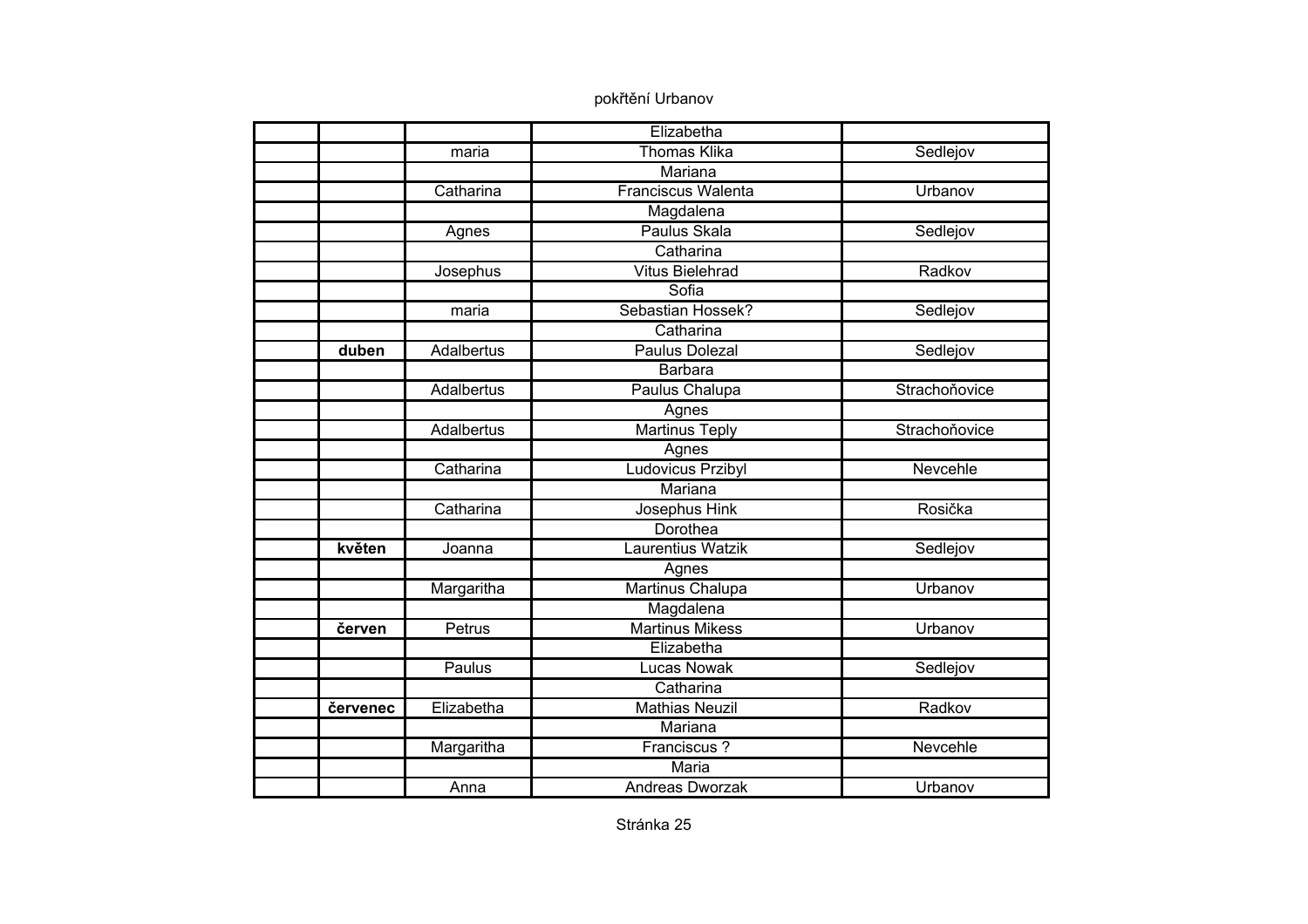|          |                   | Elizabetha                |               |
|----------|-------------------|---------------------------|---------------|
|          | maria             | <b>Thomas Klika</b>       | Sedlejov      |
|          |                   | <b>Mariana</b>            |               |
|          | Catharina         | <b>Franciscus Walenta</b> | Urbanov       |
|          |                   | Magdalena                 |               |
|          | Agnes             | Paulus Skala              | Sedlejov      |
|          |                   | Catharina                 |               |
|          | Josephus          | <b>Vitus Bielehrad</b>    | Radkov        |
|          |                   | Sofia                     |               |
|          | maria             | Sebastian Hossek?         | Sedlejov      |
|          |                   | Catharina                 |               |
| duben    | Adalbertus        | <b>Paulus Dolezal</b>     | Sedlejov      |
|          |                   | <b>Barbara</b>            |               |
|          | Adalbertus        | <b>Paulus Chalupa</b>     | Strachoňovice |
|          |                   | Agnes                     |               |
|          | <b>Adalbertus</b> | <b>Martinus Teply</b>     | Strachoňovice |
|          |                   | Agnes                     |               |
|          | Catharina         | Ludovicus Przibyl         | Nevcehle      |
|          |                   | Mariana                   |               |
|          | Catharina         | Josephus Hink             | Rosička       |
|          |                   | Dorothea                  |               |
| květen   | Joanna            | Laurentius Watzik         | Sedlejov      |
|          |                   | Agnes                     |               |
|          | Margaritha        | Martinus Chalupa          | Urbanov       |
|          |                   | Magdalena                 |               |
| červen   | Petrus            | <b>Martinus Mikess</b>    | Urbanov       |
|          |                   | Elizabetha                |               |
|          | Paulus            | <b>Lucas Nowak</b>        | Sedlejov      |
|          |                   | Catharina                 |               |
| červenec | Elizabetha        | <b>Mathias Neuzil</b>     | Radkov        |
|          |                   | Mariana                   |               |
|          | Margaritha        | Franciscus?               | Nevcehle      |
|          |                   | <b>Maria</b>              |               |
|          | Anna              | Andreas Dworzak           | Urbanov       |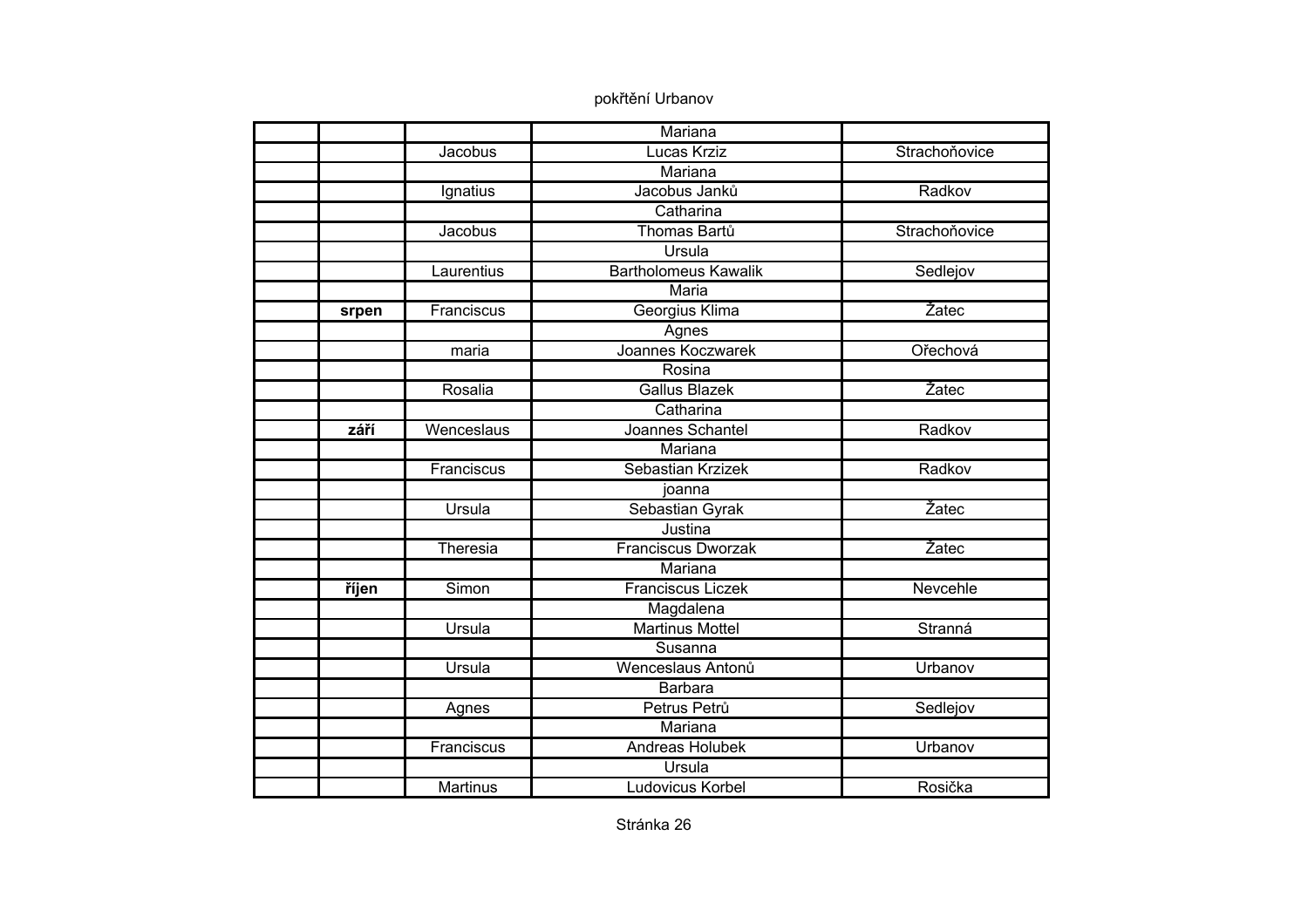|       |                 | Mariana                     |               |
|-------|-----------------|-----------------------------|---------------|
|       | Jacobus         | Lucas Krziz                 | Strachoňovice |
|       |                 | Mariana                     |               |
|       | Ignatius        | Jacobus Janků               | Radkov        |
|       |                 | Catharina                   |               |
|       | Jacobus         | Thomas Bartů                | Strachoňovice |
|       |                 | Ursula                      |               |
|       | Laurentius      | <b>Bartholomeus Kawalik</b> | Sedlejov      |
|       |                 | Maria                       |               |
| srpen | Franciscus      | Georgius Klima              | Žatec         |
|       |                 | Agnes                       |               |
|       | maria           | Joannes Koczwarek           | Ořechová      |
|       |                 | Rosina                      |               |
|       | Rosalia         | <b>Gallus Blazek</b>        | Žatec         |
|       |                 | Catharina                   |               |
| září  | Wenceslaus      | Joannes Schantel            | Radkov        |
|       |                 | Mariana                     |               |
|       | Franciscus      | Sebastian Krzizek           | Radkov        |
|       |                 | joanna                      |               |
|       | Ursula          | Sebastian Gyrak             | Žatec         |
|       |                 | Justina                     |               |
|       | Theresia        | <b>Franciscus Dworzak</b>   | Žatec         |
|       |                 | Mariana                     |               |
| říjen | Simon           | <b>Franciscus Liczek</b>    | Nevcehle      |
|       |                 | Magdalena                   |               |
|       | Ursula          | <b>Martinus Mottel</b>      | Stranná       |
|       |                 | Susanna                     |               |
|       | Ursula          | Wenceslaus Antonů           | Urbanov       |
|       |                 | <b>Barbara</b>              |               |
|       | Agnes           | Petrus Petrů                | Sedlejov      |
|       |                 | Mariana                     |               |
|       | Franciscus      | <b>Andreas Holubek</b>      | Urbanov       |
|       |                 | Ursula                      |               |
|       | <b>Martinus</b> | Ludovicus Korbel            | Rosička       |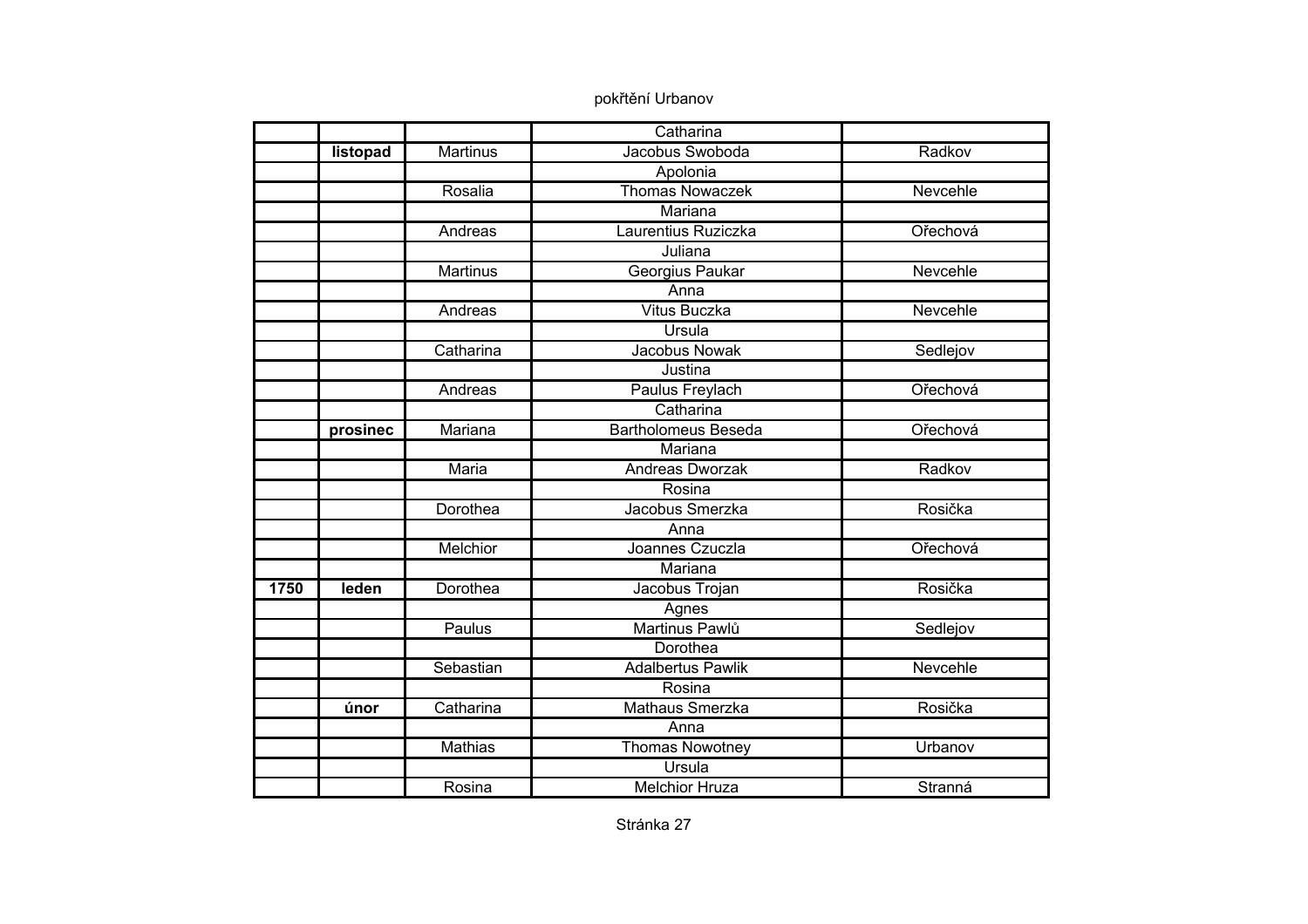|      |          |                 | Catharina                  |          |
|------|----------|-----------------|----------------------------|----------|
|      | listopad | <b>Martinus</b> | Jacobus Swoboda            | Radkov   |
|      |          |                 | Apolonia                   |          |
|      |          | Rosalia         | <b>Thomas Nowaczek</b>     | Nevcehle |
|      |          |                 | Mariana                    |          |
|      |          | Andreas         | Laurentius Ruziczka        | Ořechová |
|      |          |                 | Juliana                    |          |
|      |          | Martinus        | Georgius Paukar            | Nevcehle |
|      |          |                 | Anna                       |          |
|      |          | Andreas         | <b>Vitus Buczka</b>        | Nevcehle |
|      |          |                 | Ursula                     |          |
|      |          | Catharina       | <b>Jacobus Nowak</b>       | Sedlejov |
|      |          |                 | Justina                    |          |
|      |          | Andreas         | Paulus Freylach            | Ořechová |
|      |          |                 | Catharina                  |          |
|      | prosinec | Mariana         | <b>Bartholomeus Beseda</b> | Ořechová |
|      |          |                 | <b>Mariana</b>             |          |
|      |          | Maria           | Andreas Dworzak            | Radkov   |
|      |          |                 | Rosina                     |          |
|      |          | Dorothea        | Jacobus Smerzka            | Rosička  |
|      |          |                 | Anna                       |          |
|      |          | Melchior        | Joannes Czuczla            | Ořechová |
|      |          |                 | Mariana                    |          |
| 1750 | leden    | Dorothea        | Jacobus Trojan             | Rosička  |
|      |          |                 | Agnes                      |          |
|      |          | Paulus          | Martinus Pawlů             | Sedlejov |
|      |          |                 | Dorothea                   |          |
|      |          | Sebastian       | <b>Adalbertus Pawlik</b>   | Nevcehle |
|      |          |                 | Rosina                     |          |
|      | únor     | Catharina       | Mathaus Smerzka            | Rosička  |
|      |          |                 | Anna                       |          |
|      |          | <b>Mathias</b>  | <b>Thomas Nowotney</b>     | Urbanov  |
|      |          |                 | Ursula                     |          |
|      |          | Rosina          | <b>Melchior Hruza</b>      | Stranná  |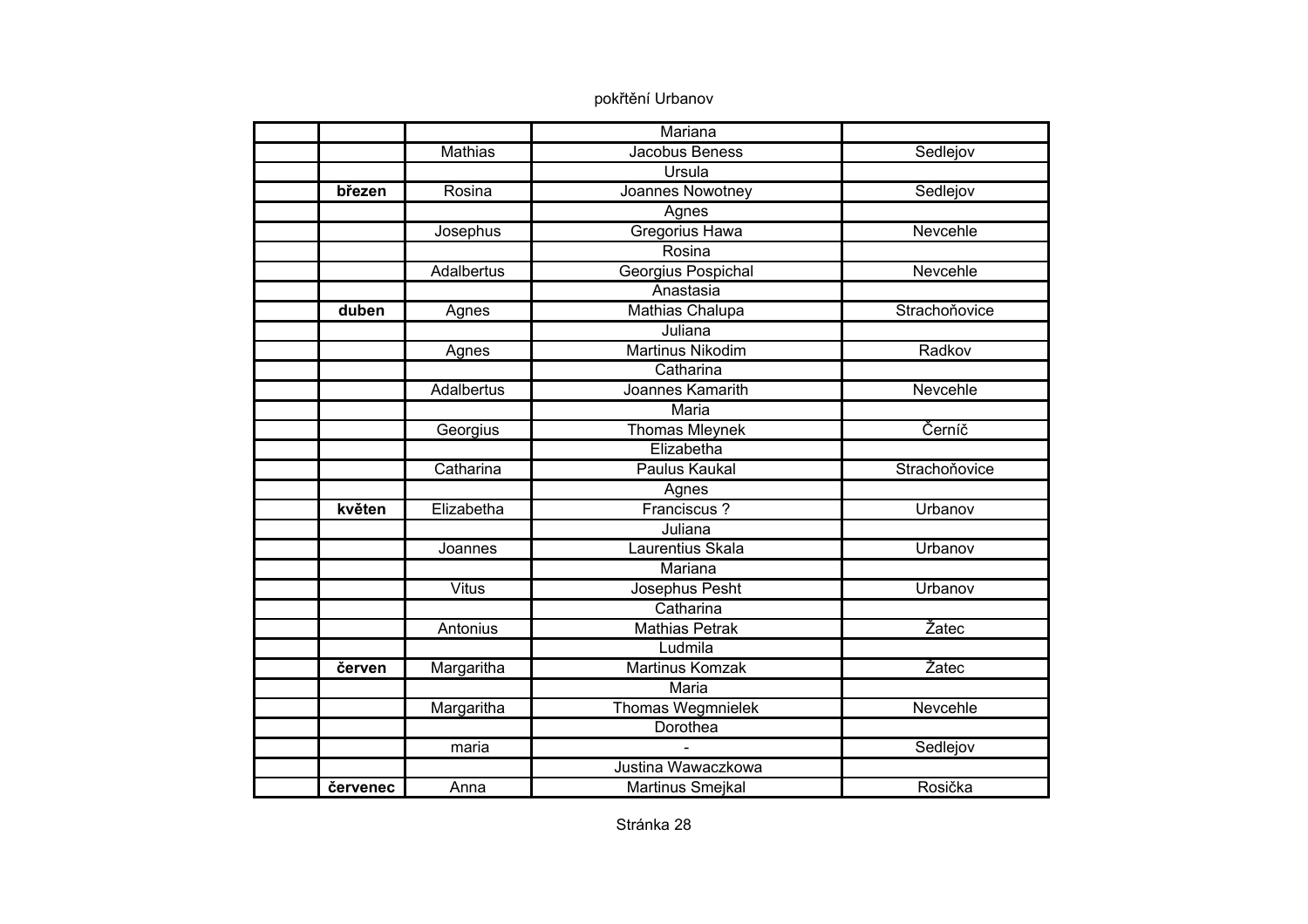|          |                   | Mariana                 |               |
|----------|-------------------|-------------------------|---------------|
|          | <b>Mathias</b>    | Jacobus Beness          | Sedlejov      |
|          |                   | <b>Ursula</b>           |               |
| březen   | Rosina            | Joannes Nowotney        | Sedlejov      |
|          |                   | Agnes                   |               |
|          | Josephus          | <b>Gregorius Hawa</b>   | Nevcehle      |
|          |                   | Rosina                  |               |
|          | <b>Adalbertus</b> | Georgius Pospichal      | Nevcehle      |
|          |                   | Anastasia               |               |
| duben    | Agnes             | Mathias Chalupa         | Strachoňovice |
|          |                   | Juliana                 |               |
|          | Agnes             | <b>Martinus Nikodim</b> | Radkov        |
|          |                   | Catharina               |               |
|          | <b>Adalbertus</b> | Joannes Kamarith        | Nevcehle      |
|          |                   | Maria                   |               |
|          | Georgius          | <b>Thomas Mleynek</b>   | Černíč        |
|          |                   | Elizabetha              |               |
|          | Catharina         | Paulus Kaukal           | Strachoňovice |
|          |                   | Agnes                   |               |
| květen   | Elizabetha        | Franciscus?             | Urbanov       |
|          |                   | Juliana                 |               |
|          | Joannes           | Laurentius Skala        | Urbanov       |
|          |                   | Mariana                 |               |
|          | <b>Vitus</b>      | Josephus Pesht          | Urbanov       |
|          |                   | Catharina               |               |
|          | Antonius          | <b>Mathias Petrak</b>   | Žatec         |
|          |                   | Ludmila                 |               |
| červen   | Margaritha        | Martinus Komzak         | Žatec         |
|          |                   | Maria                   |               |
|          | Margaritha        | Thomas Wegmnielek       | Nevcehle      |
|          |                   | Dorothea                |               |
|          | maria             |                         | Sedlejov      |
|          |                   | Justina Wawaczkowa      |               |
| červenec | Anna              | Martinus Smejkal        | Rosička       |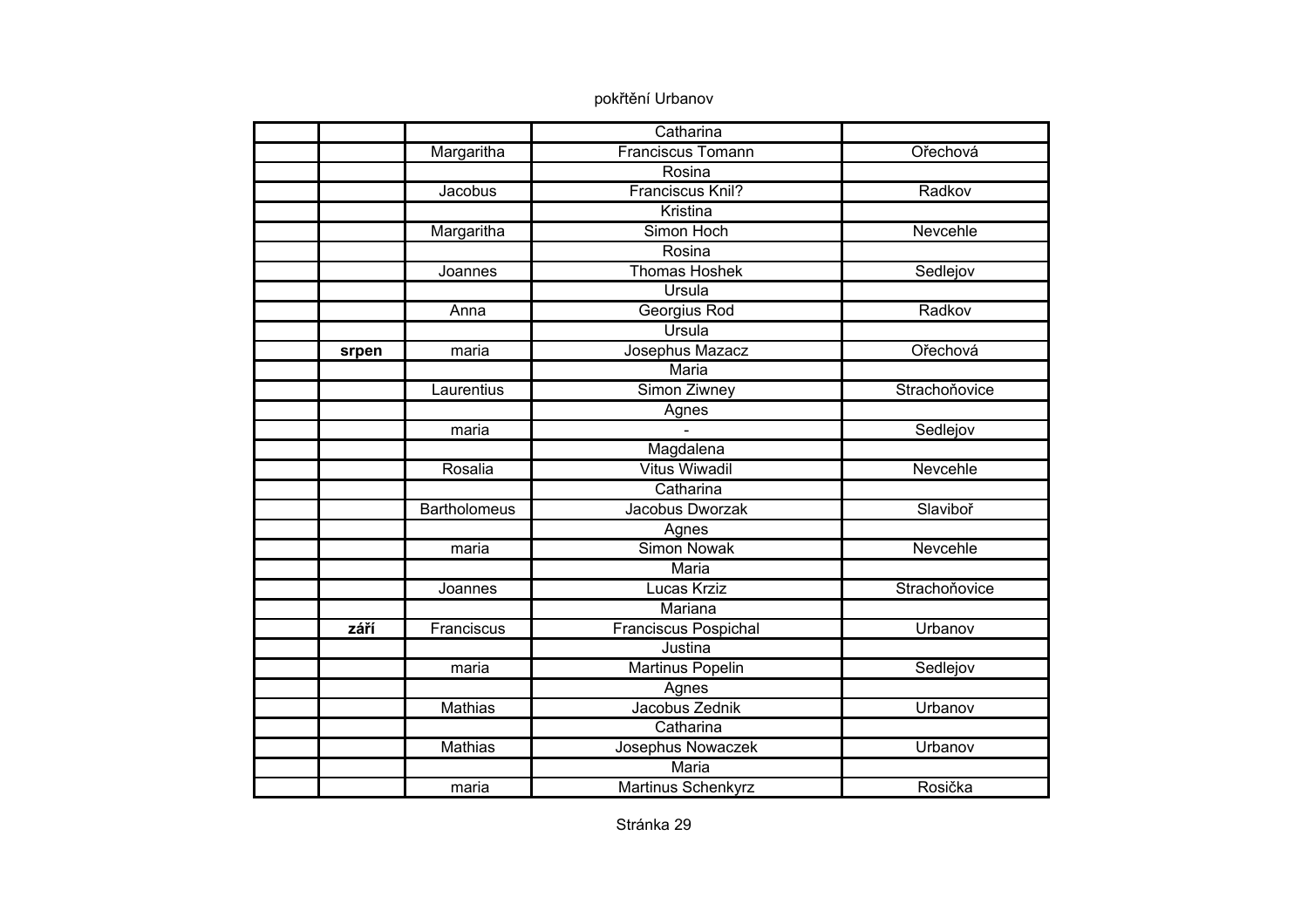|       |                     | Catharina                   |               |
|-------|---------------------|-----------------------------|---------------|
|       | Margaritha          | <b>Franciscus Tomann</b>    | Ořechová      |
|       |                     | Rosina                      |               |
|       | Jacobus             | Franciscus Knil?            | Radkov        |
|       |                     | Kristina                    |               |
|       | Margaritha          | Simon Hoch                  | Nevcehle      |
|       |                     | Rosina                      |               |
|       | Joannes             | Thomas Hoshek               | Sedlejov      |
|       |                     | Ursula                      |               |
|       | Anna                | Georgius Rod                | Radkov        |
|       |                     | Ursula                      |               |
| srpen | maria               | Josephus Mazacz             | Ořechová      |
|       |                     | <b>Maria</b>                |               |
|       | Laurentius          | Simon Ziwney                | Strachoňovice |
|       |                     | Agnes                       |               |
|       | maria               |                             | Sedlejov      |
|       |                     | Magdalena                   |               |
|       | Rosalia             | <b>Vitus Wiwadil</b>        | Nevcehle      |
|       |                     | Catharina                   |               |
|       | <b>Bartholomeus</b> | Jacobus Dworzak             | Slaviboř      |
|       |                     | Agnes                       |               |
|       | maria               | <b>Simon Nowak</b>          | Nevcehle      |
|       |                     | <b>Maria</b>                |               |
|       | Joannes             | Lucas Krziz                 | Strachoňovice |
|       |                     | Mariana                     |               |
| září  | Franciscus          | <b>Franciscus Pospichal</b> | Urbanov       |
|       |                     | Justina                     |               |
|       | maria               | Martinus Popelin            | Sedlejov      |
|       |                     | Agnes                       |               |
|       | Mathias             | Jacobus Zednik              | Urbanov       |
|       |                     | Catharina                   |               |
|       | <b>Mathias</b>      | Josephus Nowaczek           | Urbanov       |
|       |                     | Maria                       |               |
|       | maria               | Martinus Schenkyrz          | Rosička       |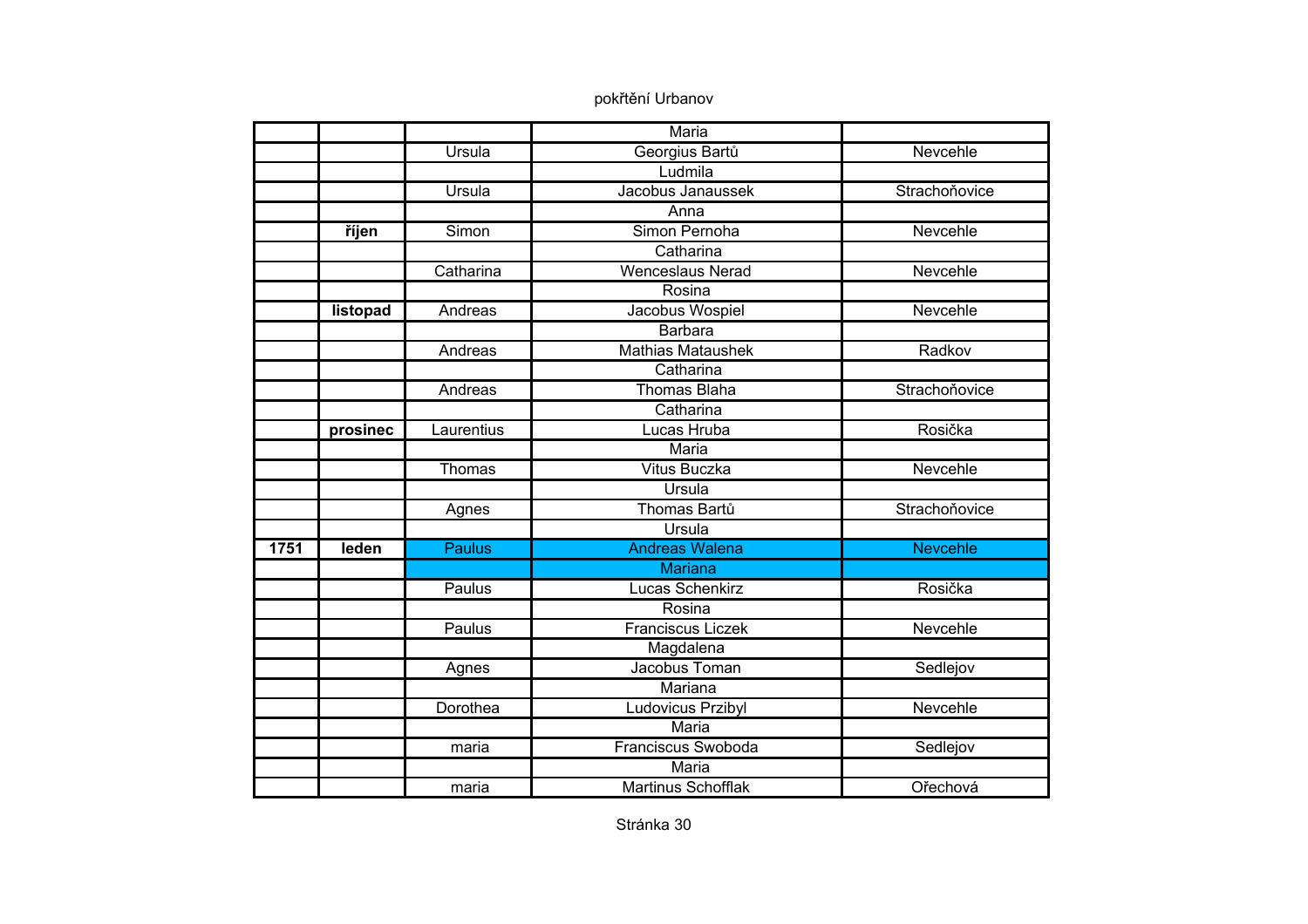|      |          |               | Maria                     |                 |
|------|----------|---------------|---------------------------|-----------------|
|      |          | <b>Ursula</b> | Georgius Bartů            | Nevcehle        |
|      |          |               | Ludmila                   |                 |
|      |          | Ursula        | Jacobus Janaussek         | Strachoňovice   |
|      |          |               | Anna                      |                 |
|      | říjen    | Simon         | Simon Pernoha             | Nevcehle        |
|      |          |               | Catharina                 |                 |
|      |          | Catharina     | <b>Wenceslaus Nerad</b>   | Nevcehle        |
|      |          |               | Rosina                    |                 |
|      | listopad | Andreas       | Jacobus Wospiel           | Nevcehle        |
|      |          |               | <b>Barbara</b>            |                 |
|      |          | Andreas       | <b>Mathias Mataushek</b>  | Radkov          |
|      |          |               | Catharina                 |                 |
|      |          | Andreas       | <b>Thomas Blaha</b>       | Strachoňovice   |
|      |          |               | Catharina                 |                 |
|      | prosinec | Laurentius    | Lucas Hruba               | Rosička         |
|      |          |               | Maria                     |                 |
|      |          | Thomas        | Vitus Buczka              | Nevcehle        |
|      |          |               | Ursula                    |                 |
|      |          | Agnes         | Thomas Bartů              | Strachoňovice   |
|      |          |               | Ursula                    |                 |
| 1751 | leden    | <b>Paulus</b> | <b>Andreas Walena</b>     | <b>Nevcehle</b> |
|      |          |               | <b>Mariana</b>            |                 |
|      |          | Paulus        | Lucas Schenkirz           | Rosička         |
|      |          |               | Rosina                    |                 |
|      |          | Paulus        | <b>Franciscus Liczek</b>  | Nevcehle        |
|      |          |               | Magdalena                 |                 |
|      |          | Agnes         | Jacobus Toman             | Sedlejov        |
|      |          |               | Mariana                   |                 |
|      |          | Dorothea      | Ludovicus Przibyl         | Nevcehle        |
|      |          |               | Maria                     |                 |
|      |          | maria         | <b>Franciscus Swoboda</b> | Sedlejov        |
|      |          |               | Maria                     |                 |
|      |          | maria         | <b>Martinus Schofflak</b> | Ořechová        |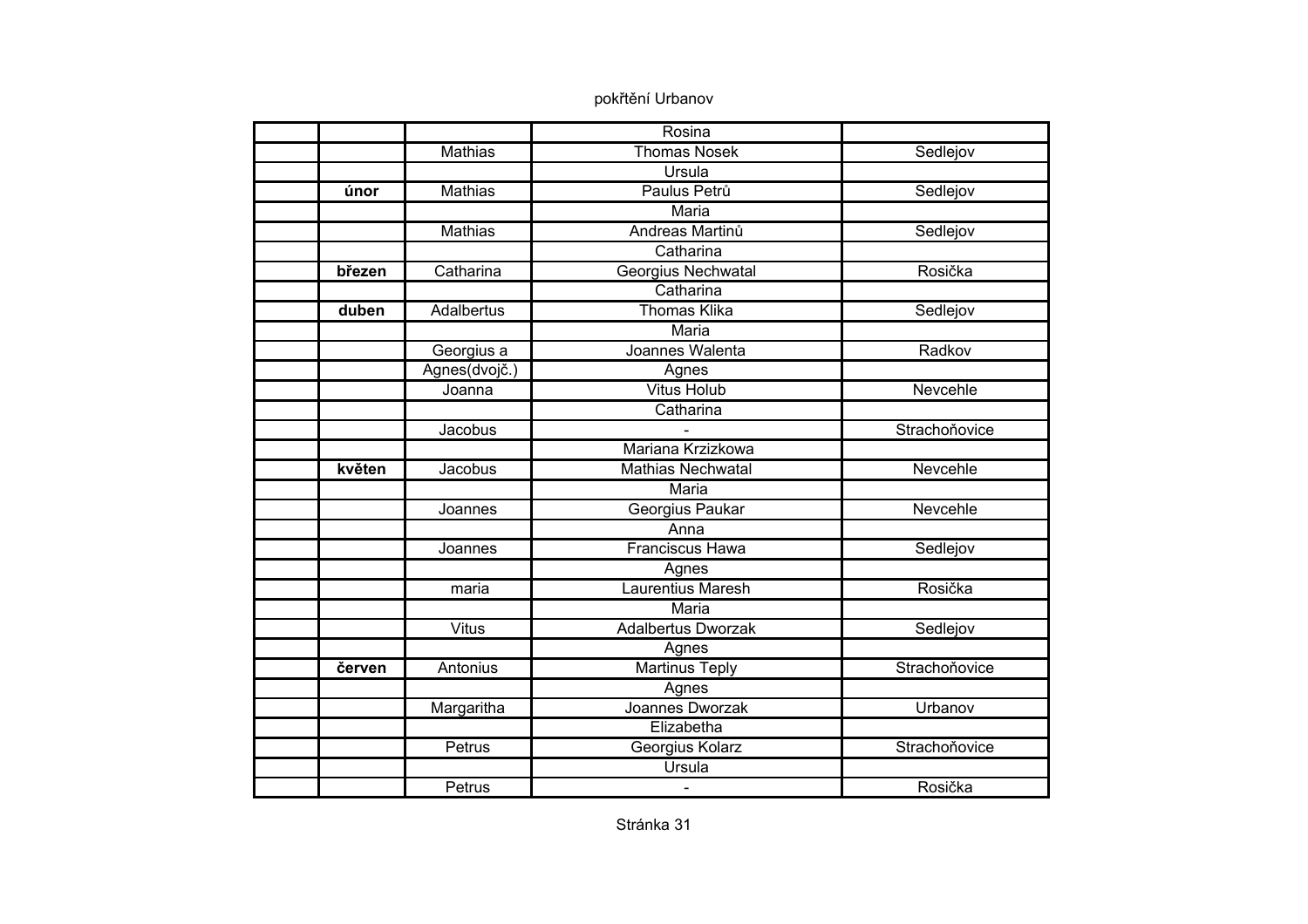|        |                | Rosina                    |               |
|--------|----------------|---------------------------|---------------|
|        | Mathias        | <b>Thomas Nosek</b>       | Sedlejov      |
|        |                | <b>Ursula</b>             |               |
| únor   | <b>Mathias</b> | Paulus Petrů              | Sedlejov      |
|        |                | <b>Maria</b>              |               |
|        | <b>Mathias</b> | Andreas Martinů           | Sedlejov      |
|        |                | Catharina                 |               |
| březen | Catharina      | Georgius Nechwatal        | Rosička       |
|        |                | Catharina                 |               |
| duben  | Adalbertus     | <b>Thomas Klika</b>       | Sedlejov      |
|        |                | Maria                     |               |
|        | Georgius a     | Joannes Walenta           | Radkov        |
|        | Agnes(dvojč.)  | Agnes                     |               |
|        | Joanna         | <b>Vitus Holub</b>        | Nevcehle      |
|        |                | Catharina                 |               |
|        | Jacobus        |                           | Strachoňovice |
|        |                | Mariana Krzizkowa         |               |
| květen | Jacobus        | <b>Mathias Nechwatal</b>  | Nevcehle      |
|        |                | Maria                     |               |
|        | Joannes        | Georgius Paukar           | Nevcehle      |
|        |                | Anna                      |               |
|        | Joannes        | <b>Franciscus Hawa</b>    | Sedlejov      |
|        |                | Agnes                     |               |
|        | maria          | <b>Laurentius Maresh</b>  | Rosička       |
|        |                | Maria                     |               |
|        | <b>Vitus</b>   | <b>Adalbertus Dworzak</b> | Sedlejov      |
|        |                | Agnes                     |               |
| červen | Antonius       | <b>Martinus Teply</b>     | Strachoňovice |
|        |                | Agnes                     |               |
|        | Margaritha     | Joannes Dworzak           | Urbanov       |
|        |                | Elizabetha                |               |
|        | Petrus         | Georgius Kolarz           | Strachoňovice |
|        |                | Ursula                    |               |
|        | Petrus         | $\blacksquare$            | Rosička       |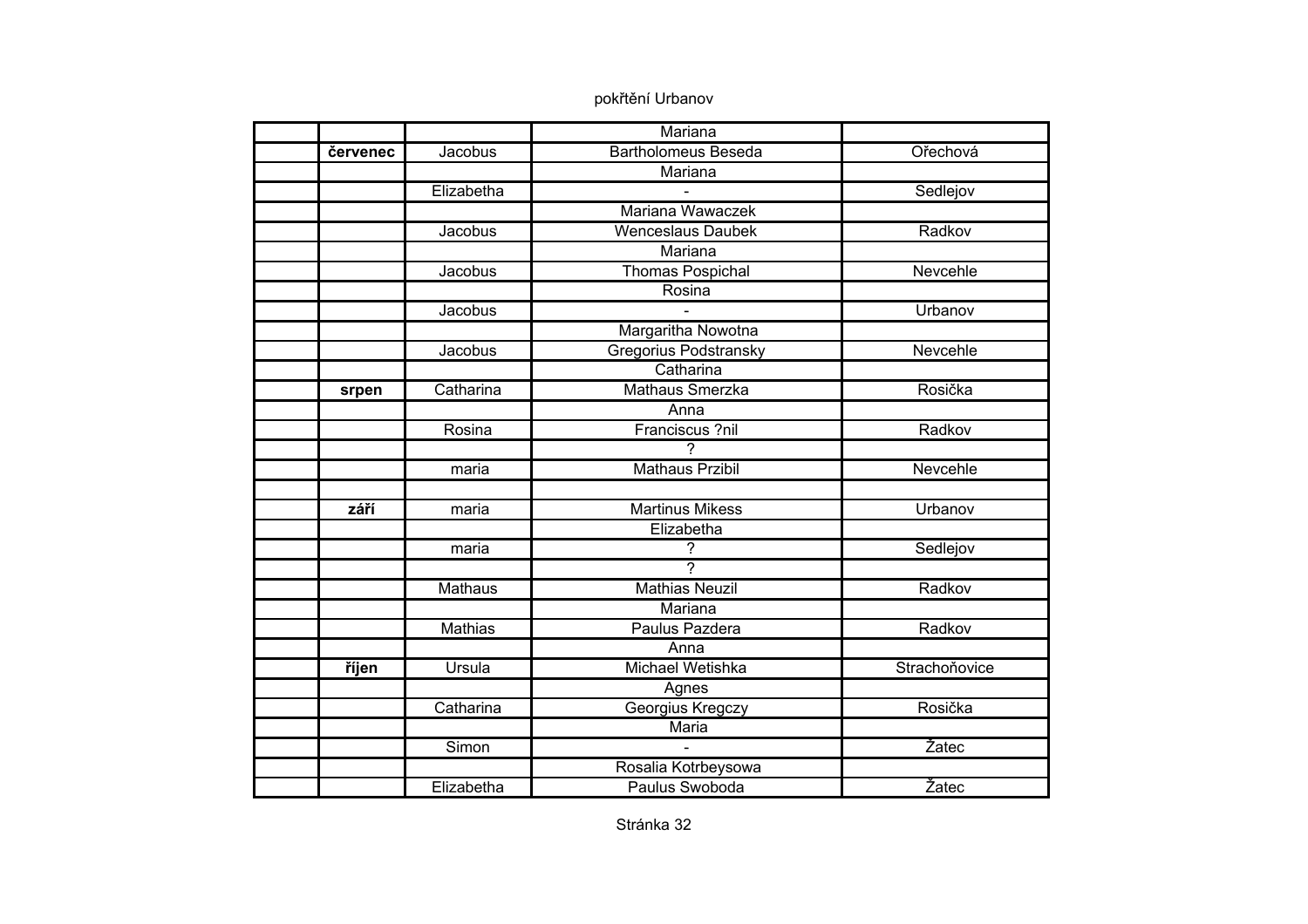|          |                | Mariana                    |               |
|----------|----------------|----------------------------|---------------|
| červenec | Jacobus        | <b>Bartholomeus Beseda</b> | Ořechová      |
|          |                | Mariana                    |               |
|          | Elizabetha     |                            | Sedlejov      |
|          |                | Mariana Wawaczek           |               |
|          | Jacobus        | <b>Wenceslaus Daubek</b>   | Radkov        |
|          |                | Mariana                    |               |
|          | Jacobus        | <b>Thomas Pospichal</b>    | Nevcehle      |
|          |                | Rosina                     |               |
|          | Jacobus        |                            | Urbanov       |
|          |                | Margaritha Nowotna         |               |
|          | Jacobus        | Gregorius Podstransky      | Nevcehle      |
|          |                | Catharina                  |               |
| srpen    | Catharina      | <b>Mathaus Smerzka</b>     | Rosička       |
|          |                | Anna                       |               |
|          | Rosina         | Franciscus ?nil            | Radkov        |
|          |                | $\overline{?}$             |               |
|          | maria          | <b>Mathaus Przibil</b>     | Nevcehle      |
|          |                |                            |               |
| září     | maria          | <b>Martinus Mikess</b>     | Urbanov       |
|          |                | Elizabetha                 |               |
|          | maria          | ?                          | Sedlejov      |
|          |                | ᡔ                          |               |
|          | <b>Mathaus</b> | <b>Mathias Neuzil</b>      | Radkov        |
|          |                | Mariana                    |               |
|          | <b>Mathias</b> | Paulus Pazdera             | Radkov        |
|          |                | Anna                       |               |
| říjen    | Ursula         | Michael Wetishka           | Strachoňovice |
|          |                | Agnes                      |               |
|          | Catharina      | Georgius Kregczy           | Rosička       |
|          |                | Maria                      |               |
|          | Simon          |                            | Žatec         |
|          |                | Rosalia Kotrbeysowa        |               |
|          | Elizabetha     | Paulus Swoboda             | Žatec         |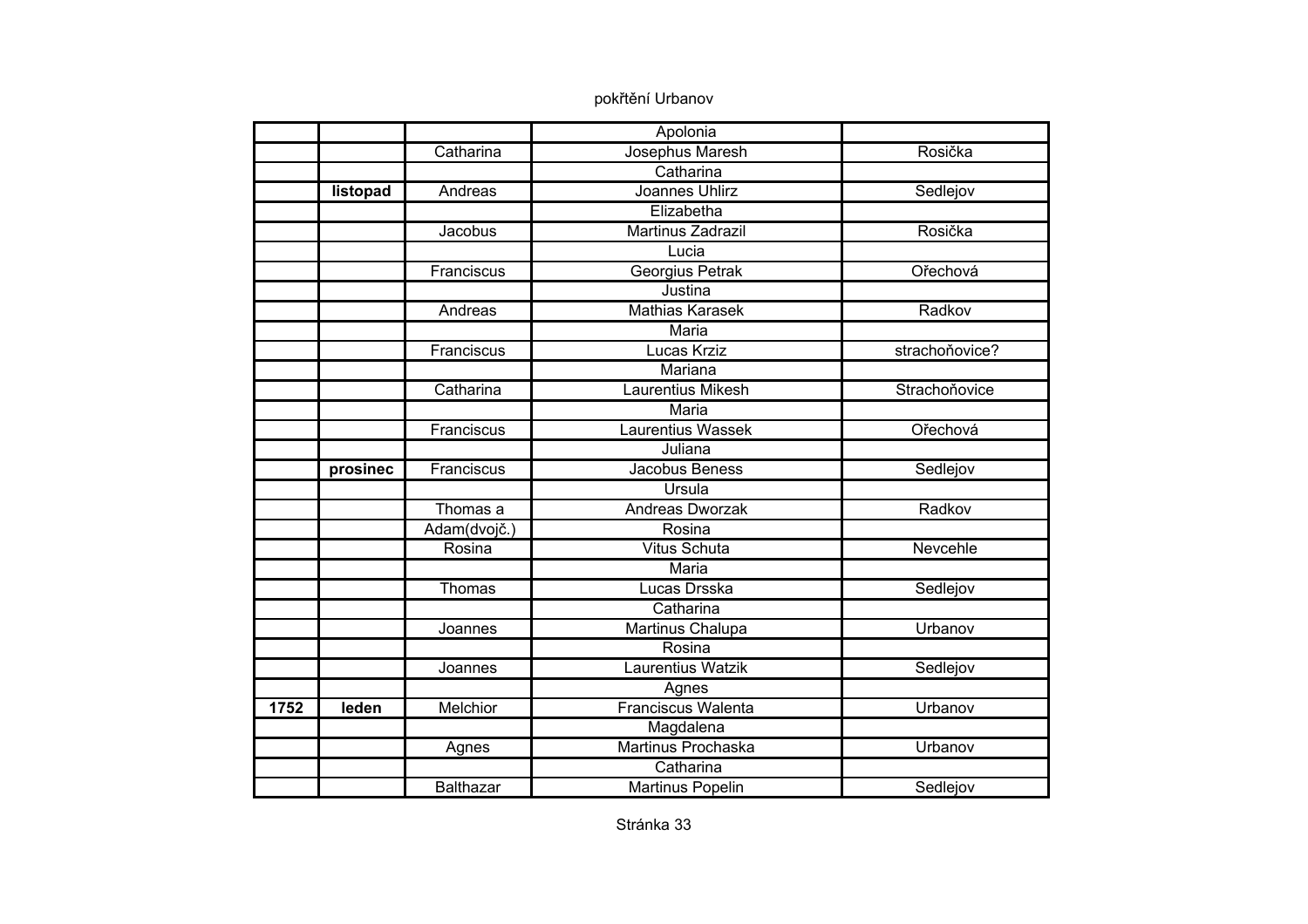|      |          |              | Apolonia                  |                |
|------|----------|--------------|---------------------------|----------------|
|      |          | Catharina    | Josephus Maresh           | Rosička        |
|      |          |              | Catharina                 |                |
|      | listopad | Andreas      | <b>Joannes Uhlirz</b>     | Sedlejov       |
|      |          |              | Elizabetha                |                |
|      |          | Jacobus      | <b>Martinus Zadrazil</b>  | Rosička        |
|      |          |              | Lucia                     |                |
|      |          | Franciscus   | Georgius Petrak           | Ořechová       |
|      |          |              | Justina                   |                |
|      |          | Andreas      | <b>Mathias Karasek</b>    | Radkov         |
|      |          |              | Maria                     |                |
|      |          | Franciscus   | Lucas Krziz               | strachoňovice? |
|      |          |              | Mariana                   |                |
|      |          | Catharina    | <b>Laurentius Mikesh</b>  | Strachoňovice  |
|      |          |              | <b>Maria</b>              |                |
|      |          | Franciscus   | <b>Laurentius Wassek</b>  | Ořechová       |
|      |          |              | Juliana                   |                |
|      | prosinec | Franciscus   | Jacobus Beness            | Sedlejov       |
|      |          |              | Ursula                    |                |
|      |          | Thomas a     | Andreas Dworzak           | Radkov         |
|      |          | Adam(dvojč.) | Rosina                    |                |
|      |          | Rosina       | <b>Vitus Schuta</b>       | Nevcehle       |
|      |          |              | <b>Maria</b>              |                |
|      |          | Thomas       | Lucas Drsska              | Sedlejov       |
|      |          |              | Catharina                 |                |
|      |          | Joannes      | Martinus Chalupa          | Urbanov        |
|      |          |              | Rosina                    |                |
|      |          | Joannes      | Laurentius Watzik         | Sedlejov       |
|      |          |              | Agnes                     |                |
| 1752 | leden    | Melchior     | <b>Franciscus Walenta</b> | Urbanov        |
|      |          |              | Magdalena                 |                |
|      |          | Agnes        | <b>Martinus Prochaska</b> | Urbanov        |
|      |          |              | Catharina                 |                |
|      |          | Balthazar    | <b>Martinus Popelin</b>   | Sedlejov       |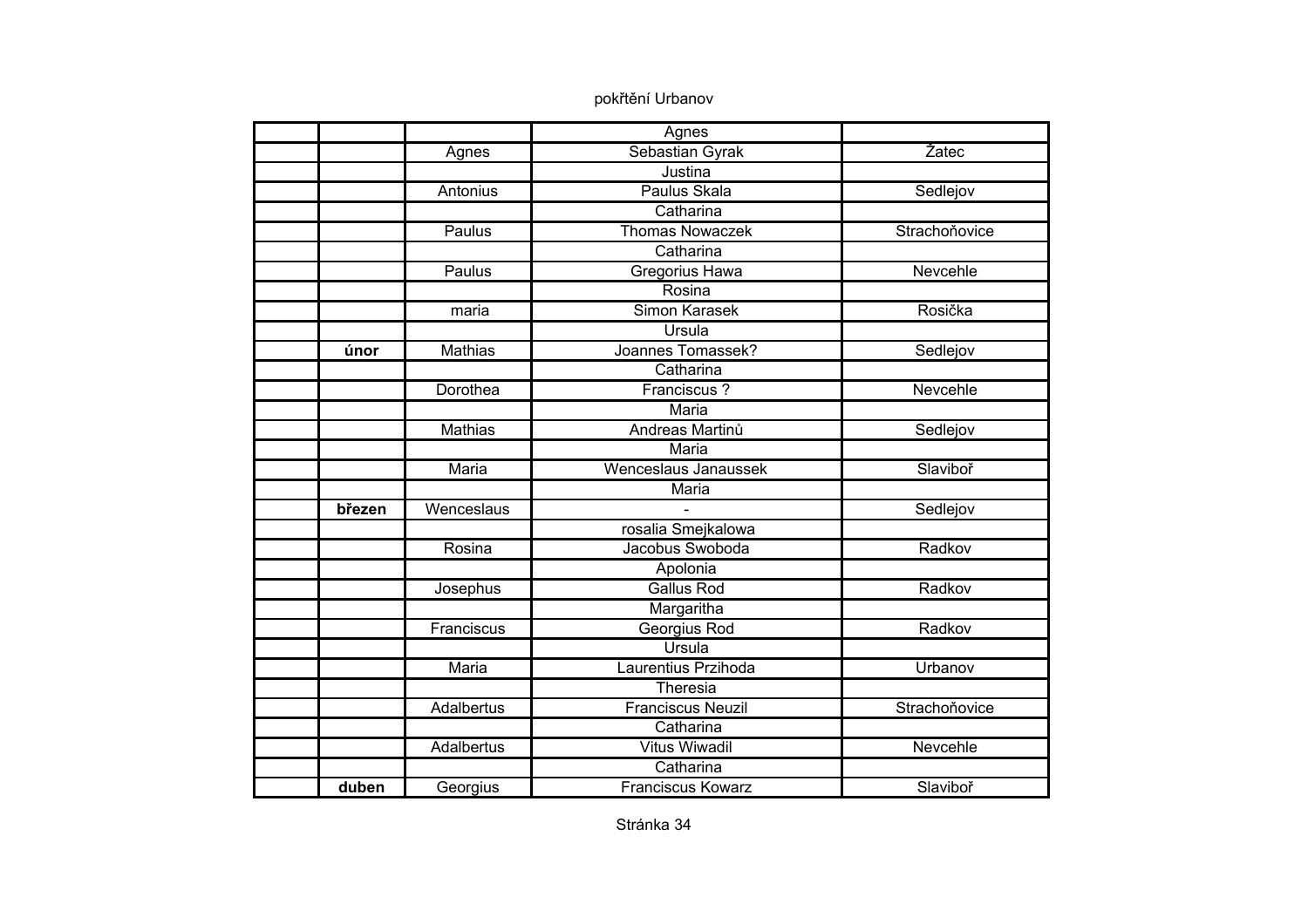|        |                | Agnes                    |               |
|--------|----------------|--------------------------|---------------|
|        | Agnes          | Sebastian Gyrak          | Žatec         |
|        |                | Justina                  |               |
|        | Antonius       | Paulus Skala             | Sedlejov      |
|        |                | Catharina                |               |
|        | Paulus         | <b>Thomas Nowaczek</b>   | Strachoňovice |
|        |                | Catharina                |               |
|        | Paulus         | Gregorius Hawa           | Nevcehle      |
|        |                | Rosina                   |               |
|        | maria          | Simon Karasek            | Rosička       |
|        |                | Ursula                   |               |
| únor   | <b>Mathias</b> | Joannes Tomassek?        | Sedlejov      |
|        |                | Catharina                |               |
|        | Dorothea       | Franciscus?              | Nevcehle      |
|        |                | <b>Maria</b>             |               |
|        | <b>Mathias</b> | Andreas Martinů          | Sedlejov      |
|        |                | <b>Maria</b>             |               |
|        | Maria          | Wenceslaus Janaussek     | Slaviboř      |
|        |                | Maria                    |               |
| březen | Wenceslaus     |                          | Sedlejov      |
|        |                | rosalia Smejkalowa       |               |
|        | Rosina         | Jacobus Swoboda          | Radkov        |
|        |                | Apolonia                 |               |
|        | Josephus       | <b>Gallus Rod</b>        | Radkov        |
|        |                | Margaritha               |               |
|        | Franciscus     | Georgius Rod             | Radkov        |
|        |                | Ursula                   |               |
|        | Maria          | Laurentius Przihoda      | Urbanov       |
|        |                | Theresia                 |               |
|        | Adalbertus     | <b>Franciscus Neuzil</b> | Strachoňovice |
|        |                | Catharina                |               |
|        | Adalbertus     | <b>Vitus Wiwadil</b>     | Nevcehle      |
|        |                | Catharina                |               |
| duben  |                | <b>Franciscus Kowarz</b> | Slaviboř      |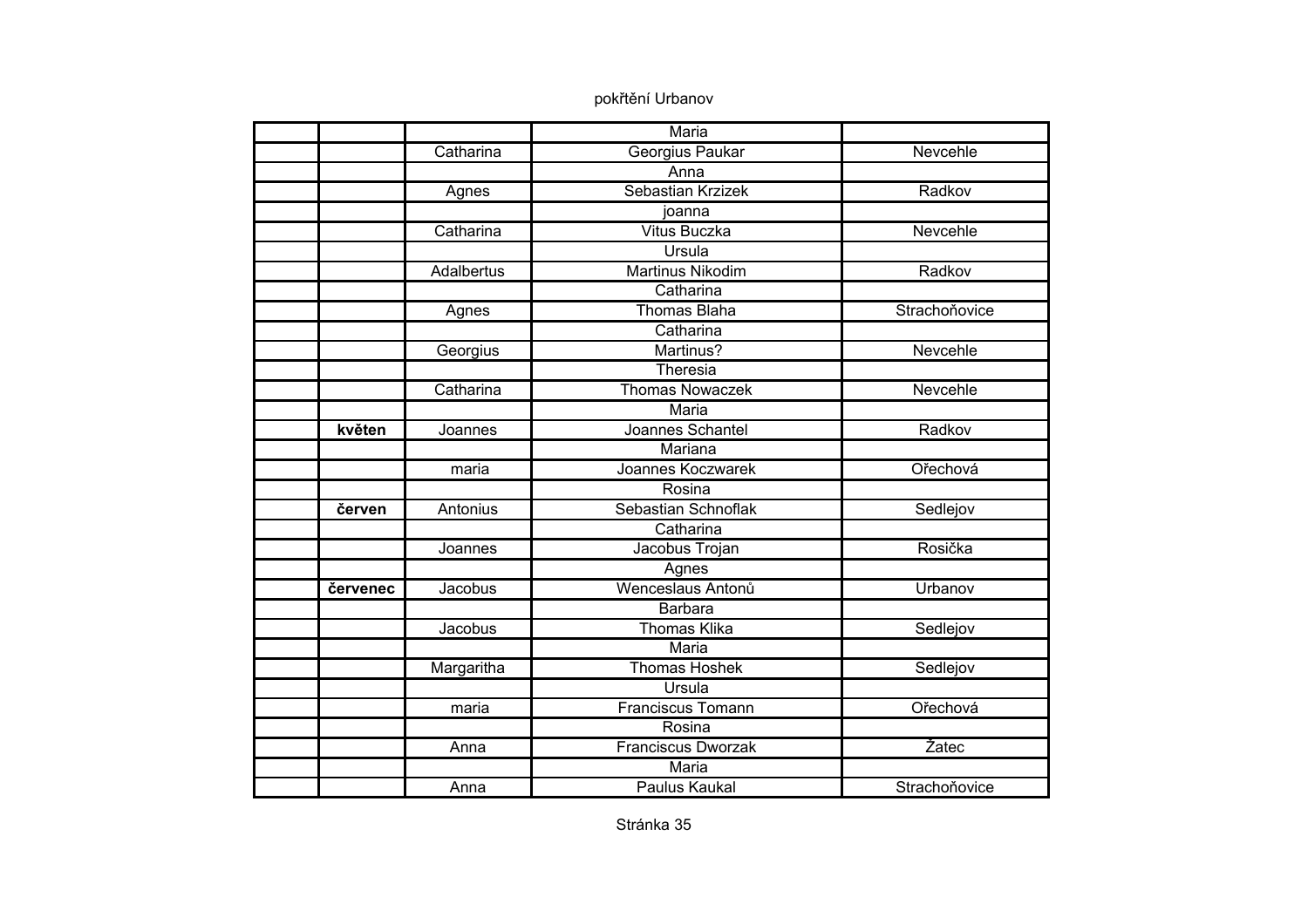|          |                   | Maria                     |               |
|----------|-------------------|---------------------------|---------------|
|          | Catharina         | Georgius Paukar           | Nevcehle      |
|          |                   | Anna                      |               |
|          | Agnes             | Sebastian Krzizek         | Radkov        |
|          |                   | joanna                    |               |
|          | Catharina         | <b>Vitus Buczka</b>       | Nevcehle      |
|          |                   | Ursula                    |               |
|          | <b>Adalbertus</b> | Martinus Nikodim          | Radkov        |
|          |                   | Catharina                 |               |
|          | Agnes             | <b>Thomas Blaha</b>       | Strachoňovice |
|          |                   | Catharina                 |               |
|          | Georgius          | Martinus?                 | Nevcehle      |
|          |                   | Theresia                  |               |
|          | Catharina         | <b>Thomas Nowaczek</b>    | Nevcehle      |
|          |                   | <b>Maria</b>              |               |
| květen   | Joannes           | Joannes Schantel          | Radkov        |
|          |                   | Mariana                   |               |
|          | maria             | Joannes Koczwarek         | Ořechová      |
|          |                   | Rosina                    |               |
| červen   | Antonius          | Sebastian Schnoflak       | Sedlejov      |
|          |                   | Catharina                 |               |
|          | Joannes           | Jacobus Trojan            | Rosička       |
|          |                   | Agnes                     |               |
| červenec | Jacobus           | Wenceslaus Antonů         | Urbanov       |
|          |                   | <b>Barbara</b>            |               |
|          | Jacobus           | <b>Thomas Klika</b>       | Sedlejov      |
|          |                   | Maria                     |               |
|          | Margaritha        | <b>Thomas Hoshek</b>      | Sedlejov      |
|          |                   | Ursula                    |               |
|          | maria             | <b>Franciscus Tomann</b>  | Ořechová      |
|          |                   | Rosina                    |               |
|          | Anna              | <b>Franciscus Dworzak</b> | Žatec         |
|          |                   | Maria                     |               |
|          | Anna              | <b>Paulus Kaukal</b>      | Strachoňovice |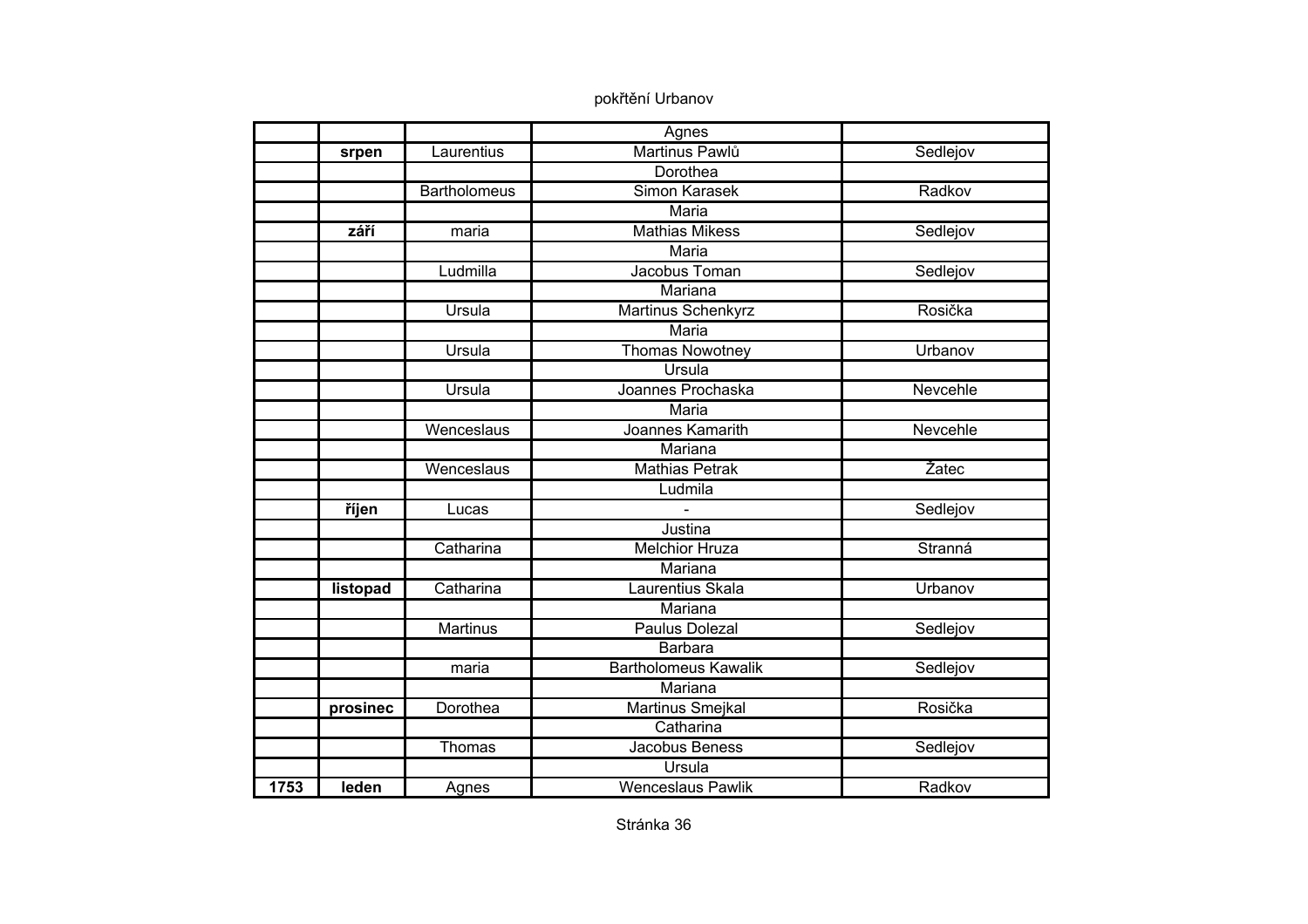|      |              |                     | Agnes                       |          |
|------|--------------|---------------------|-----------------------------|----------|
|      | srpen        | Laurentius          | Martinus Pawlů              | Sedlejov |
|      |              |                     | Dorothea                    |          |
|      |              | <b>Bartholomeus</b> | Simon Karasek               | Radkov   |
|      |              |                     | <b>Maria</b>                |          |
|      | září         | maria               | <b>Mathias Mikess</b>       | Sedlejov |
|      |              |                     | Maria                       |          |
|      |              | Ludmilla            | Jacobus Toman               | Sedlejov |
|      |              |                     | Mariana                     |          |
|      |              | Ursula              | Martinus Schenkyrz          | Rosička  |
|      |              |                     | Maria                       |          |
|      |              | Ursula              | <b>Thomas Nowotney</b>      | Urbanov  |
|      |              |                     | Ursula                      |          |
|      |              | Ursula              | Joannes Prochaska           | Nevcehle |
|      |              |                     | <b>Maria</b>                |          |
|      |              | Wenceslaus          | Joannes Kamarith            | Nevcehle |
|      |              |                     | Mariana                     |          |
|      |              | Wenceslaus          | <b>Mathias Petrak</b>       | Žatec    |
|      |              |                     | Ludmila                     |          |
|      | <i>říjen</i> | Lucas               |                             | Sedlejov |
|      |              |                     | Justina                     |          |
|      |              | Catharina           | <b>Melchior Hruza</b>       | Stranná  |
|      |              |                     | Mariana                     |          |
|      | listopad     | Catharina           | Laurentius Skala            | Urbanov  |
|      |              |                     | Mariana                     |          |
|      |              | <b>Martinus</b>     | <b>Paulus Dolezal</b>       | Sedlejov |
|      |              |                     | <b>Barbara</b>              |          |
|      |              | maria               | <b>Bartholomeus Kawalik</b> | Sedlejov |
|      |              |                     | Mariana                     |          |
|      | prosinec     | Dorothea            | Martinus Smejkal            | Rosička  |
|      |              |                     | Catharina                   |          |
|      |              | Thomas              | Jacobus Beness              | Sedlejov |
|      |              |                     | Ursula                      |          |
| 1753 | leden        | Agnes               | <b>Wenceslaus Pawlik</b>    | Radkov   |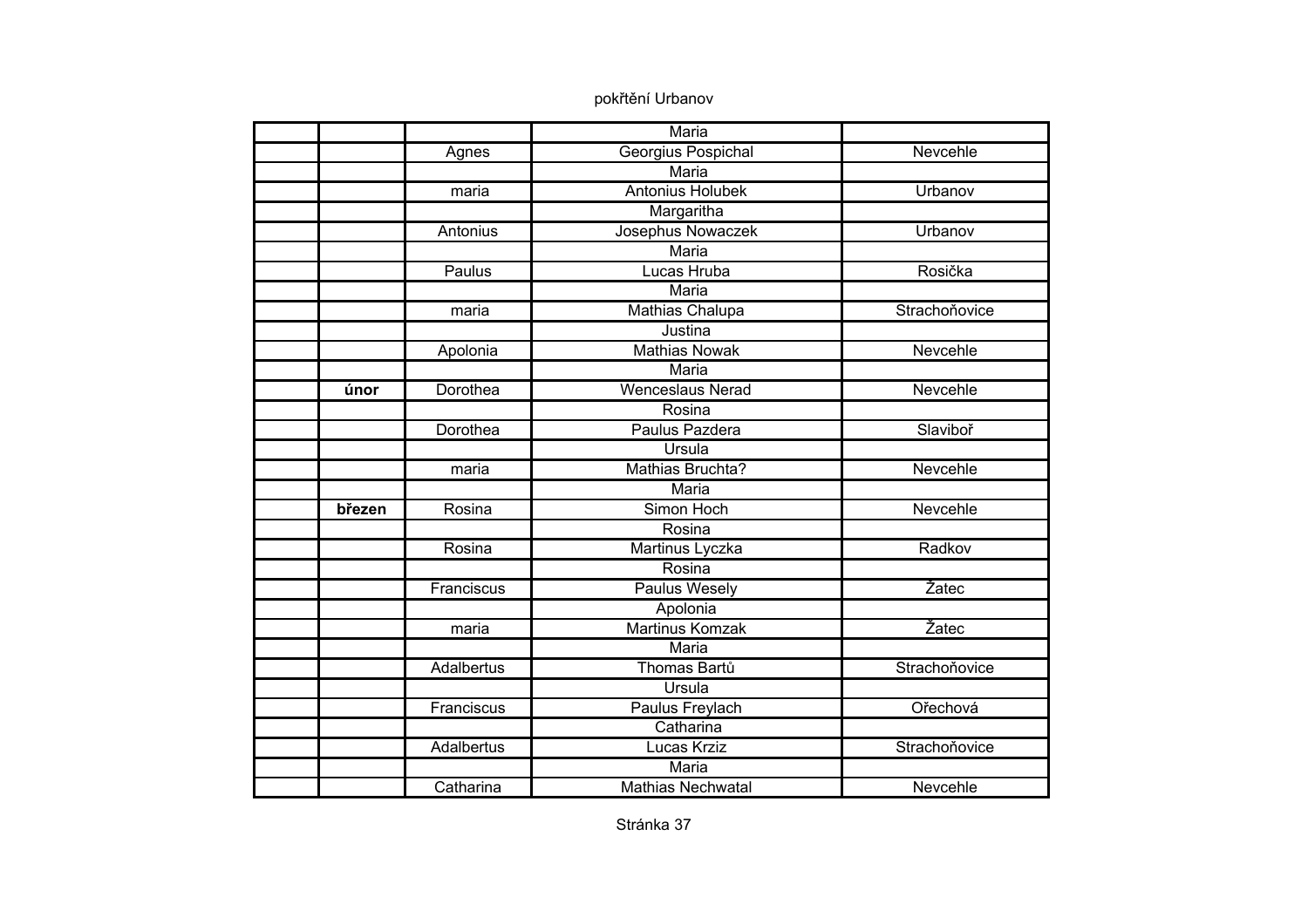|        |            | Maria                    |               |
|--------|------------|--------------------------|---------------|
|        | Agnes      | Georgius Pospichal       | Nevcehle      |
|        |            | <b>Maria</b>             |               |
|        | maria      | <b>Antonius Holubek</b>  | Urbanov       |
|        |            | Margaritha               |               |
|        | Antonius   | Josephus Nowaczek        | Urbanov       |
|        |            | Maria                    |               |
|        | Paulus     | Lucas Hruba              | Rosička       |
|        |            | Maria                    |               |
|        | maria      | Mathias Chalupa          | Strachoňovice |
|        |            | Justina                  |               |
|        | Apolonia   | <b>Mathias Nowak</b>     | Nevcehle      |
|        |            | <b>Maria</b>             |               |
| únor   | Dorothea   | <b>Wenceslaus Nerad</b>  | Nevcehle      |
|        |            | Rosina                   |               |
|        | Dorothea   | Paulus Pazdera           | Slaviboř      |
|        |            | Ursula                   |               |
|        | maria      | Mathias Bruchta?         | Nevcehle      |
|        |            | Maria                    |               |
| březen | Rosina     | Simon Hoch               | Nevcehle      |
|        |            | Rosina                   |               |
|        | Rosina     | <b>Martinus Lyczka</b>   | Radkov        |
|        |            | Rosina                   |               |
|        | Franciscus | <b>Paulus Wesely</b>     | Žatec         |
|        |            | Apolonia                 |               |
|        | maria      | <b>Martinus Komzak</b>   | Žatec         |
|        |            | Maria                    |               |
|        | Adalbertus | Thomas Bartů             | Strachoňovice |
|        |            | Ursula                   |               |
|        | Franciscus | Paulus Freylach          | Ořechová      |
|        |            | Catharina                |               |
|        | Adalbertus | <b>Lucas Krziz</b>       | Strachoňovice |
|        |            | Maria                    |               |
|        | Catharina  | <b>Mathias Nechwatal</b> | Nevcehle      |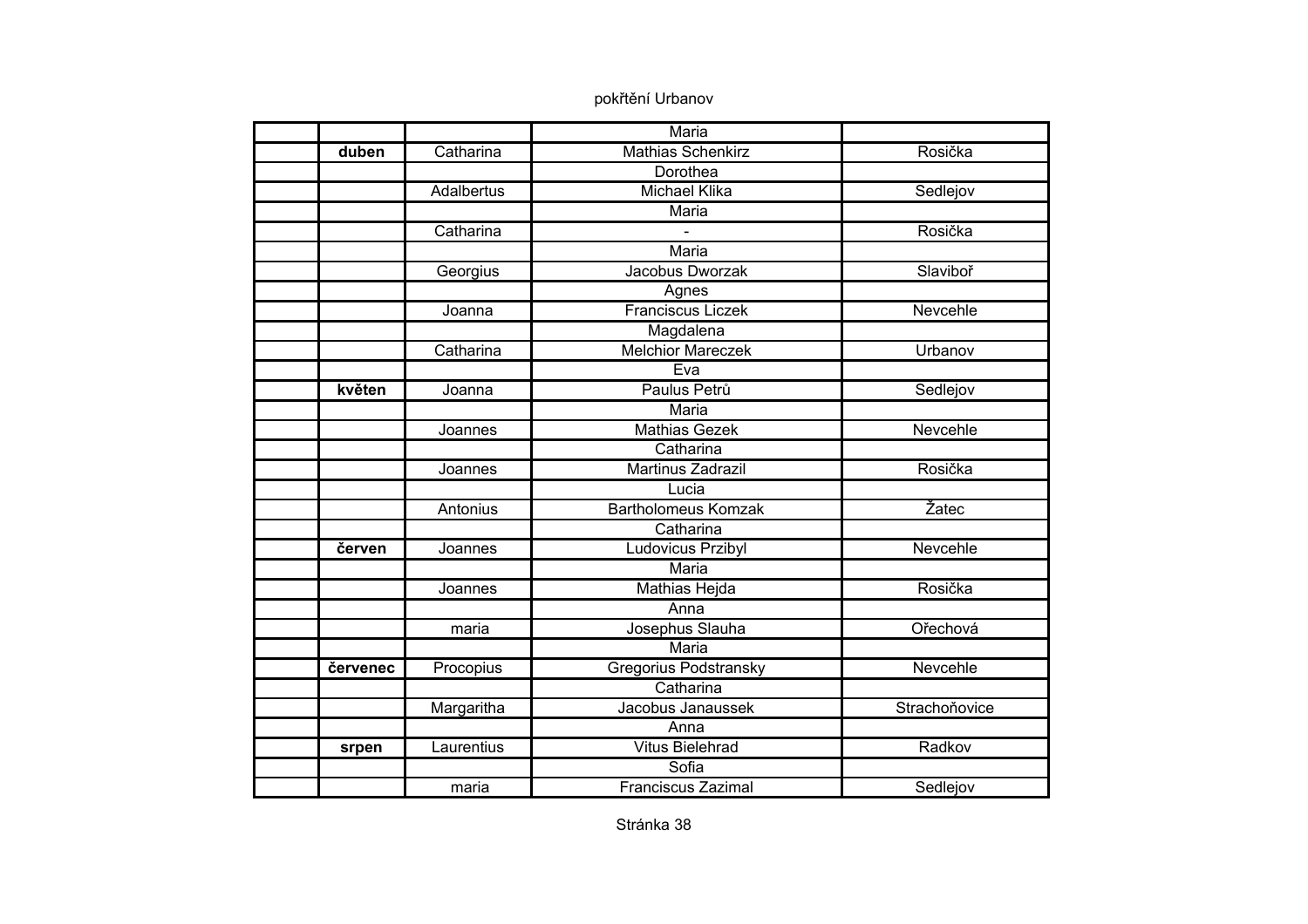|          |                   | Maria                      |               |
|----------|-------------------|----------------------------|---------------|
| duben    | Catharina         | <b>Mathias Schenkirz</b>   | Rosička       |
|          |                   | Dorothea                   |               |
|          | <b>Adalbertus</b> | <b>Michael Klika</b>       | Sedlejov      |
|          |                   | <b>Maria</b>               |               |
|          | Catharina         |                            | Rosička       |
|          |                   | Maria                      |               |
|          | Georgius          | Jacobus Dworzak            | Slaviboř      |
|          |                   | Agnes                      |               |
|          | Joanna            | Franciscus Liczek          | Nevcehle      |
|          |                   | Magdalena                  |               |
|          | Catharina         | <b>Melchior Mareczek</b>   | Urbanov       |
|          |                   | Eva                        |               |
| květen   | Joanna            | Paulus Petrů               | Sedlejov      |
|          |                   | <b>Maria</b>               |               |
|          | Joannes           | <b>Mathias Gezek</b>       | Nevcehle      |
|          |                   | Catharina                  |               |
|          | Joannes           | Martinus Zadrazil          | Rosička       |
|          |                   | Lucia                      |               |
|          | Antonius          | <b>Bartholomeus Komzak</b> | Žatec         |
|          |                   | Catharina                  |               |
| červen   | Joannes           | Ludovicus Przibyl          | Nevcehle      |
|          |                   | <b>Maria</b>               |               |
|          | Joannes           | <b>Mathias Hejda</b>       | Rosička       |
|          |                   | Anna                       |               |
|          | maria             | Josephus Slauha            | Ořechová      |
|          |                   | Maria                      |               |
| červenec | Procopius         | Gregorius Podstransky      | Nevcehle      |
|          |                   | Catharina                  |               |
|          | Margaritha        | Jacobus Janaussek          | Strachoňovice |
|          |                   | Anna                       |               |
| srpen    | Laurentius        | <b>Vitus Bielehrad</b>     | Radkov        |
|          |                   | Sofia                      |               |
|          | maria             | <b>Franciscus Zazimal</b>  | Sedlejov      |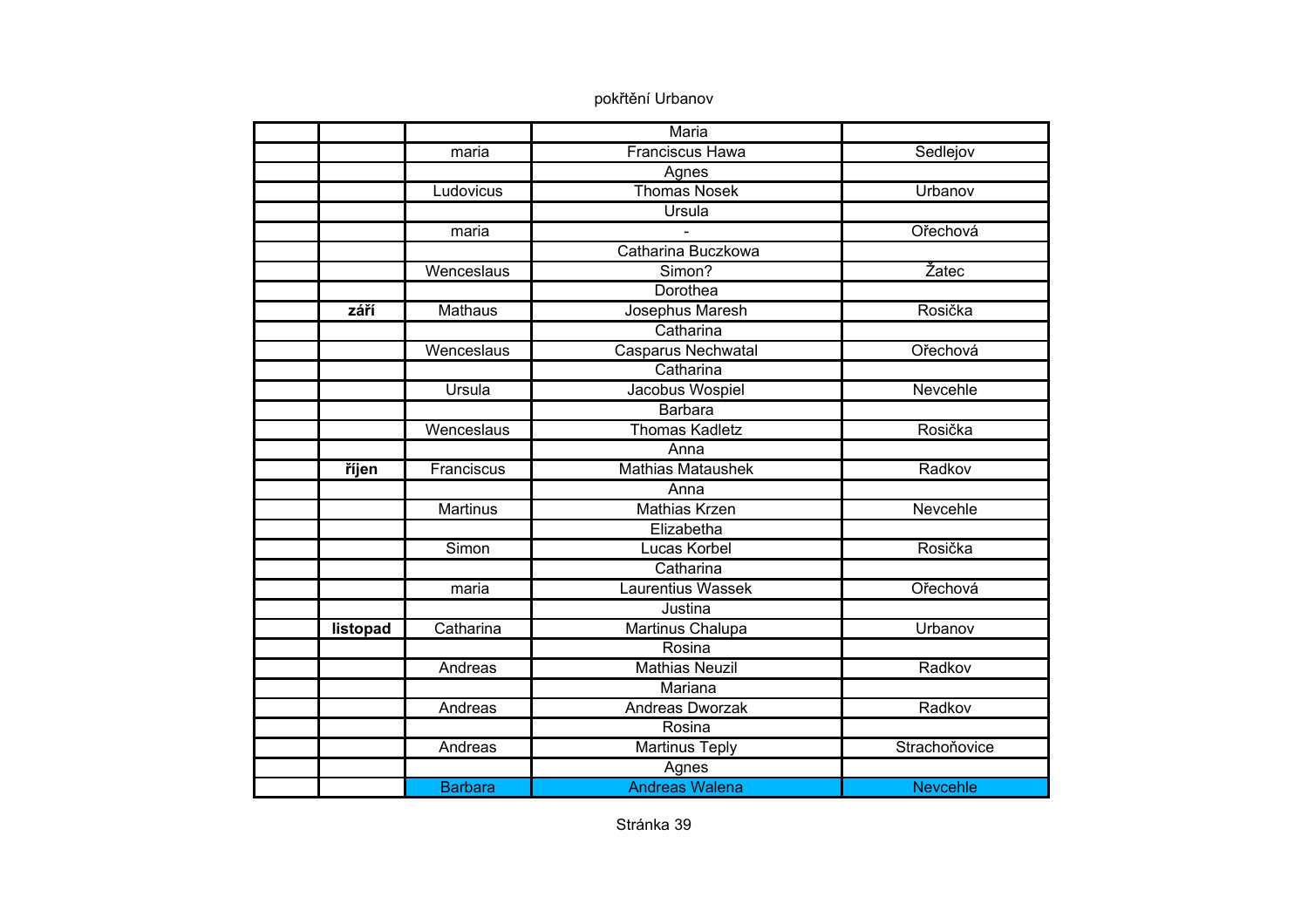|          |                 | Maria                     |                 |
|----------|-----------------|---------------------------|-----------------|
|          | maria           | <b>Franciscus Hawa</b>    | Sedlejov        |
|          |                 | Agnes                     |                 |
|          | Ludovicus       | <b>Thomas Nosek</b>       | Urbanov         |
|          |                 | <b>Ursula</b>             |                 |
|          | maria           |                           | Ořechová        |
|          |                 | Catharina Buczkowa        |                 |
|          | Wenceslaus      | Simon?                    | Žatec           |
|          |                 | Dorothea                  |                 |
| září     | <b>Mathaus</b>  | Josephus Maresh           | Rosička         |
|          |                 | Catharina                 |                 |
|          | Wenceslaus      | <b>Casparus Nechwatal</b> | Ořechová        |
|          |                 | Catharina                 |                 |
|          | Ursula          | Jacobus Wospiel           | Nevcehle        |
|          |                 | <b>Barbara</b>            |                 |
|          | Wenceslaus      | <b>Thomas Kadletz</b>     | Rosička         |
|          |                 | Anna                      |                 |
| říjen    | Franciscus      | <b>Mathias Mataushek</b>  | Radkov          |
|          |                 | Anna                      |                 |
|          | <b>Martinus</b> | Mathias Krzen             | Nevcehle        |
|          |                 | Elizabetha                |                 |
|          | Simon           | Lucas Korbel              | Rosička         |
|          |                 | Catharina                 |                 |
|          | maria           | <b>Laurentius Wassek</b>  | Ořechová        |
|          |                 | Justina                   |                 |
| listopad | Catharina       | Martinus Chalupa          | Urbanov         |
|          |                 | Rosina                    |                 |
|          | Andreas         | <b>Mathias Neuzil</b>     | Radkov          |
|          |                 | Mariana                   |                 |
|          | Andreas         | Andreas Dworzak           | Radkov          |
|          |                 | Rosina                    |                 |
|          | Andreas         | <b>Martinus Teply</b>     | Strachoňovice   |
|          |                 | Agnes                     |                 |
|          | <b>Barbara</b>  | <b>Andreas Walena</b>     | <b>Nevcehle</b> |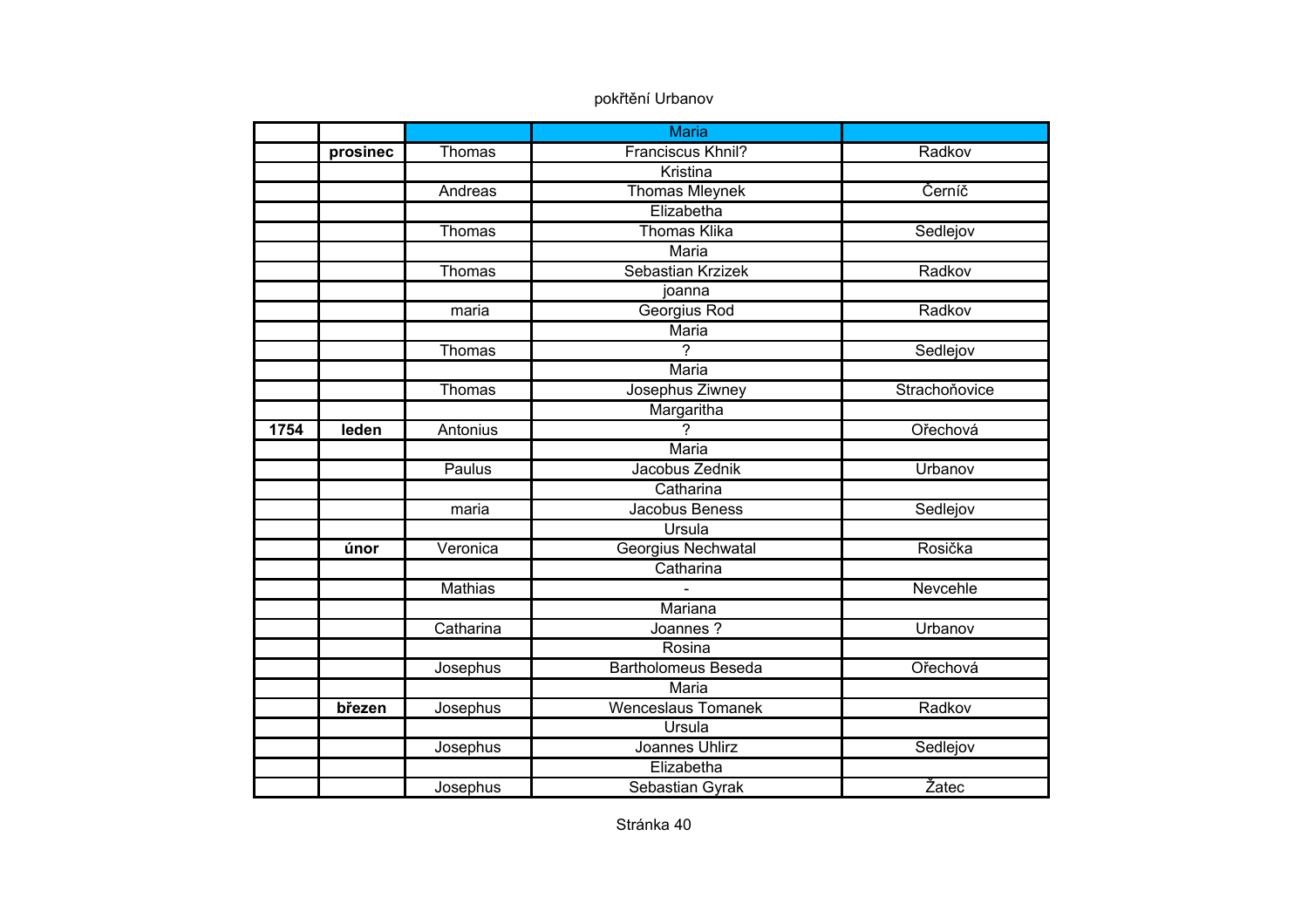|      |          |                | <b>Maria</b>              |               |
|------|----------|----------------|---------------------------|---------------|
|      | prosinec | Thomas         | Franciscus Khnil?         | Radkov        |
|      |          |                | Kristina                  |               |
|      |          | Andreas        | <b>Thomas Mleynek</b>     | Černíč        |
|      |          |                | Elizabetha                |               |
|      |          | Thomas         | <b>Thomas Klika</b>       | Sedlejov      |
|      |          |                | <b>Maria</b>              |               |
|      |          | Thomas         | Sebastian Krzizek         | Radkov        |
|      |          |                | joanna                    |               |
|      |          | maria          | Georgius Rod              | Radkov        |
|      |          |                | Maria                     |               |
|      |          | Thomas         | $\overline{2}$            | Sedlejov      |
|      |          |                | <b>Maria</b>              |               |
|      |          | Thomas         | Josephus Ziwney           | Strachoňovice |
|      |          |                | Margaritha                |               |
| 1754 | leden    | Antonius       | $\overline{?}$            | Ořechová      |
|      |          |                | <b>Maria</b>              |               |
|      |          | Paulus         | Jacobus Zednik            | Urbanov       |
|      |          |                | Catharina                 |               |
|      |          | maria          | Jacobus Beness            | Sedlejov      |
|      |          |                | Ursula                    |               |
|      | únor     | Veronica       | Georgius Nechwatal        | Rosička       |
|      |          |                | Catharina                 |               |
|      |          | <b>Mathias</b> |                           | Nevcehle      |
|      |          |                | Mariana                   |               |
|      |          | Catharina      | Joannes?                  | Urbanov       |
|      |          |                | Rosina                    |               |
|      |          | Josephus       | Bartholomeus Beseda       | Ořechová      |
|      |          |                | Maria                     |               |
|      | březen   | Josephus       | <b>Wenceslaus Tomanek</b> | Radkov        |
|      |          |                | <b>Ursula</b>             |               |
|      |          | Josephus       | <b>Joannes Uhlirz</b>     | Sedlejov      |
|      |          |                | Elizabetha                |               |
|      |          | Josephus       | Sebastian Gyrak           | Žatec         |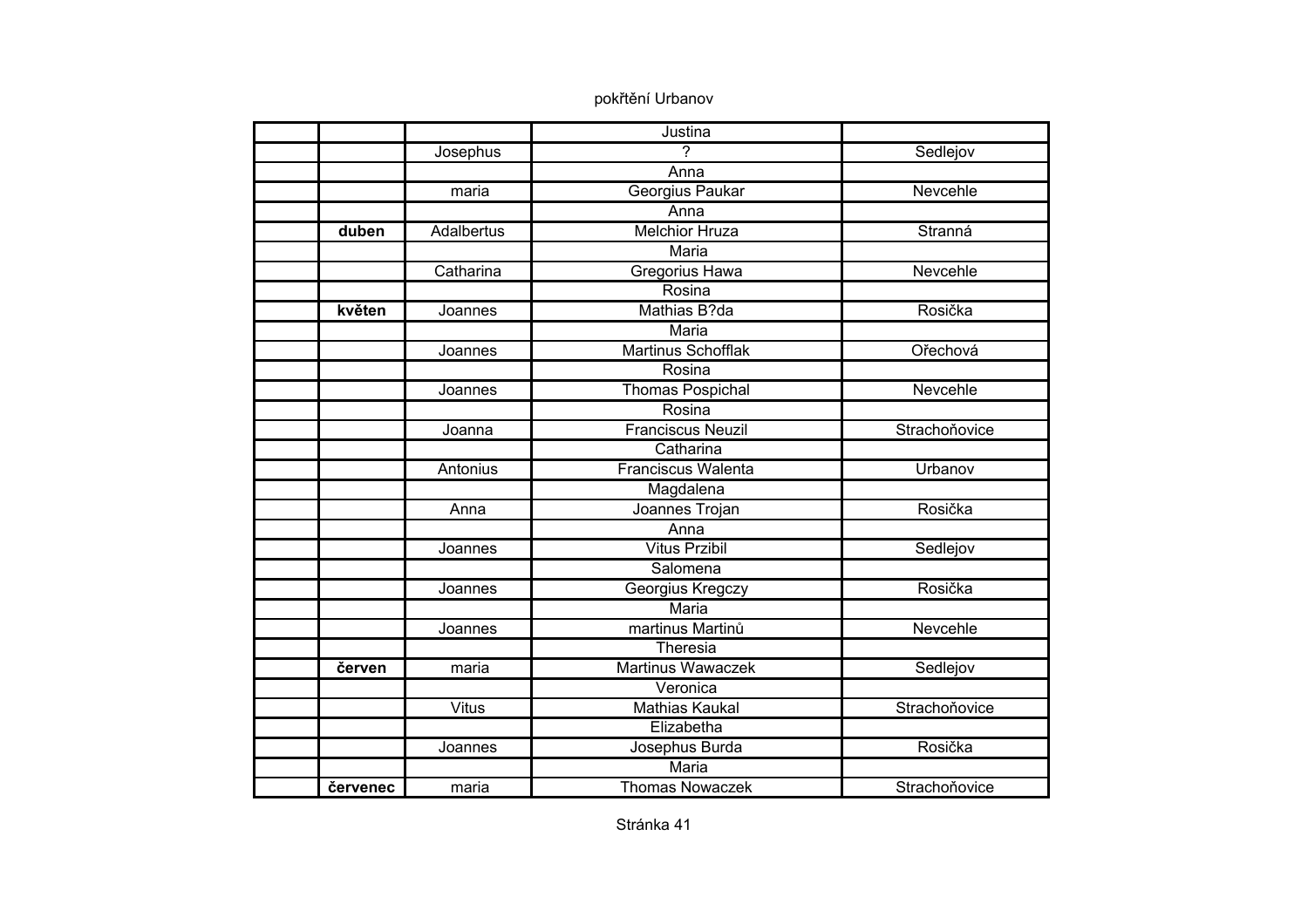|          |              | Justina                   |               |
|----------|--------------|---------------------------|---------------|
|          | Josephus     | $\overline{\phantom{0}}$  | Sedlejov      |
|          |              | Anna                      |               |
|          | maria        | Georgius Paukar           | Nevcehle      |
|          |              | Anna                      |               |
| duben    | Adalbertus   | <b>Melchior Hruza</b>     | Stranná       |
|          |              | Maria                     |               |
|          | Catharina    | <b>Gregorius Hawa</b>     | Nevcehle      |
|          |              | Rosina                    |               |
| květen   | Joannes      | Mathias B?da              | Rosička       |
|          |              | Maria                     |               |
|          | Joannes      | <b>Martinus Schofflak</b> | Ořechová      |
|          |              | Rosina                    |               |
|          | Joannes      | <b>Thomas Pospichal</b>   | Nevcehle      |
|          |              | Rosina                    |               |
|          | Joanna       | <b>Franciscus Neuzil</b>  | Strachoňovice |
|          |              | Catharina                 |               |
|          | Antonius     | Franciscus Walenta        | Urbanov       |
|          |              | Magdalena                 |               |
|          | Anna         | Joannes Trojan            | Rosička       |
|          |              | Anna                      |               |
|          | Joannes      | <b>Vitus Przibil</b>      | Sedlejov      |
|          |              | Salomena                  |               |
|          | Joannes      | Georgius Kregczy          | Rosička       |
|          |              | Maria                     |               |
|          | Joannes      | martinus Martinů          | Nevcehle      |
|          |              | Theresia                  |               |
| červen   | maria        | <b>Martinus Wawaczek</b>  | Sedlejov      |
|          |              | Veronica                  |               |
|          | <b>Vitus</b> | <b>Mathias Kaukal</b>     | Strachoňovice |
|          |              | Elizabetha                |               |
|          | Joannes      | Josephus Burda            | Rosička       |
|          |              | <b>Maria</b>              |               |
| červenec | maria        | <b>Thomas Nowaczek</b>    | Strachoňovice |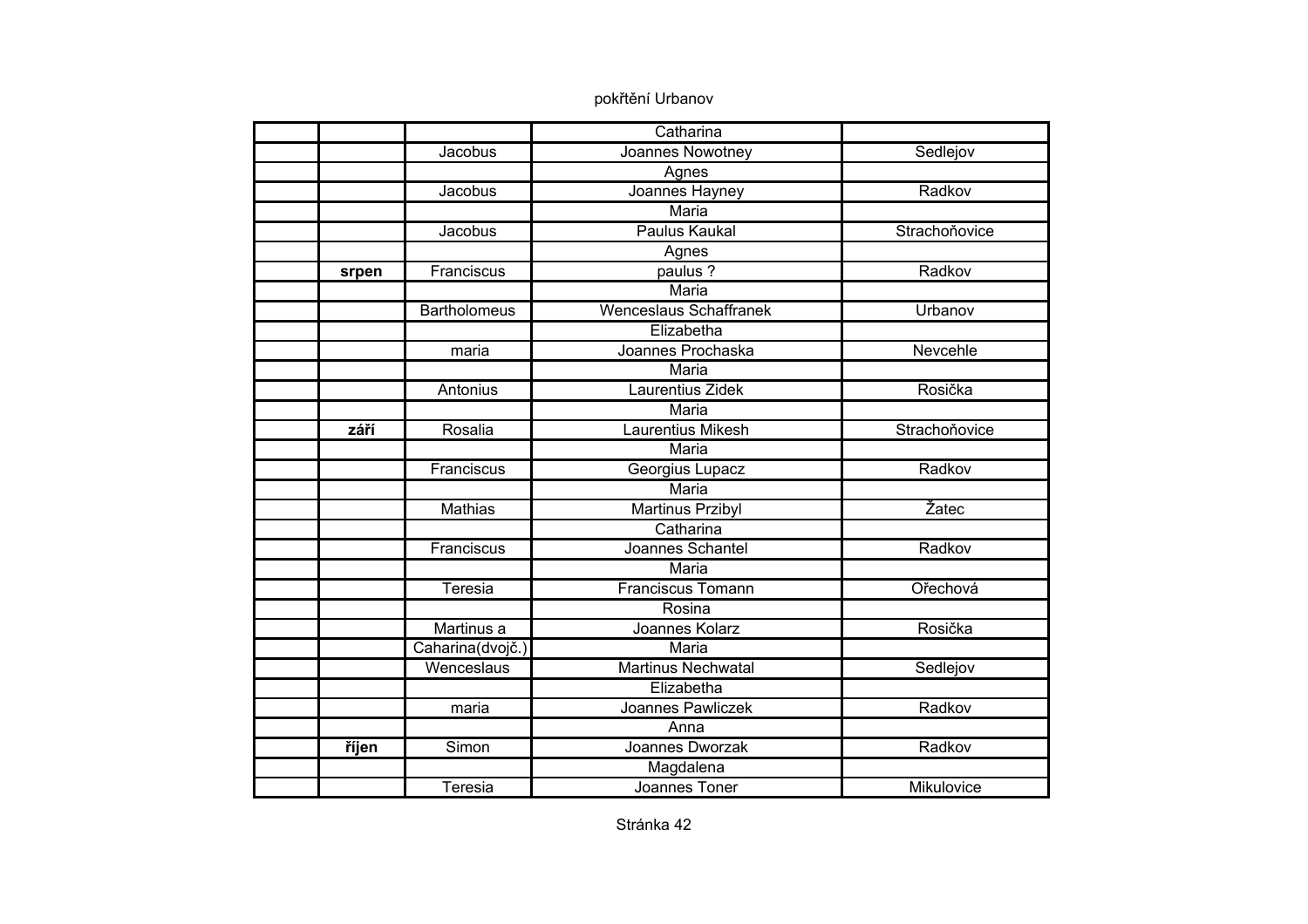|       |                     | Catharina                     |               |
|-------|---------------------|-------------------------------|---------------|
|       | Jacobus             | Joannes Nowotney              | Sedlejov      |
|       |                     | Agnes                         |               |
|       | Jacobus             | Joannes Hayney                | Radkov        |
|       |                     | <b>Maria</b>                  |               |
|       | Jacobus             | <b>Paulus Kaukal</b>          | Strachoňovice |
|       |                     | Agnes                         |               |
| srpen | Franciscus          | paulus ?                      | Radkov        |
|       |                     | Maria                         |               |
|       | <b>Bartholomeus</b> | <b>Wenceslaus Schaffranek</b> | Urbanov       |
|       |                     | Elizabetha                    |               |
|       | maria               | Joannes Prochaska             | Nevcehle      |
|       |                     | <b>Maria</b>                  |               |
|       | Antonius            | Laurentius Zidek              | Rosička       |
|       |                     | <b>Maria</b>                  |               |
| září  | Rosalia             | Laurentius Mikesh             | Strachoňovice |
|       |                     | Maria                         |               |
|       | Franciscus          | Georgius Lupacz               | Radkov        |
|       |                     | Maria                         |               |
|       | <b>Mathias</b>      | <b>Martinus Przibyl</b>       | Žatec         |
|       |                     | Catharina                     |               |
|       | Franciscus          | Joannes Schantel              | Radkov        |
|       |                     | Maria                         |               |
|       | <b>Teresia</b>      | <b>Franciscus Tomann</b>      | Ořechová      |
|       |                     | Rosina                        |               |
|       | Martinus a          | Joannes Kolarz                | Rosička       |
|       | Caharina(dvojč.)    | Maria                         |               |
|       | Wenceslaus          | <b>Martinus Nechwatal</b>     | Sedlejov      |
|       |                     | Elizabetha                    |               |
|       | maria               | Joannes Pawliczek             | Radkov        |
|       |                     | Anna                          |               |
| říjen | Simon               | Joannes Dworzak               | Radkov        |
|       |                     | Magdalena                     |               |
|       | Teresia             | Joannes Toner                 | Mikulovice    |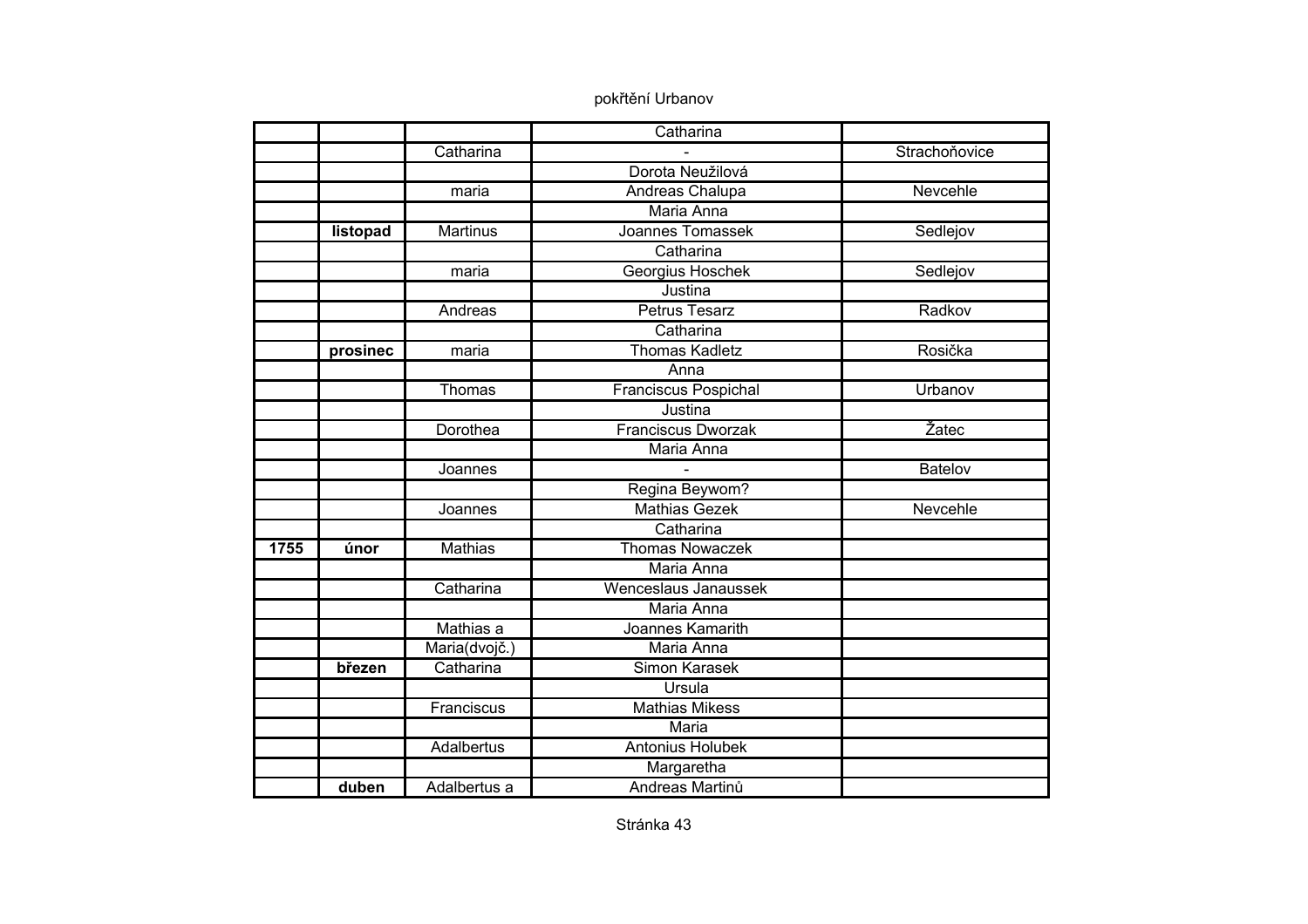|      |          |                   | Catharina                 |                |
|------|----------|-------------------|---------------------------|----------------|
|      |          | Catharina         |                           | Strachoňovice  |
|      |          |                   | Dorota Neužilová          |                |
|      |          | maria             | Andreas Chalupa           | Nevcehle       |
|      |          |                   | Maria Anna                |                |
|      | listopad | <b>Martinus</b>   | Joannes Tomassek          | Sedlejov       |
|      |          |                   | Catharina                 |                |
|      |          | maria             | Georgius Hoschek          | Sedlejov       |
|      |          |                   | Justina                   |                |
|      |          | Andreas           | <b>Petrus Tesarz</b>      | Radkov         |
|      |          |                   | Catharina                 |                |
|      | prosinec | maria             | <b>Thomas Kadletz</b>     | Rosička        |
|      |          |                   | Anna                      |                |
|      |          | Thomas            | Franciscus Pospichal      | Urbanov        |
|      |          |                   | Justina                   |                |
|      |          | Dorothea          | <b>Franciscus Dworzak</b> | Žatec          |
|      |          |                   | Maria Anna                |                |
|      |          | Joannes           |                           | <b>Batelov</b> |
|      |          |                   | Regina Beywom?            |                |
|      |          | Joannes           | <b>Mathias Gezek</b>      | Nevcehle       |
|      |          |                   | Catharina                 |                |
| 1755 | únor     | <b>Mathias</b>    | <b>Thomas Nowaczek</b>    |                |
|      |          |                   | Maria Anna                |                |
|      |          | Catharina         | Wenceslaus Janaussek      |                |
|      |          |                   | Maria Anna                |                |
|      |          | Mathias a         | Joannes Kamarith          |                |
|      |          | Maria(dvojč.)     | Maria Anna                |                |
|      | březen   | Catharina         | Simon Karasek             |                |
|      |          |                   | <b>Ursula</b>             |                |
|      |          | Franciscus        | <b>Mathias Mikess</b>     |                |
|      |          |                   | Maria                     |                |
|      |          | <b>Adalbertus</b> | Antonius Holubek          |                |
|      |          |                   | Margaretha                |                |
|      | duben    | Adalbertus a      | Andreas Martinů           |                |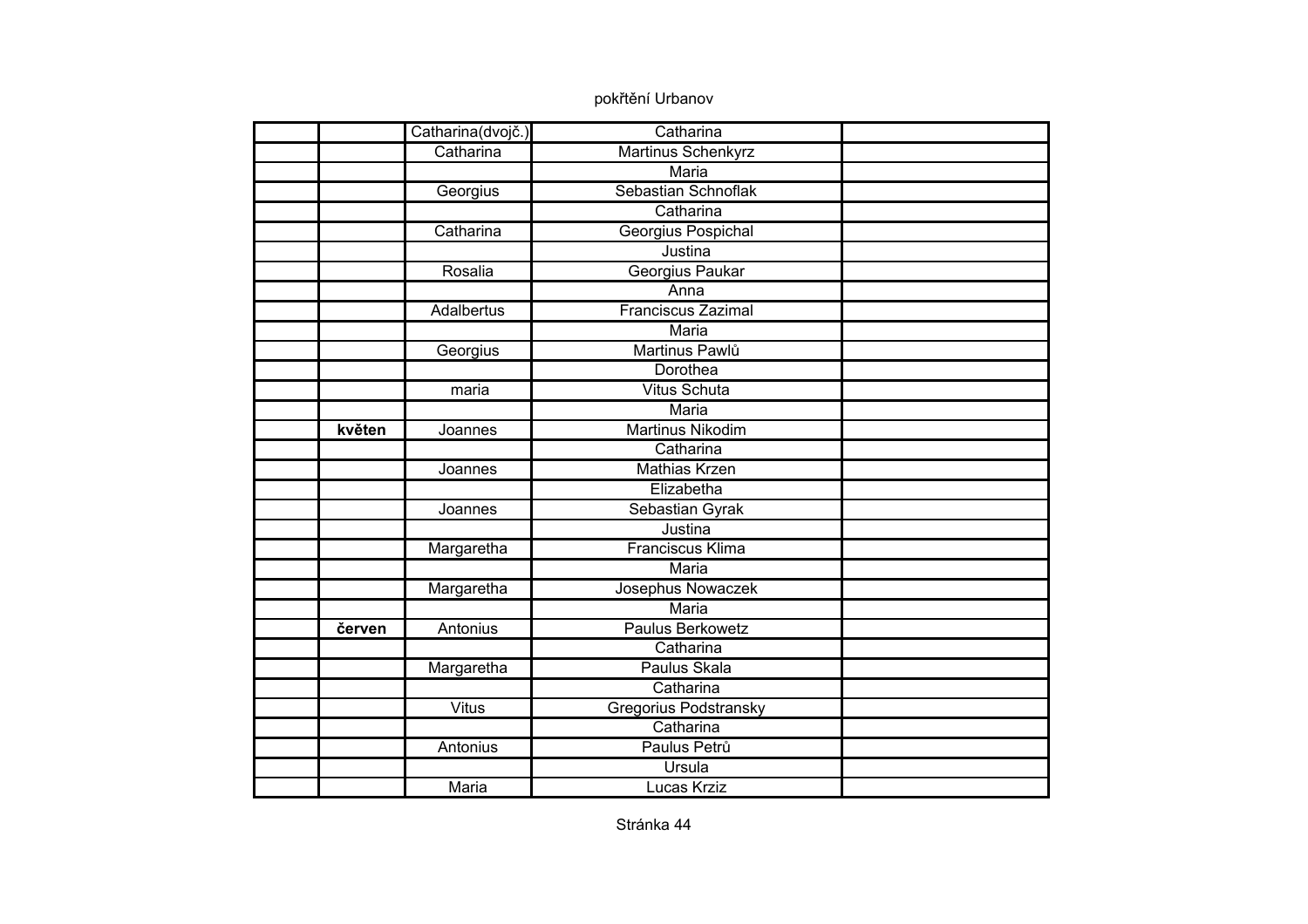|        | Catharina(dvojč.) | Catharina                 |  |
|--------|-------------------|---------------------------|--|
|        | Catharina         | Martinus Schenkyrz        |  |
|        |                   | Maria                     |  |
|        | Georgius          | Sebastian Schnoflak       |  |
|        |                   | Catharina                 |  |
|        | Catharina         | Georgius Pospichal        |  |
|        |                   | Justina                   |  |
|        | Rosalia           | Georgius Paukar           |  |
|        |                   | Anna                      |  |
|        | Adalbertus        | <b>Franciscus Zazimal</b> |  |
|        |                   | Maria                     |  |
|        | Georgius          | Martinus Pawlů            |  |
|        |                   | Dorothea                  |  |
|        | maria             | <b>Vitus Schuta</b>       |  |
|        |                   | <b>Maria</b>              |  |
| květen | Joannes           | <b>Martinus Nikodim</b>   |  |
|        |                   | Catharina                 |  |
|        | Joannes           | <b>Mathias Krzen</b>      |  |
|        |                   | Elizabetha                |  |
|        | Joannes           | Sebastian Gyrak           |  |
|        |                   | Justina                   |  |
|        | Margaretha        | <b>Franciscus Klima</b>   |  |
|        |                   | <b>Maria</b>              |  |
|        | Margaretha        | Josephus Nowaczek         |  |
|        |                   | <b>Maria</b>              |  |
| červen | Antonius          | <b>Paulus Berkowetz</b>   |  |
|        |                   | Catharina                 |  |
|        | Margaretha        | Paulus Skala              |  |
|        |                   | Catharina                 |  |
|        | <b>Vitus</b>      | Gregorius Podstransky     |  |
|        |                   | Catharina                 |  |
|        | Antonius          | Paulus Petrů              |  |
|        |                   | Ursula                    |  |
|        | <b>Maria</b>      | Lucas Krziz               |  |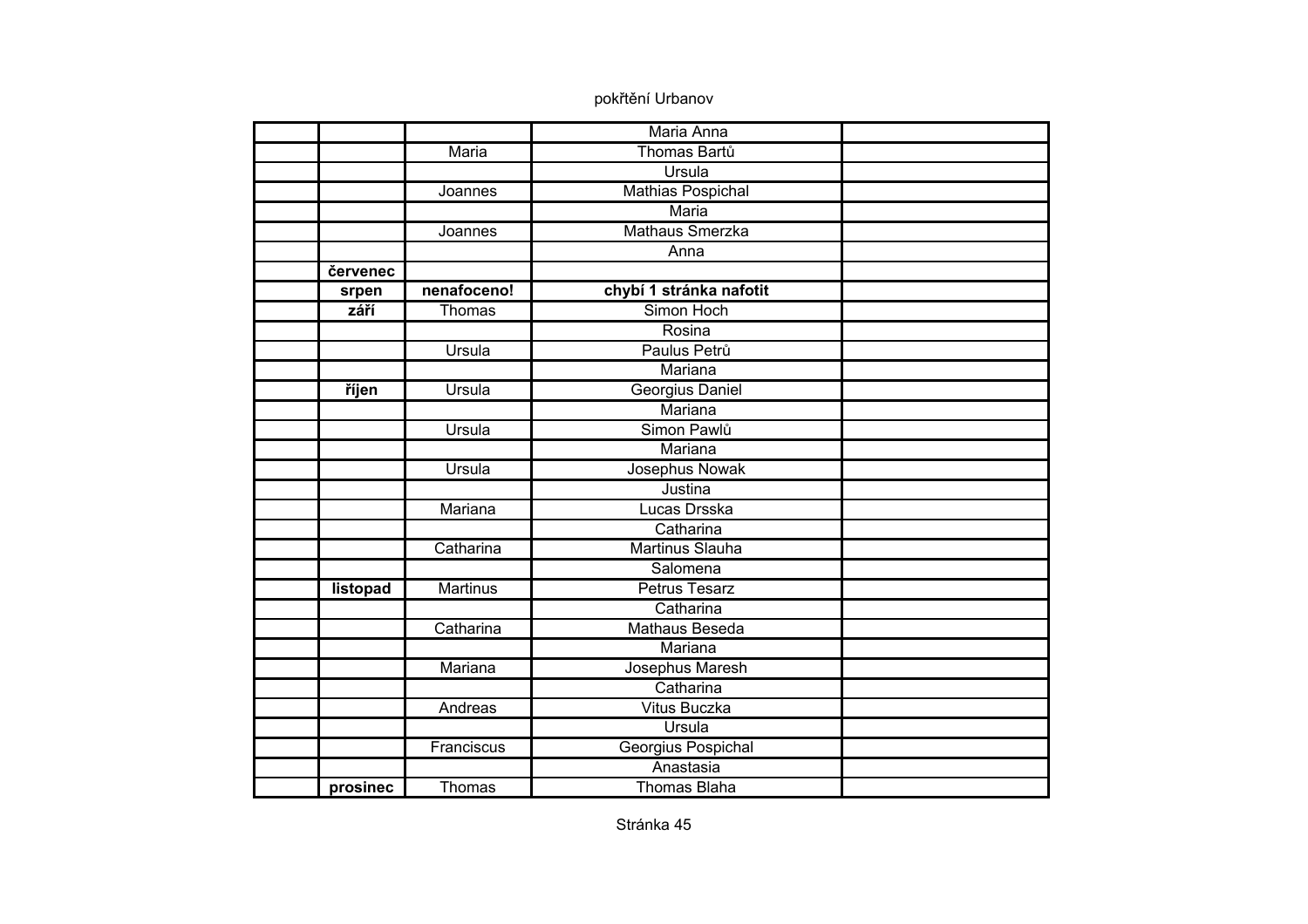|          |                 | Maria Anna               |  |
|----------|-----------------|--------------------------|--|
|          | Maria           | Thomas Bartů             |  |
|          |                 | Ursula                   |  |
|          | Joannes         | <b>Mathias Pospichal</b> |  |
|          |                 | <b>Maria</b>             |  |
|          | Joannes         | <b>Mathaus Smerzka</b>   |  |
|          |                 | Anna                     |  |
| červenec |                 |                          |  |
| srpen    | nenafoceno!     | chybí 1 stránka nafotit  |  |
| září     | Thomas          | Simon Hoch               |  |
|          |                 | Rosina                   |  |
|          | Ursula          | Paulus Petrů             |  |
|          |                 | <b>Mariana</b>           |  |
| říjen    | Ursula          | Georgius Daniel          |  |
|          |                 | Mariana                  |  |
|          | Ursula          | Simon Pawlů              |  |
|          |                 | Mariana                  |  |
|          | Ursula          | Josephus Nowak           |  |
|          |                 | Justina                  |  |
|          | Mariana         | Lucas Drsska             |  |
|          |                 | Catharina                |  |
|          | Catharina       | <b>Martinus Slauha</b>   |  |
|          |                 | Salomena                 |  |
| listopad | <b>Martinus</b> | <b>Petrus Tesarz</b>     |  |
|          |                 | Catharina                |  |
|          | Catharina       | <b>Mathaus Beseda</b>    |  |
|          |                 | Mariana                  |  |
|          | Mariana         | Josephus Maresh          |  |
|          |                 | Catharina                |  |
|          | Andreas         | <b>Vitus Buczka</b>      |  |
|          |                 | Ursula                   |  |
|          | Franciscus      | Georgius Pospichal       |  |
|          |                 | Anastasia                |  |
| prosinec | Thomas          | <b>Thomas Blaha</b>      |  |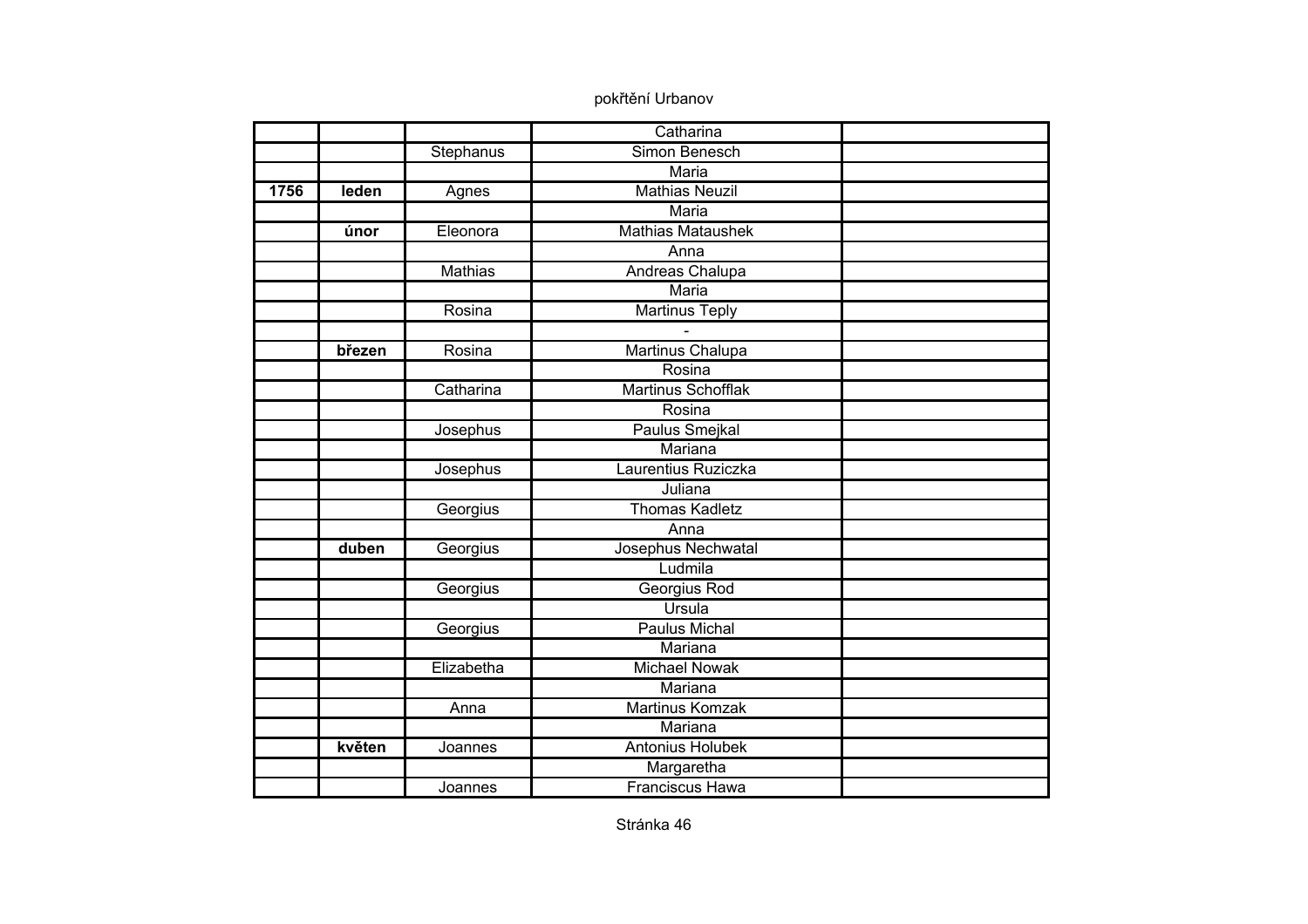|      |        |                | Catharina               |  |
|------|--------|----------------|-------------------------|--|
|      |        | Stephanus      | Simon Benesch           |  |
|      |        |                | <b>Maria</b>            |  |
| 1756 | leden  | Agnes          | <b>Mathias Neuzil</b>   |  |
|      |        |                | <b>Maria</b>            |  |
|      | únor   | Eleonora       | Mathias Mataushek       |  |
|      |        |                | Anna                    |  |
|      |        | <b>Mathias</b> | Andreas Chalupa         |  |
|      |        |                | <b>Maria</b>            |  |
|      |        | Rosina         | <b>Martinus Teply</b>   |  |
|      |        |                |                         |  |
|      | březen | Rosina         | Martinus Chalupa        |  |
|      |        |                | Rosina                  |  |
|      |        | Catharina      | Martinus Schofflak      |  |
|      |        |                | Rosina                  |  |
|      |        | Josephus       | <b>Paulus Smejkal</b>   |  |
|      |        |                | Mariana                 |  |
|      |        | Josephus       | Laurentius Ruziczka     |  |
|      |        |                | Juliana                 |  |
|      |        | Georgius       | <b>Thomas Kadletz</b>   |  |
|      |        |                | Anna                    |  |
|      | duben  | Georgius       | Josephus Nechwatal      |  |
|      |        |                | Ludmila                 |  |
|      |        | Georgius       | Georgius Rod            |  |
|      |        |                | Ursula                  |  |
|      |        | Georgius       | <b>Paulus Michal</b>    |  |
|      |        |                | Mariana                 |  |
|      |        | Elizabetha     | <b>Michael Nowak</b>    |  |
|      |        |                | Mariana                 |  |
|      |        | Anna           | Martinus Komzak         |  |
|      |        |                | Mariana                 |  |
|      | květen | Joannes        | <b>Antonius Holubek</b> |  |
|      |        |                | Margaretha              |  |
|      |        | Joannes        | <b>Franciscus Hawa</b>  |  |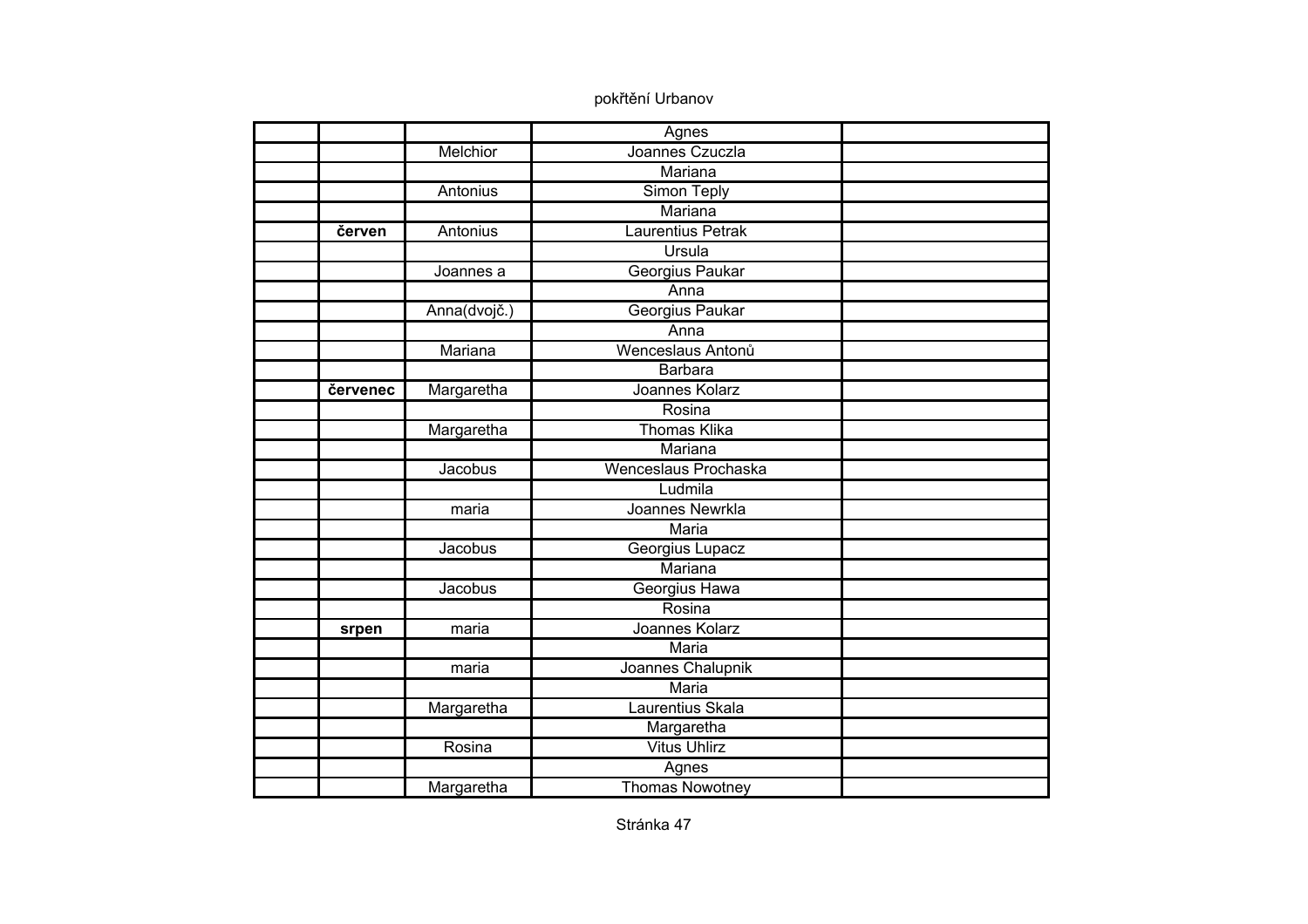|          |              | Agnes                  |  |
|----------|--------------|------------------------|--|
|          | Melchior     | Joannes Czuczla        |  |
|          |              | Mariana                |  |
|          | Antonius     | Simon Teply            |  |
|          |              | Mariana                |  |
| červen   | Antonius     | Laurentius Petrak      |  |
|          |              | Ursula                 |  |
|          | Joannes a    | Georgius Paukar        |  |
|          |              | Anna                   |  |
|          | Anna(dvojč.) | Georgius Paukar        |  |
|          |              | Anna                   |  |
|          | Mariana      | Wenceslaus Antonů      |  |
|          |              | <b>Barbara</b>         |  |
| červenec | Margaretha   | Joannes Kolarz         |  |
|          |              | Rosina                 |  |
|          | Margaretha   | <b>Thomas Klika</b>    |  |
|          |              | Mariana                |  |
|          | Jacobus      | Wenceslaus Prochaska   |  |
|          |              | Ludmila                |  |
|          | maria        | Joannes Newrkla        |  |
|          |              | Maria                  |  |
|          | Jacobus      | Georgius Lupacz        |  |
|          |              | Mariana                |  |
|          | Jacobus      | Georgius Hawa          |  |
|          |              | Rosina                 |  |
| srpen    | maria        | Joannes Kolarz         |  |
|          |              | Maria                  |  |
|          | maria        | Joannes Chalupnik      |  |
|          |              | Maria                  |  |
|          | Margaretha   | Laurentius Skala       |  |
|          |              | Margaretha             |  |
|          | Rosina       | <b>Vitus Uhlirz</b>    |  |
|          |              | Agnes                  |  |
|          | Margaretha   | <b>Thomas Nowotney</b> |  |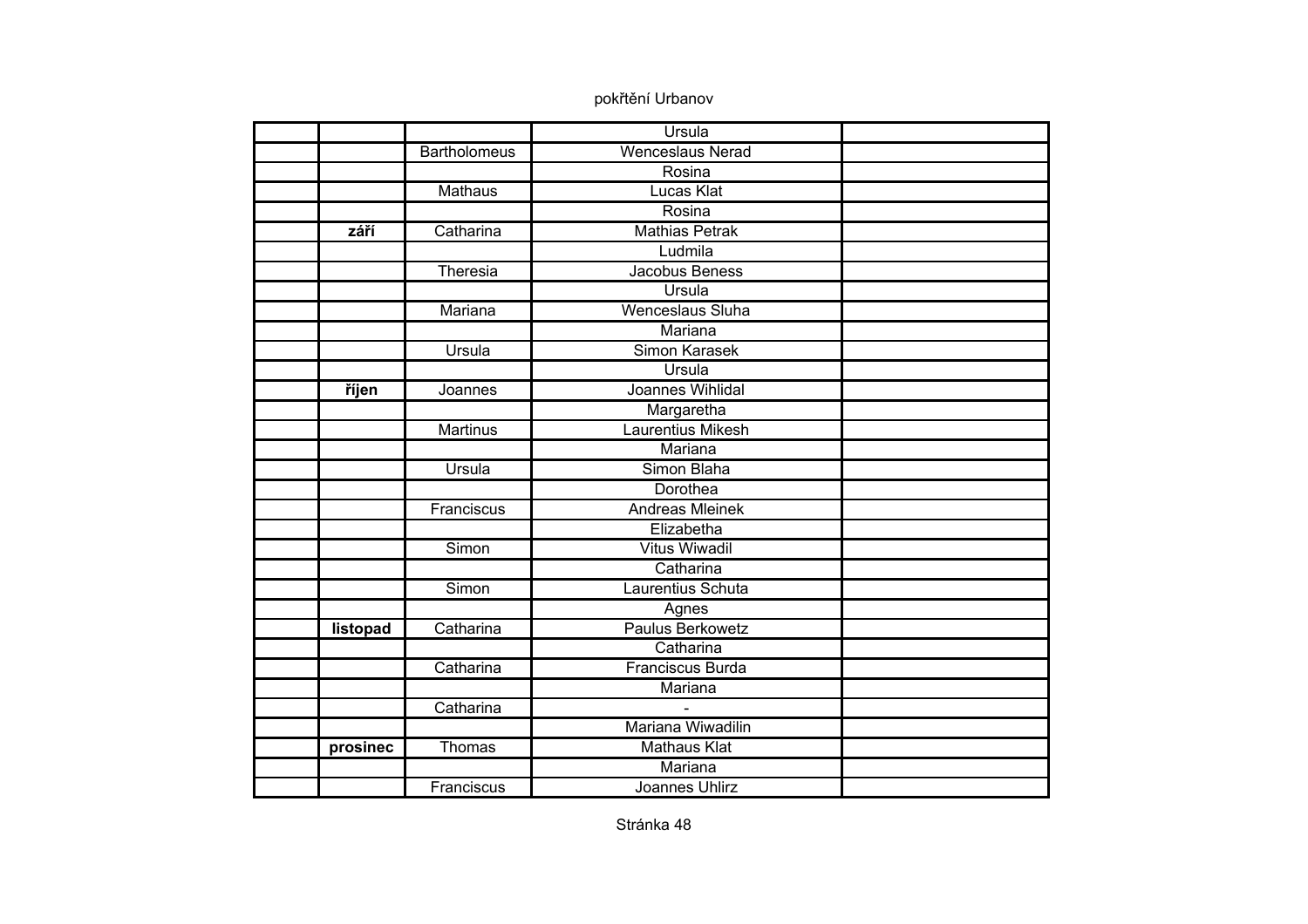|          |                     | Ursula                   |  |
|----------|---------------------|--------------------------|--|
|          | <b>Bartholomeus</b> | <b>Wenceslaus Nerad</b>  |  |
|          |                     | Rosina                   |  |
|          | <b>Mathaus</b>      | <b>Lucas Klat</b>        |  |
|          |                     | Rosina                   |  |
| září     | Catharina           | <b>Mathias Petrak</b>    |  |
|          |                     | Ludmila                  |  |
|          | Theresia            | Jacobus Beness           |  |
|          |                     | Ursula                   |  |
|          | Mariana             | <b>Wenceslaus Sluha</b>  |  |
|          |                     | Mariana                  |  |
|          | Ursula              | <b>Simon Karasek</b>     |  |
|          |                     | Ursula                   |  |
| říjen    | Joannes             | Joannes Wihlidal         |  |
|          |                     | Margaretha               |  |
|          | <b>Martinus</b>     | <b>Laurentius Mikesh</b> |  |
|          |                     | Mariana                  |  |
|          | Ursula              | Simon Blaha              |  |
|          |                     | Dorothea                 |  |
|          | Franciscus          | <b>Andreas Mleinek</b>   |  |
|          |                     | Elizabetha               |  |
|          | Simon               | <b>Vitus Wiwadil</b>     |  |
|          |                     | Catharina                |  |
|          | Simon               | Laurentius Schuta        |  |
|          |                     | Agnes                    |  |
| listopad | Catharina           | <b>Paulus Berkowetz</b>  |  |
|          |                     | Catharina                |  |
|          | Catharina           | Franciscus Burda         |  |
|          |                     | Mariana                  |  |
|          | Catharina           |                          |  |
|          |                     | Mariana Wiwadilin        |  |
| prosinec | Thomas              | <b>Mathaus Klat</b>      |  |
|          |                     | Mariana                  |  |
|          | Franciscus          | Joannes Uhlirz           |  |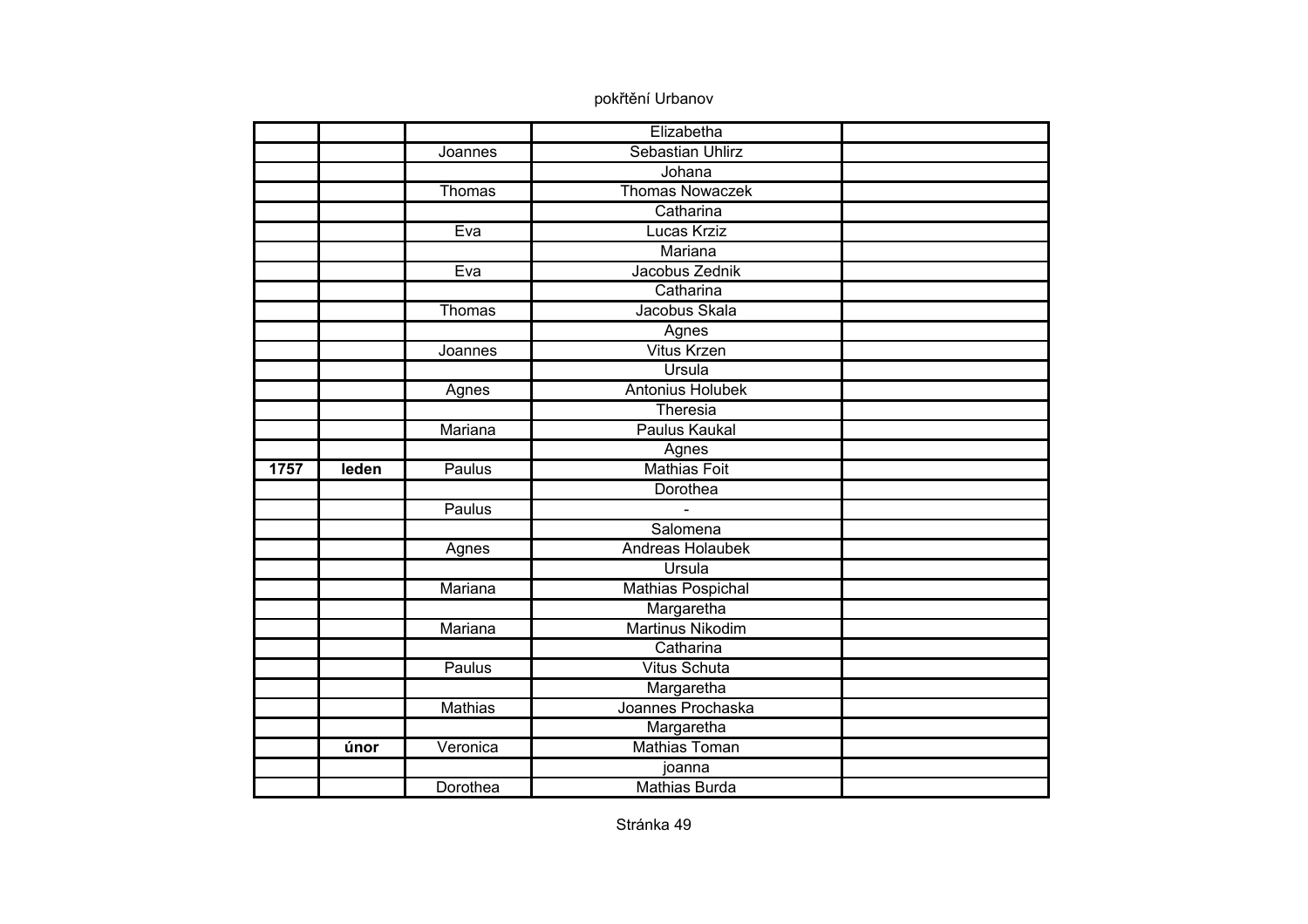|      |       |                | Elizabetha                     |  |
|------|-------|----------------|--------------------------------|--|
|      |       | Joannes        | Sebastian Uhlirz               |  |
|      |       |                | Johana                         |  |
|      |       | Thomas         | <b>Thomas Nowaczek</b>         |  |
|      |       |                | Catharina                      |  |
|      |       | Eva            | <b>Lucas Krziz</b>             |  |
|      |       |                | Mariana                        |  |
|      |       | Eva            | Jacobus Zednik                 |  |
|      |       |                | Catharina                      |  |
|      |       | Thomas         | Jacobus Skala                  |  |
|      |       |                | Agnes                          |  |
|      |       | Joannes        | <b>Vitus Krzen</b>             |  |
|      |       |                | Ursula                         |  |
|      |       | Agnes          | <b>Antonius Holubek</b>        |  |
|      |       |                | Theresia                       |  |
|      |       | Mariana        | <b>Paulus Kaukal</b>           |  |
|      |       |                | Agnes                          |  |
|      |       |                |                                |  |
| 1757 | leden | Paulus         | <b>Mathias Foit</b>            |  |
|      |       |                | Dorothea                       |  |
|      |       | Paulus         |                                |  |
|      |       |                | Salomena                       |  |
|      |       | Agnes          | Andreas Holaubek               |  |
|      |       |                | Ursula                         |  |
|      |       | Mariana        | <b>Mathias Pospichal</b>       |  |
|      |       |                | Margaretha                     |  |
|      |       | Mariana        | <b>Martinus Nikodim</b>        |  |
|      |       |                | Catharina                      |  |
|      |       | Paulus         | <b>Vitus Schuta</b>            |  |
|      |       |                | Margaretha                     |  |
|      |       | <b>Mathias</b> | Joannes Prochaska              |  |
|      |       |                | Margaretha                     |  |
|      | únor  | Veronica       | <b>Mathias Toman</b>           |  |
|      |       | Dorothea       | joanna<br><b>Mathias Burda</b> |  |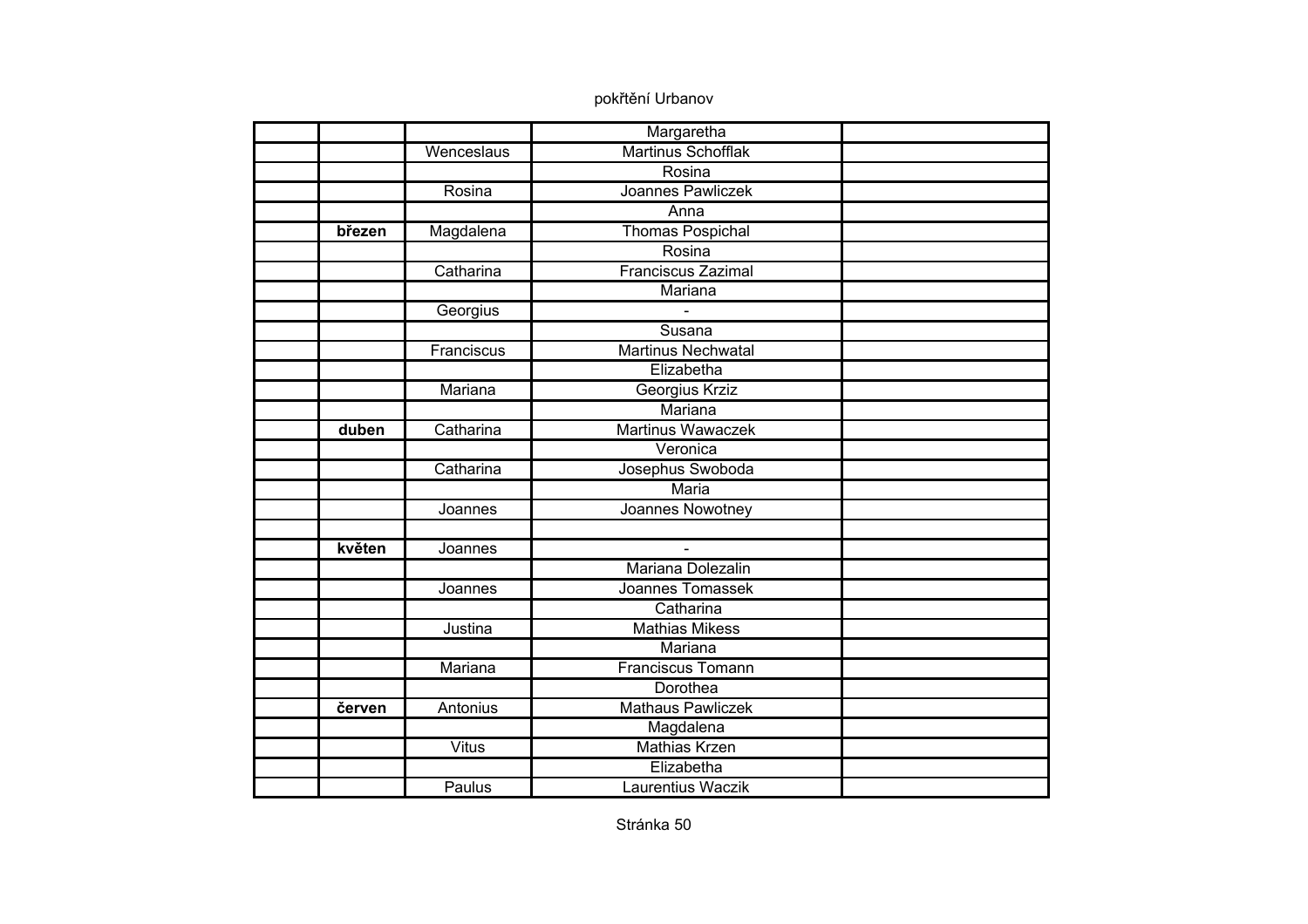|        |              | Margaretha                |  |
|--------|--------------|---------------------------|--|
|        | Wenceslaus   | <b>Martinus Schofflak</b> |  |
|        |              | Rosina                    |  |
|        | Rosina       | Joannes Pawliczek         |  |
|        |              | Anna                      |  |
| březen | Magdalena    | <b>Thomas Pospichal</b>   |  |
|        |              | Rosina                    |  |
|        | Catharina    | <b>Franciscus Zazimal</b> |  |
|        |              | Mariana                   |  |
|        | Georgius     |                           |  |
|        |              | Susana                    |  |
|        | Franciscus   | Martinus Nechwatal        |  |
|        |              | Elizabetha                |  |
|        | Mariana      | Georgius Krziz            |  |
|        |              | Mariana                   |  |
| duben  | Catharina    | <b>Martinus Wawaczek</b>  |  |
|        |              | Veronica                  |  |
|        | Catharina    | Josephus Swoboda          |  |
|        |              | Maria                     |  |
|        | Joannes      | Joannes Nowotney          |  |
|        |              |                           |  |
| květen | Joannes      | $\mathbf{r}$              |  |
|        |              | Mariana Dolezalin         |  |
|        | Joannes      | Joannes Tomassek          |  |
|        |              | Catharina                 |  |
|        | Justina      | <b>Mathias Mikess</b>     |  |
|        |              | Mariana                   |  |
|        | Mariana      | <b>Franciscus Tomann</b>  |  |
|        |              | Dorothea                  |  |
| červen | Antonius     | <b>Mathaus Pawliczek</b>  |  |
|        |              | Magdalena                 |  |
|        | <b>Vitus</b> | <b>Mathias Krzen</b>      |  |
|        |              | Elizabetha                |  |
|        | Paulus       | Laurentius Waczik         |  |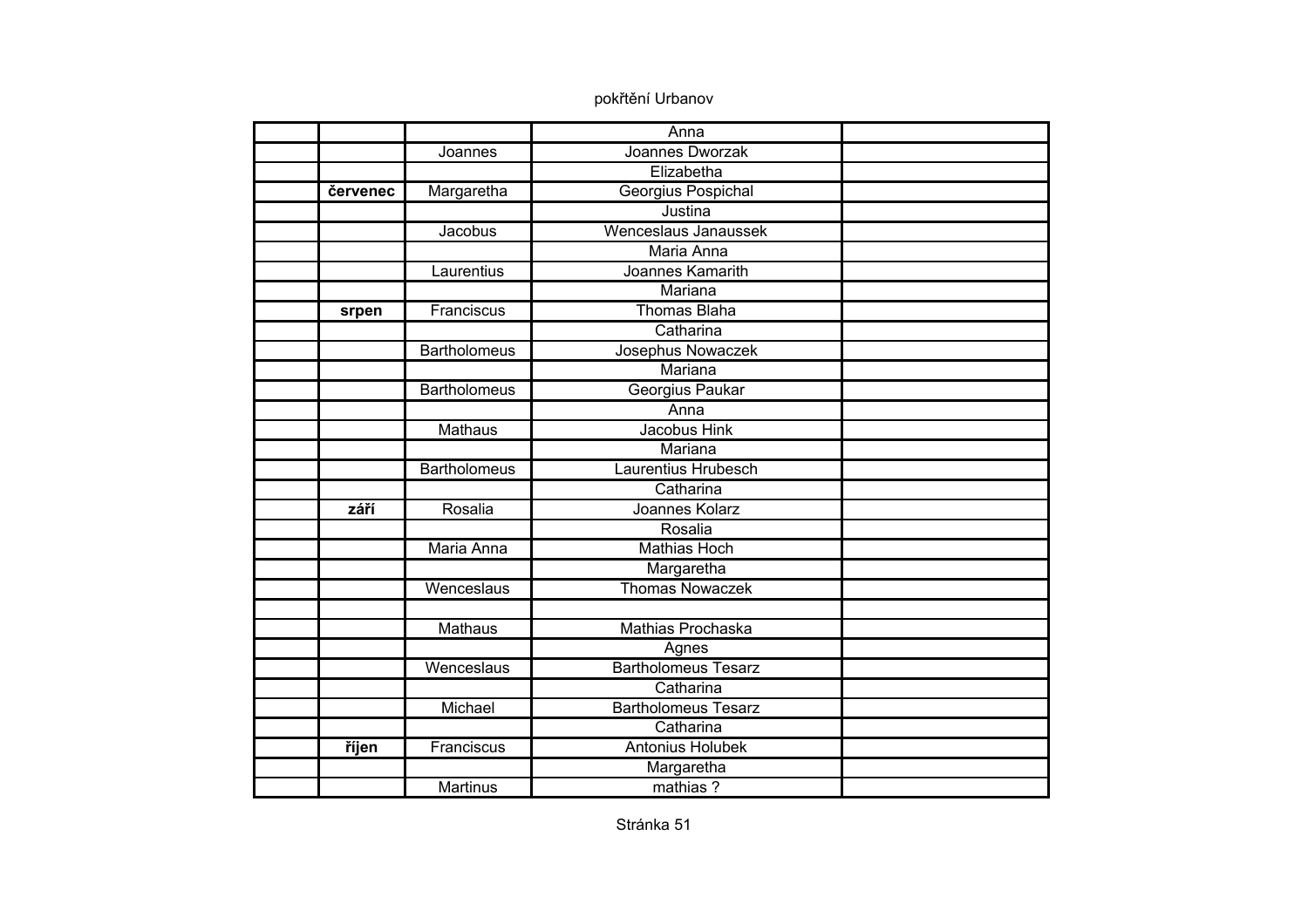|          |                     | Anna                       |  |
|----------|---------------------|----------------------------|--|
|          | Joannes             | Joannes Dworzak            |  |
|          |                     | Elizabetha                 |  |
| červenec | Margaretha          | Georgius Pospichal         |  |
|          |                     | Justina                    |  |
|          | Jacobus             | Wenceslaus Janaussek       |  |
|          |                     | Maria Anna                 |  |
|          | Laurentius          | Joannes Kamarith           |  |
|          |                     | Mariana                    |  |
| srpen    | Franciscus          | <b>Thomas Blaha</b>        |  |
|          |                     | Catharina                  |  |
|          | <b>Bartholomeus</b> | Josephus Nowaczek          |  |
|          |                     | Mariana                    |  |
|          | <b>Bartholomeus</b> | Georgius Paukar            |  |
|          |                     | Anna                       |  |
|          | <b>Mathaus</b>      | Jacobus Hink               |  |
|          |                     | Mariana                    |  |
|          | <b>Bartholomeus</b> | Laurentius Hrubesch        |  |
|          |                     | Catharina                  |  |
| září     | Rosalia             | Joannes Kolarz             |  |
|          |                     | Rosalia                    |  |
|          | Maria Anna          | <b>Mathias Hoch</b>        |  |
|          |                     | Margaretha                 |  |
|          | Wenceslaus          | <b>Thomas Nowaczek</b>     |  |
|          |                     |                            |  |
|          | <b>Mathaus</b>      | Mathias Prochaska          |  |
|          |                     | Agnes                      |  |
|          | Wenceslaus          | <b>Bartholomeus Tesarz</b> |  |
|          |                     | Catharina                  |  |
|          | Michael             | <b>Bartholomeus Tesarz</b> |  |
|          |                     | Catharina                  |  |
| říjen    | Franciscus          | <b>Antonius Holubek</b>    |  |
|          |                     | Margaretha                 |  |
|          | <b>Martinus</b>     | mathias?                   |  |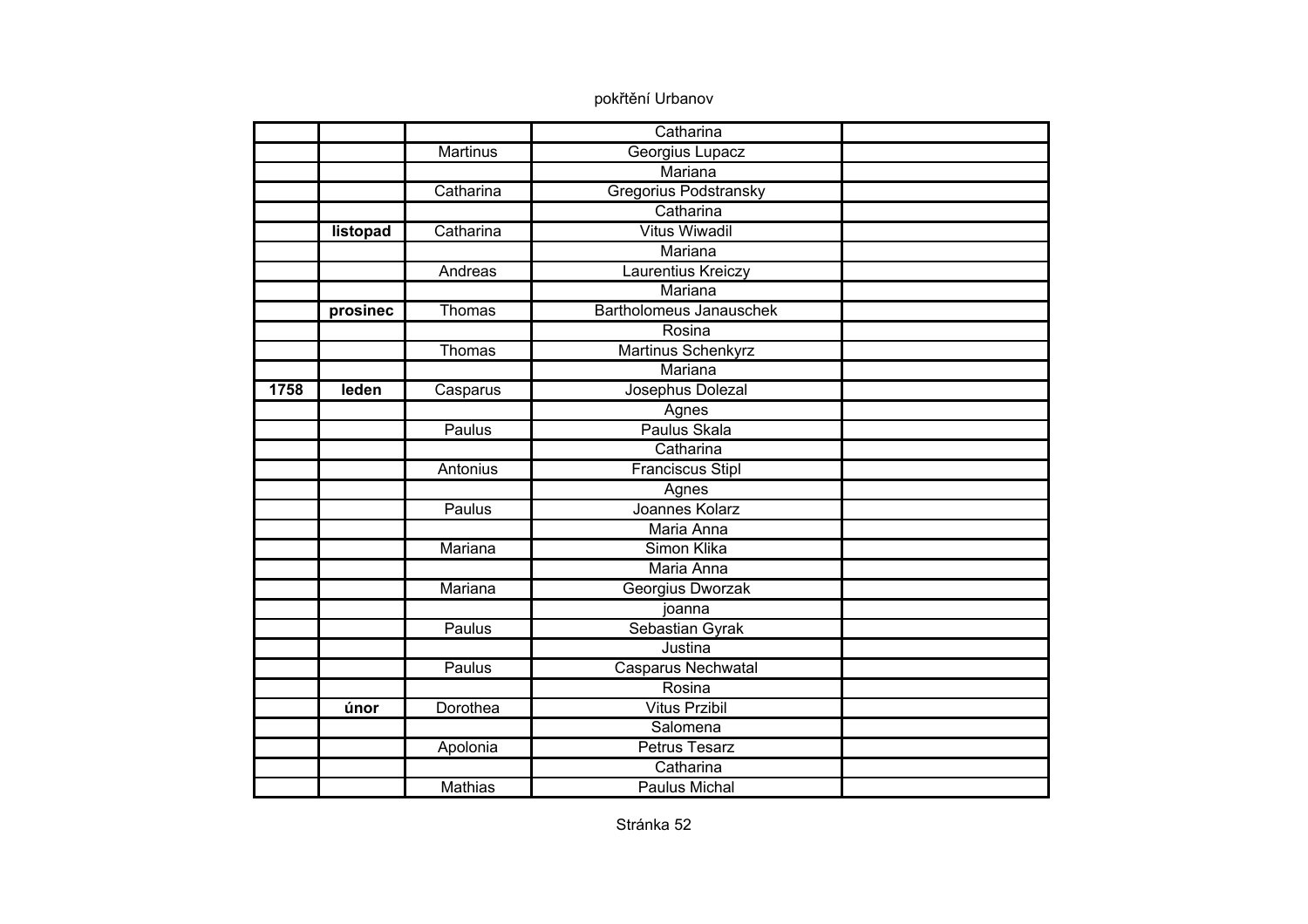|      |          |                | Catharina                 |  |
|------|----------|----------------|---------------------------|--|
|      |          | Martinus       | Georgius Lupacz           |  |
|      |          |                | Mariana                   |  |
|      |          | Catharina      | Gregorius Podstransky     |  |
|      |          |                | Catharina                 |  |
|      | listopad | Catharina      | <b>Vitus Wiwadil</b>      |  |
|      |          |                | Mariana                   |  |
|      |          | Andreas        | Laurentius Kreiczy        |  |
|      |          |                | Mariana                   |  |
|      | prosinec | Thomas         | Bartholomeus Janauschek   |  |
|      |          |                | Rosina                    |  |
|      |          | Thomas         | <b>Martinus Schenkyrz</b> |  |
|      |          |                | Mariana                   |  |
| 1758 | leden    | Casparus       | Josephus Dolezal          |  |
|      |          |                | Agnes                     |  |
|      |          | Paulus         | Paulus Skala              |  |
|      |          |                | Catharina                 |  |
|      |          | Antonius       | <b>Franciscus Stipl</b>   |  |
|      |          |                | Agnes                     |  |
|      |          | Paulus         | Joannes Kolarz            |  |
|      |          |                | Maria Anna                |  |
|      |          | Mariana        | Simon Klika               |  |
|      |          |                | Maria Anna                |  |
|      |          | Mariana        | Georgius Dworzak          |  |
|      |          |                | joanna                    |  |
|      |          | Paulus         | Sebastian Gyrak           |  |
|      |          |                | Justina                   |  |
|      |          | Paulus         | <b>Casparus Nechwatal</b> |  |
|      |          |                | Rosina                    |  |
|      | únor     | Dorothea       | <b>Vitus Przibil</b>      |  |
|      |          |                | Salomena                  |  |
|      |          | Apolonia       | <b>Petrus Tesarz</b>      |  |
|      |          |                | Catharina                 |  |
|      |          | <b>Mathias</b> | Paulus Michal             |  |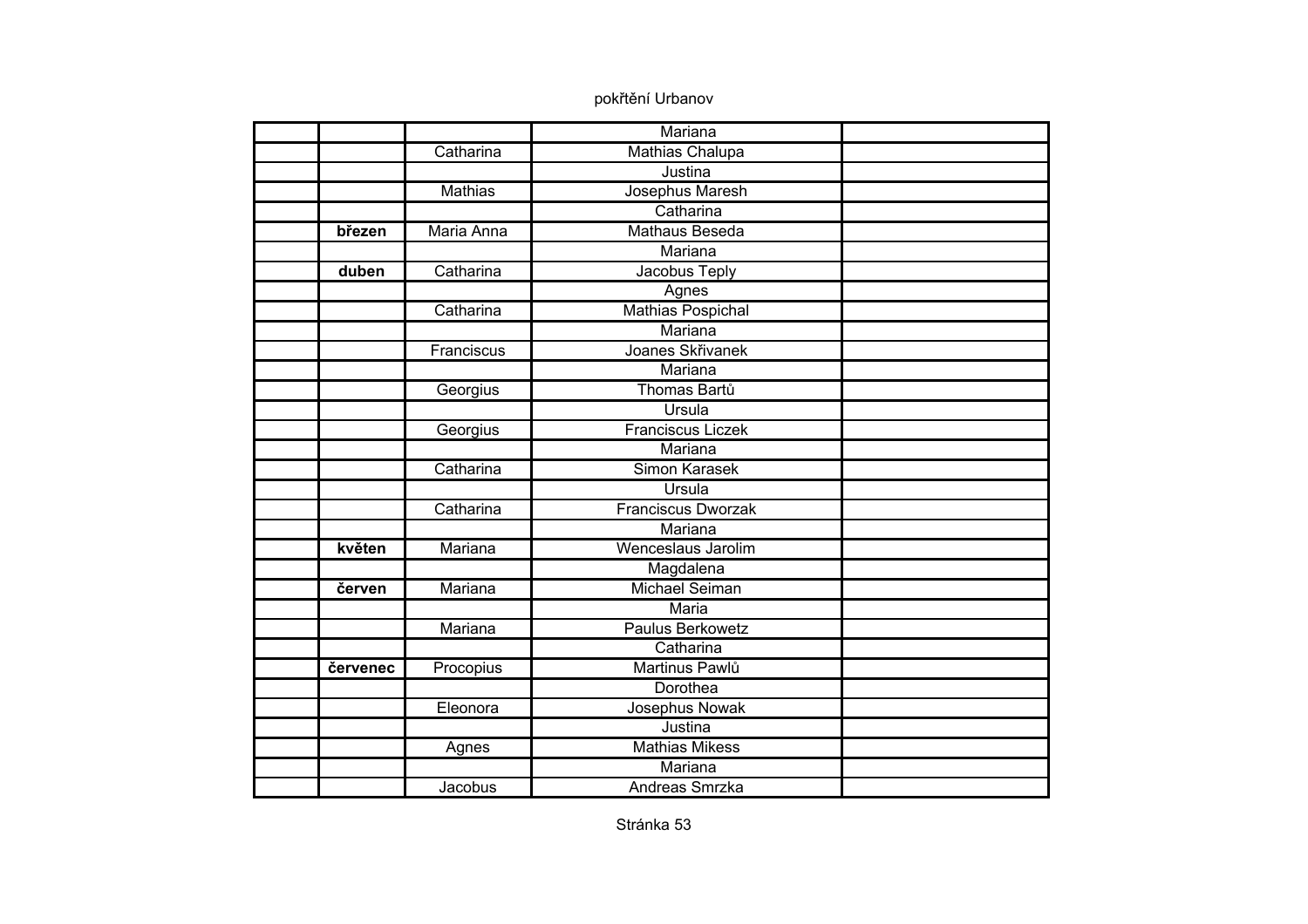|          |                | Mariana                   |  |
|----------|----------------|---------------------------|--|
|          | Catharina      | <b>Mathias Chalupa</b>    |  |
|          |                | Justina                   |  |
|          | <b>Mathias</b> | Josephus Maresh           |  |
|          |                | Catharina                 |  |
| březen   | Maria Anna     | <b>Mathaus Beseda</b>     |  |
|          |                | Mariana                   |  |
| duben    | Catharina      | Jacobus Teply             |  |
|          |                | Agnes                     |  |
|          | Catharina      | Mathias Pospichal         |  |
|          |                | Mariana                   |  |
|          | Franciscus     | Joanes Skřivanek          |  |
|          |                | Mariana                   |  |
|          | Georgius       | Thomas Bartů              |  |
|          |                | Ursula                    |  |
|          | Georgius       | <b>Franciscus Liczek</b>  |  |
|          |                | Mariana                   |  |
|          | Catharina      | Simon Karasek             |  |
|          |                | Ursula                    |  |
|          | Catharina      | <b>Franciscus Dworzak</b> |  |
|          |                | Mariana                   |  |
| květen   | Mariana        | Wenceslaus Jarolim        |  |
|          |                | Magdalena                 |  |
| červen   | Mariana        | <b>Michael Seiman</b>     |  |
|          |                | <b>Maria</b>              |  |
|          | Mariana        | <b>Paulus Berkowetz</b>   |  |
|          |                | Catharina                 |  |
| červenec | Procopius      | Martinus Pawlů            |  |
|          |                | Dorothea                  |  |
|          | Eleonora       | Josephus Nowak            |  |
|          |                | Justina                   |  |
|          | Agnes          | <b>Mathias Mikess</b>     |  |
|          |                | Mariana                   |  |
|          | Jacobus        | Andreas Smrzka            |  |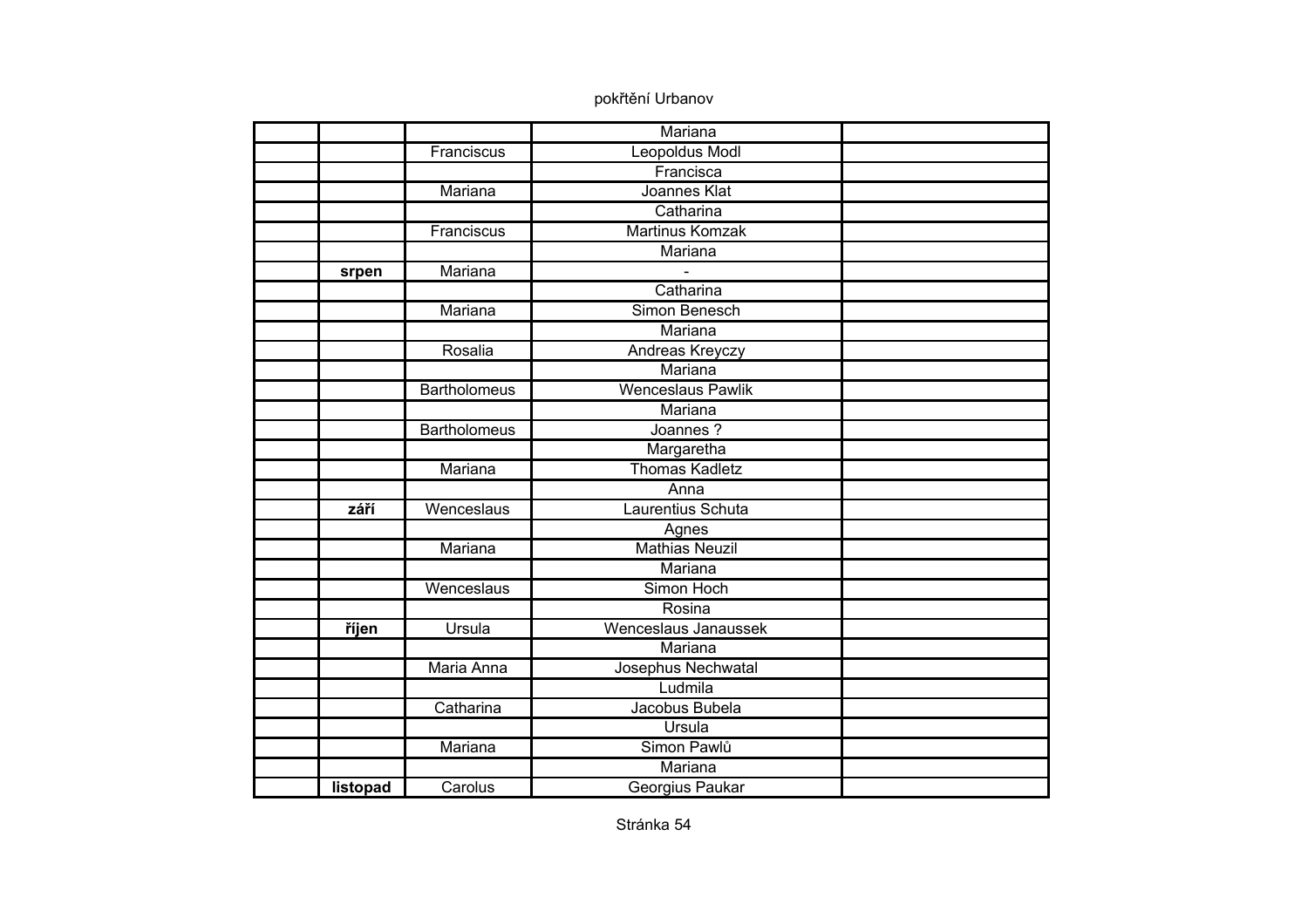|          |                     | Mariana                  |  |
|----------|---------------------|--------------------------|--|
|          | Franciscus          | <b>Leopoldus Modl</b>    |  |
|          |                     | Francisca                |  |
|          | Mariana             | Joannes Klat             |  |
|          |                     | Catharina                |  |
|          | Franciscus          | <b>Martinus Komzak</b>   |  |
|          |                     | Mariana                  |  |
| srpen    | Mariana             |                          |  |
|          |                     | Catharina                |  |
|          | Mariana             | Simon Benesch            |  |
|          |                     | Mariana                  |  |
|          | Rosalia             | Andreas Kreyczy          |  |
|          |                     | <b>Mariana</b>           |  |
|          | <b>Bartholomeus</b> | <b>Wenceslaus Pawlik</b> |  |
|          |                     | Mariana                  |  |
|          | <b>Bartholomeus</b> | Joannes?                 |  |
|          |                     | Margaretha               |  |
|          | Mariana             | <b>Thomas Kadletz</b>    |  |
|          |                     | Anna                     |  |
| září     | Wenceslaus          | Laurentius Schuta        |  |
|          |                     | Agnes                    |  |
|          | Mariana             | <b>Mathias Neuzil</b>    |  |
|          |                     | Mariana                  |  |
|          | Wenceslaus          | Simon Hoch               |  |
|          |                     | Rosina                   |  |
| říjen    | <b>Ursula</b>       | Wenceslaus Janaussek     |  |
|          |                     | Mariana                  |  |
|          | Maria Anna          | Josephus Nechwatal       |  |
|          |                     | Ludmila                  |  |
|          | Catharina           | Jacobus Bubela           |  |
|          |                     | Ursula                   |  |
|          | Mariana             | Simon Pawlů              |  |
|          |                     | Mariana                  |  |
| listopad | Carolus             | Georgius Paukar          |  |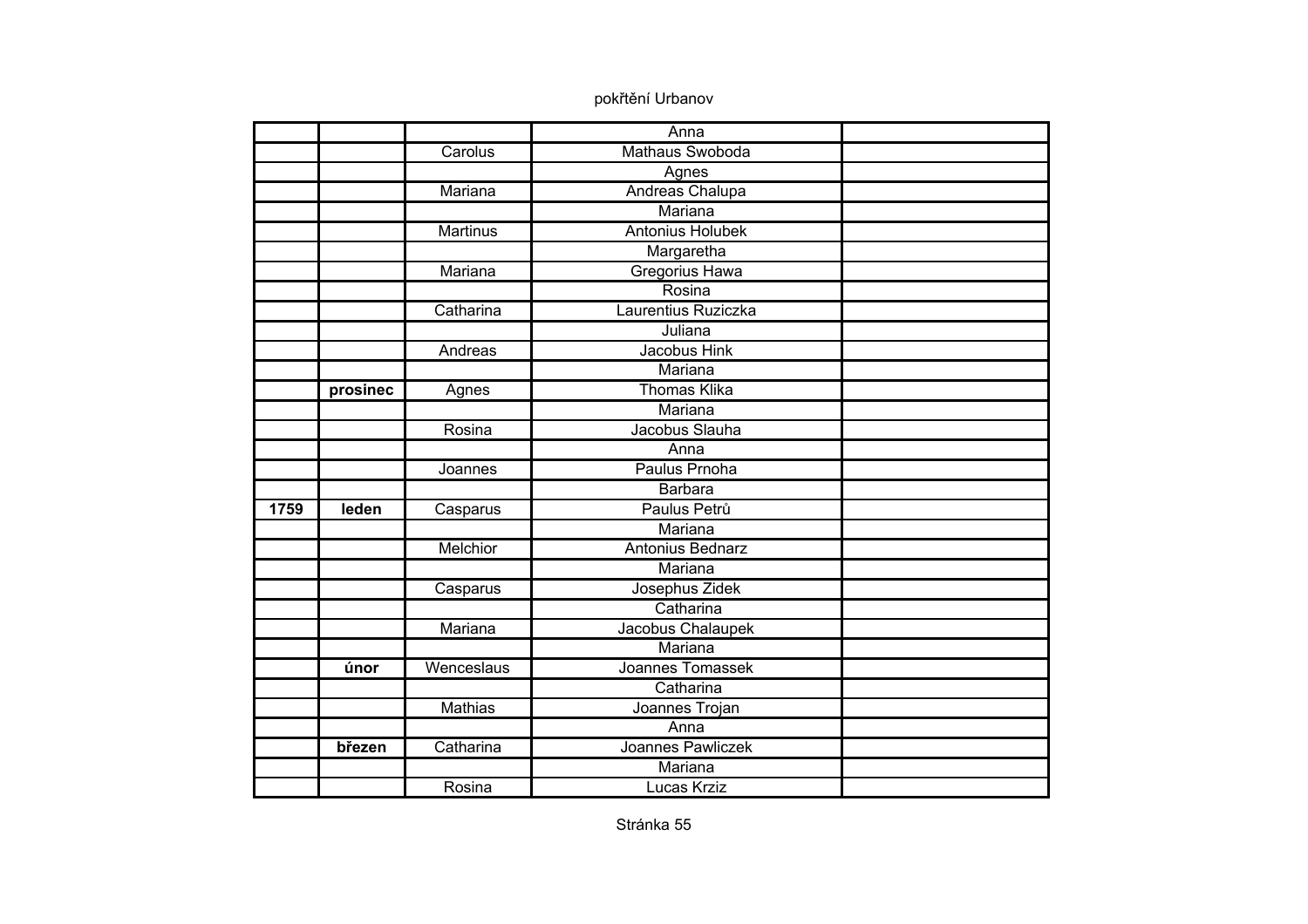|      |          |                 | Anna                    |  |
|------|----------|-----------------|-------------------------|--|
|      |          | Carolus         | Mathaus Swoboda         |  |
|      |          |                 | Agnes                   |  |
|      |          | Mariana         | <b>Andreas Chalupa</b>  |  |
|      |          |                 | Mariana                 |  |
|      |          | <b>Martinus</b> | <b>Antonius Holubek</b> |  |
|      |          |                 | Margaretha              |  |
|      |          | Mariana         | Gregorius Hawa          |  |
|      |          |                 | Rosina                  |  |
|      |          | Catharina       | Laurentius Ruziczka     |  |
|      |          |                 | Juliana                 |  |
|      |          | Andreas         | Jacobus Hink            |  |
|      |          |                 | <b>Mariana</b>          |  |
|      | prosinec | Agnes           | <b>Thomas Klika</b>     |  |
|      |          |                 | Mariana                 |  |
|      |          | Rosina          | Jacobus Slauha          |  |
|      |          |                 | Anna                    |  |
|      |          | Joannes         | Paulus Prnoha           |  |
|      |          |                 | <b>Barbara</b>          |  |
| 1759 | leden    | Casparus        | Paulus Petrů            |  |
|      |          |                 | Mariana                 |  |
|      |          | <b>Melchior</b> | Antonius Bednarz        |  |
|      |          |                 | Mariana                 |  |
|      |          | Casparus        | Josephus Zidek          |  |
|      |          |                 | Catharina               |  |
|      |          | Mariana         | Jacobus Chalaupek       |  |
|      |          |                 | Mariana                 |  |
|      | únor     | Wenceslaus      | Joannes Tomassek        |  |
|      |          |                 | Catharina               |  |
|      |          | <b>Mathias</b>  | Joannes Trojan          |  |
|      |          |                 | Anna                    |  |
|      | březen   | Catharina       | Joannes Pawliczek       |  |
|      |          |                 | Mariana                 |  |
|      |          | Rosina          | <b>Lucas Krziz</b>      |  |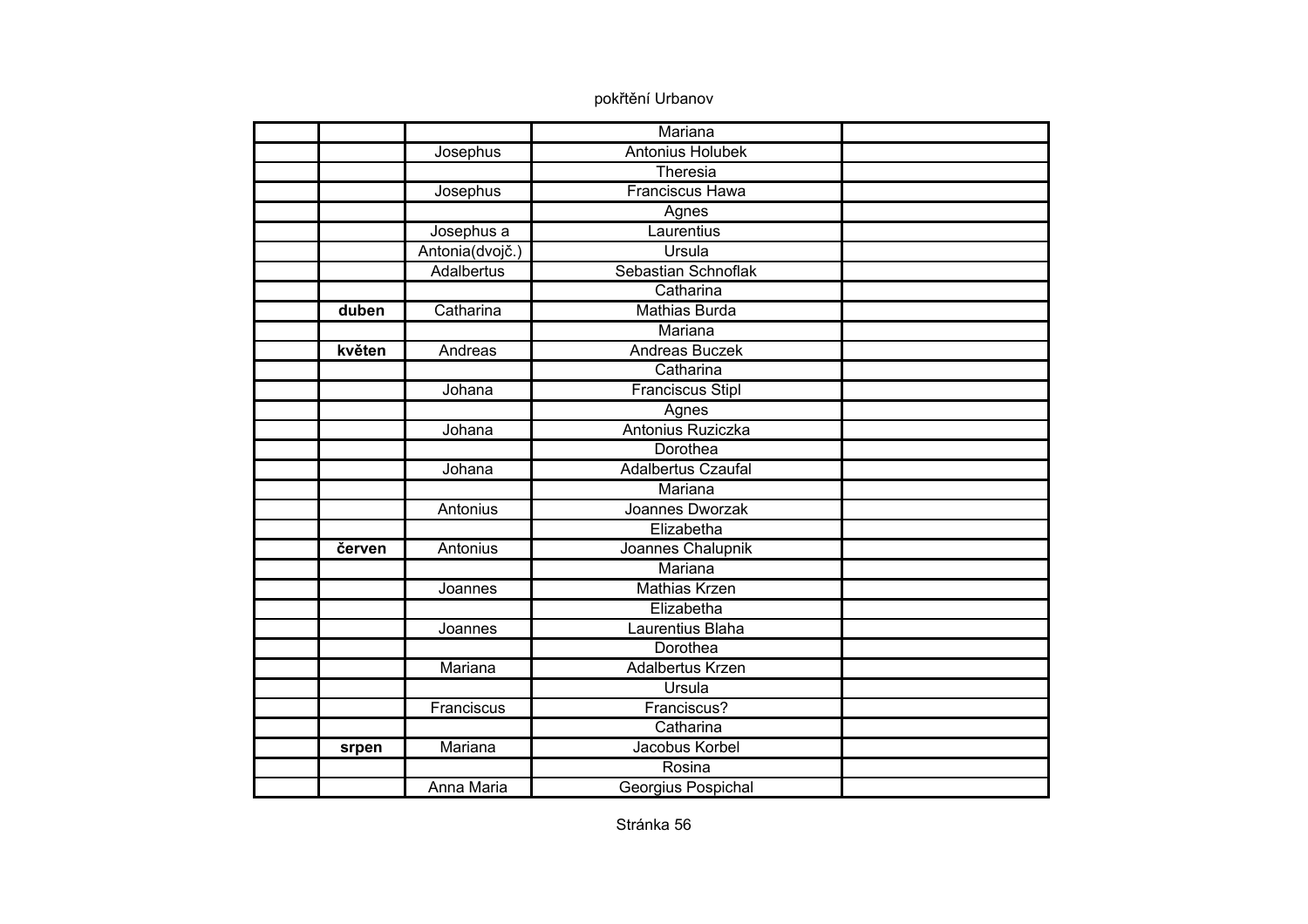|        |                   | Mariana                   |  |
|--------|-------------------|---------------------------|--|
|        | Josephus          | <b>Antonius Holubek</b>   |  |
|        |                   | Theresia                  |  |
|        | Josephus          | <b>Franciscus Hawa</b>    |  |
|        |                   | Agnes                     |  |
|        | Josephus a        | Laurentius                |  |
|        | Antonia(dvojč.)   | Ursula                    |  |
|        | Adalbertus        | Sebastian Schnoflak       |  |
|        |                   | Catharina                 |  |
| duben  | Catharina         | <b>Mathias Burda</b>      |  |
|        |                   | Mariana                   |  |
| květen | Andreas           | <b>Andreas Buczek</b>     |  |
|        |                   | Catharina                 |  |
|        | Johana            | <b>Franciscus Stipl</b>   |  |
|        |                   | Agnes                     |  |
|        | Johana            | Antonius Ruziczka         |  |
|        |                   | Dorothea                  |  |
|        | Johana            | <b>Adalbertus Czaufal</b> |  |
|        |                   | Mariana                   |  |
|        | <b>Antonius</b>   | Joannes Dworzak           |  |
|        |                   | Elizabetha                |  |
| červen | Antonius          | Joannes Chalupnik         |  |
|        |                   | Mariana                   |  |
|        | Joannes           | <b>Mathias Krzen</b>      |  |
|        |                   | Elizabetha                |  |
|        | Joannes           | Laurentius Blaha          |  |
|        |                   | Dorothea                  |  |
|        | Mariana           | Adalbertus Krzen          |  |
|        |                   | Ursula                    |  |
|        | Franciscus        | Franciscus?               |  |
|        |                   | Catharina                 |  |
| srpen  | Mariana           | Jacobus Korbel            |  |
|        |                   | Rosina                    |  |
|        | <b>Anna Maria</b> | Georgius Pospichal        |  |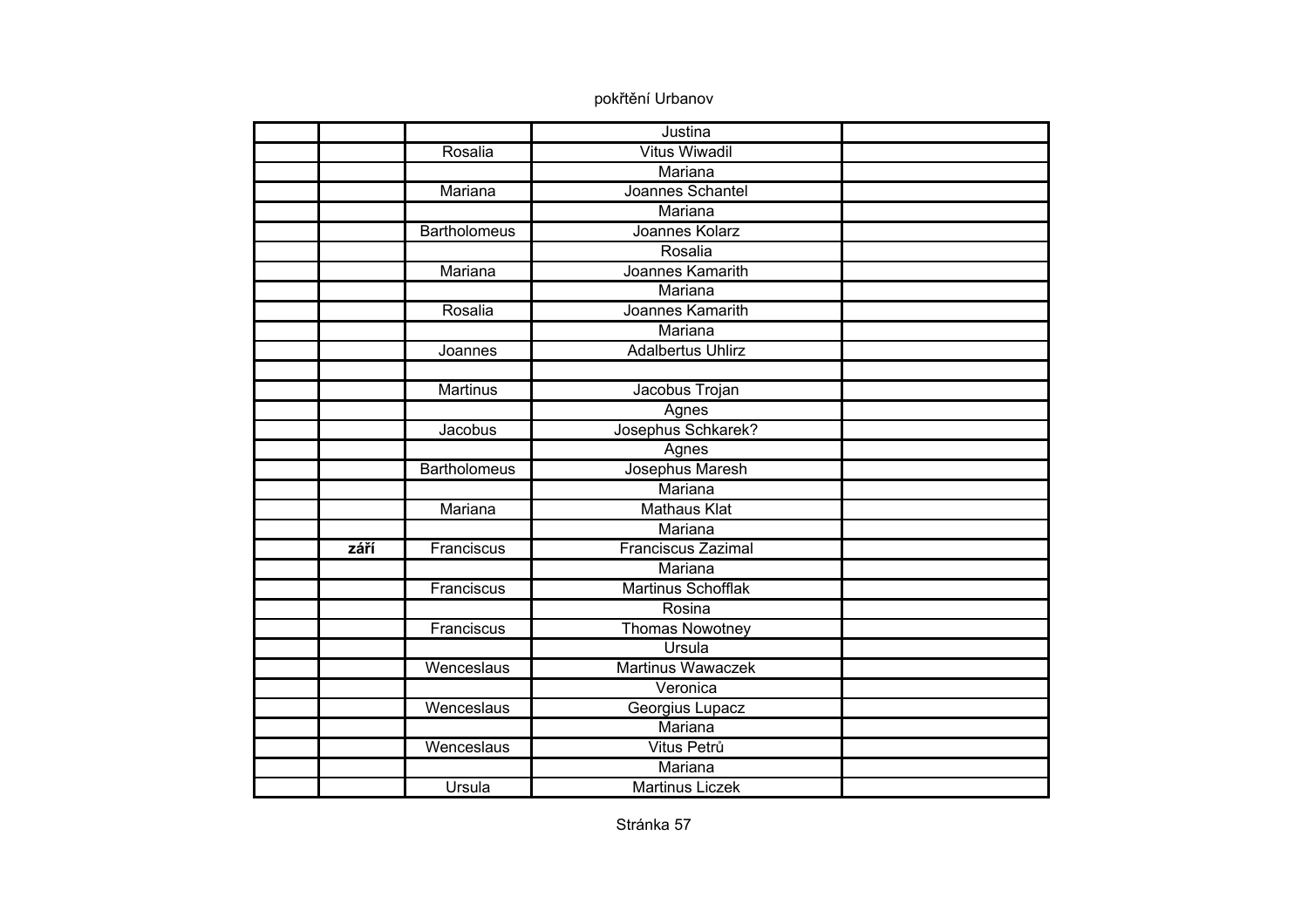|      |                     | Justina                   |  |
|------|---------------------|---------------------------|--|
|      | Rosalia             | <b>Vitus Wiwadil</b>      |  |
|      |                     | Mariana                   |  |
|      | Mariana             | Joannes Schantel          |  |
|      |                     | <b>Mariana</b>            |  |
|      | <b>Bartholomeus</b> | Joannes Kolarz            |  |
|      |                     | Rosalia                   |  |
|      | Mariana             | Joannes Kamarith          |  |
|      |                     | Mariana                   |  |
|      | Rosalia             | Joannes Kamarith          |  |
|      |                     | Mariana                   |  |
|      | Joannes             | <b>Adalbertus Uhlirz</b>  |  |
|      |                     |                           |  |
|      | <b>Martinus</b>     | Jacobus Trojan            |  |
|      |                     | Agnes                     |  |
|      | Jacobus             | Josephus Schkarek?        |  |
|      |                     | Agnes                     |  |
|      | <b>Bartholomeus</b> | Josephus Maresh           |  |
|      |                     | Mariana                   |  |
|      | Mariana             | <b>Mathaus Klat</b>       |  |
|      |                     | Mariana                   |  |
| září | Franciscus          | Franciscus Zazimal        |  |
|      |                     | Mariana                   |  |
|      | Franciscus          | <b>Martinus Schofflak</b> |  |
|      |                     | Rosina                    |  |
|      | Franciscus          | Thomas Nowotney           |  |
|      |                     | Ursula                    |  |
|      | Wenceslaus          | <b>Martinus Wawaczek</b>  |  |
|      |                     | Veronica                  |  |
|      | Wenceslaus          | Georgius Lupacz           |  |
|      |                     | Mariana                   |  |
|      | Wenceslaus          | Vitus Petrů               |  |
|      |                     | Mariana                   |  |
|      | Ursula              | <b>Martinus Liczek</b>    |  |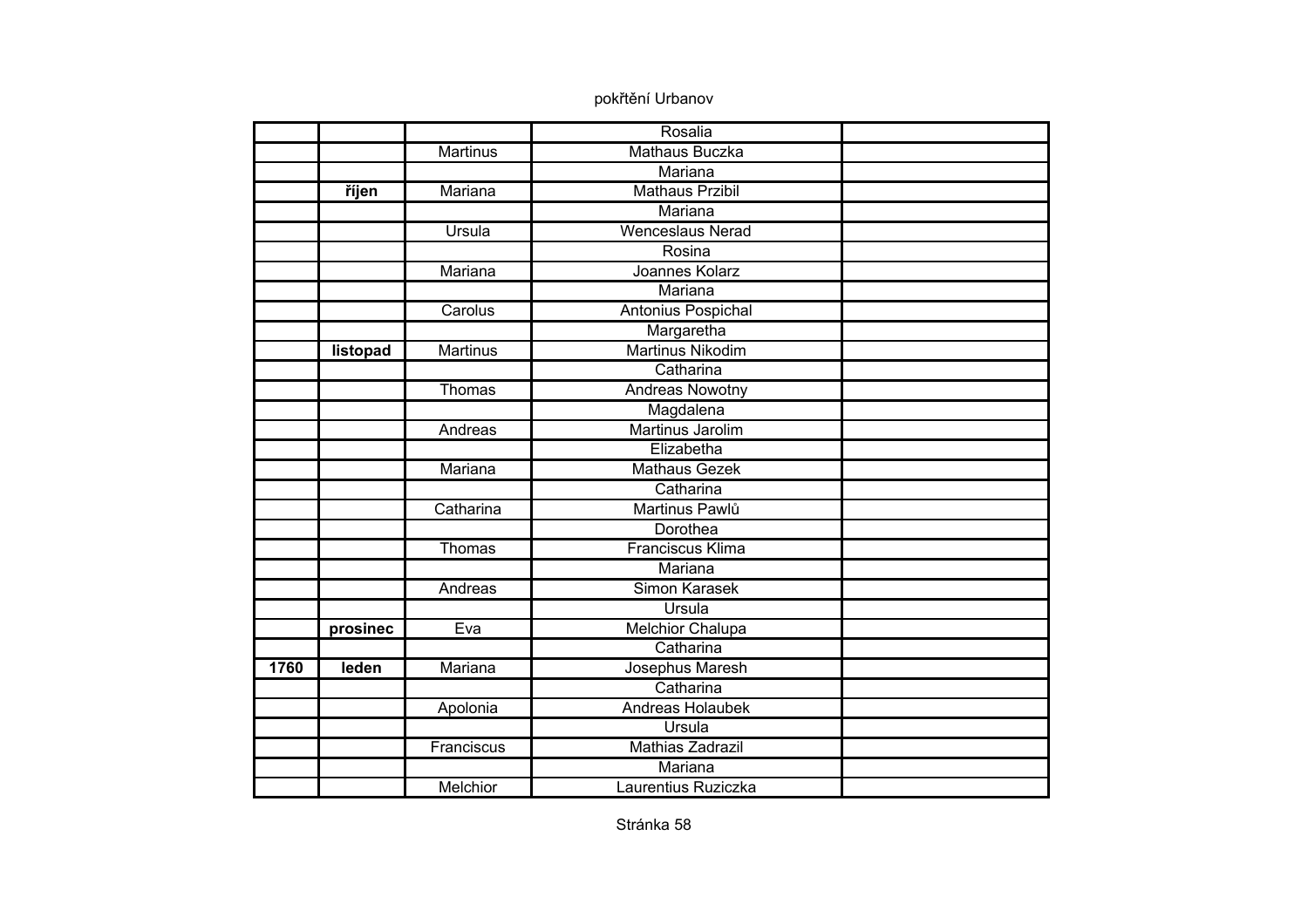|      |          |                 | Rosalia                 |  |
|------|----------|-----------------|-------------------------|--|
|      |          | <b>Martinus</b> | <b>Mathaus Buczka</b>   |  |
|      |          |                 | Mariana                 |  |
|      | říjen    | Mariana         | <b>Mathaus Przibil</b>  |  |
|      |          |                 | Mariana                 |  |
|      |          | <b>Ursula</b>   | <b>Wenceslaus Nerad</b> |  |
|      |          |                 | Rosina                  |  |
|      |          | Mariana         | Joannes Kolarz          |  |
|      |          |                 | Mariana                 |  |
|      |          | Carolus         | Antonius Pospichal      |  |
|      |          |                 | Margaretha              |  |
|      | listopad | <b>Martinus</b> | <b>Martinus Nikodim</b> |  |
|      |          |                 | Catharina               |  |
|      |          | Thomas          | <b>Andreas Nowotny</b>  |  |
|      |          |                 | Magdalena               |  |
|      |          | Andreas         | Martinus Jarolim        |  |
|      |          |                 | Elizabetha              |  |
|      |          | Mariana         | Mathaus Gezek           |  |
|      |          |                 | Catharina               |  |
|      |          | Catharina       | Martinus Pawlů          |  |
|      |          |                 | Dorothea                |  |
|      |          | Thomas          | Franciscus Klima        |  |
|      |          |                 | Mariana                 |  |
|      |          | Andreas         | <b>Simon Karasek</b>    |  |
|      |          |                 | <b>Ursula</b>           |  |
|      | prosinec | Eva             | Melchior Chalupa        |  |
|      |          |                 | Catharina               |  |
| 1760 | leden    | Mariana         | Josephus Maresh         |  |
|      |          |                 | Catharina               |  |
|      |          | Apolonia        | <b>Andreas Holaubek</b> |  |
|      |          |                 | Ursula                  |  |
|      |          | Franciscus      | Mathias Zadrazil        |  |
|      |          |                 | Mariana                 |  |
|      |          | Melchior        | Laurentius Ruziczka     |  |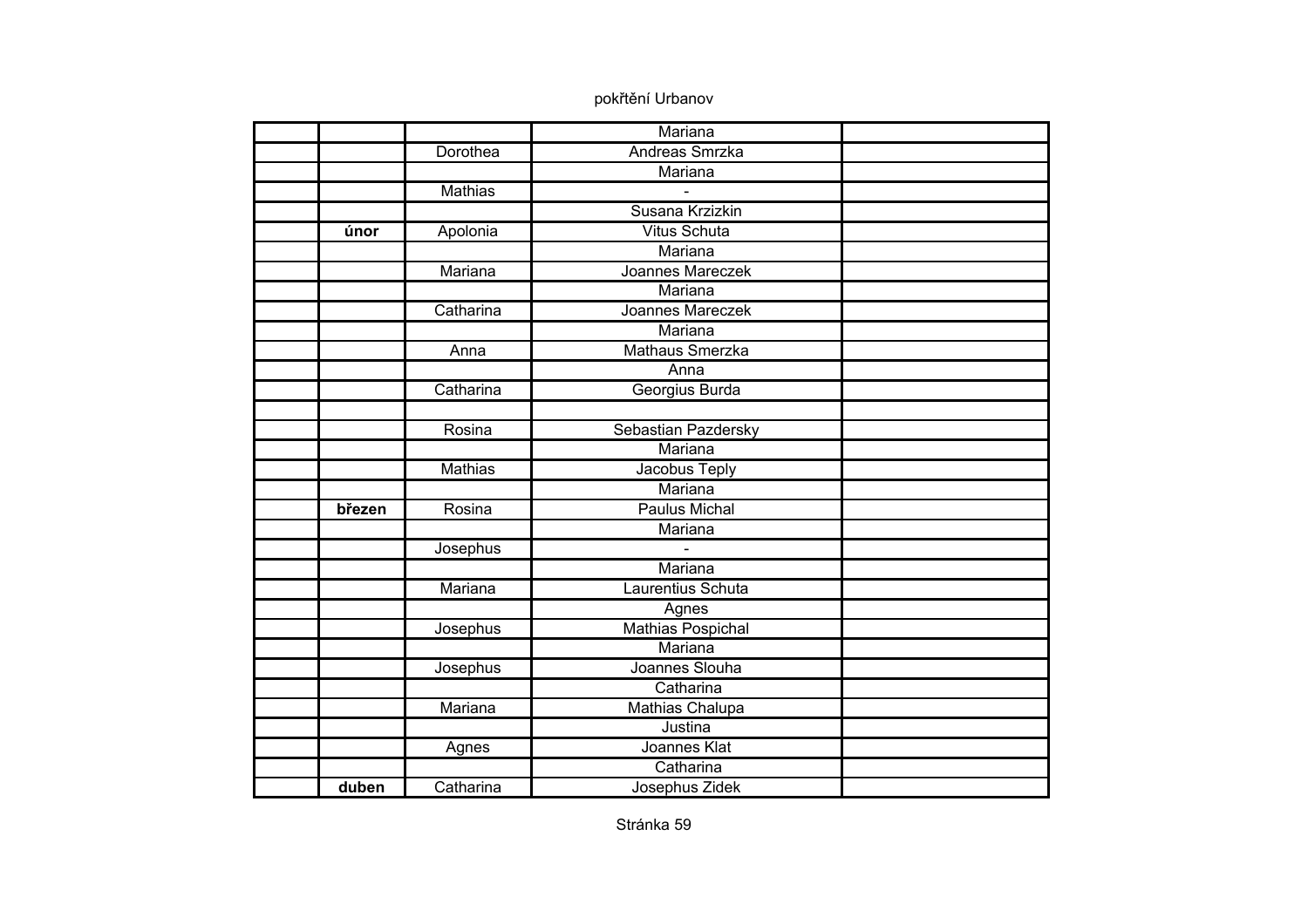|        |                | Mariana                  |  |
|--------|----------------|--------------------------|--|
|        | Dorothea       | <b>Andreas Smrzka</b>    |  |
|        |                | Mariana                  |  |
|        | <b>Mathias</b> |                          |  |
|        |                | Susana Krzizkin          |  |
| únor   | Apolonia       | <b>Vitus Schuta</b>      |  |
|        |                | Mariana                  |  |
|        | Mariana        | Joannes Mareczek         |  |
|        |                | Mariana                  |  |
|        | Catharina      | Joannes Mareczek         |  |
|        |                | Mariana                  |  |
|        | Anna           | <b>Mathaus Smerzka</b>   |  |
|        |                | Anna                     |  |
|        | Catharina      | Georgius Burda           |  |
|        |                |                          |  |
|        | Rosina         | Sebastian Pazdersky      |  |
|        |                | Mariana                  |  |
|        | <b>Mathias</b> | Jacobus Teply            |  |
|        |                | Mariana                  |  |
| březen | Rosina         | <b>Paulus Michal</b>     |  |
|        |                | Mariana                  |  |
|        | Josephus       | $\overline{a}$           |  |
|        |                | Mariana                  |  |
|        | Mariana        | Laurentius Schuta        |  |
|        |                | Agnes                    |  |
|        | Josephus       | <b>Mathias Pospichal</b> |  |
|        |                | Mariana                  |  |
|        | Josephus       | Joannes Slouha           |  |
|        |                | Catharina                |  |
|        | Mariana        | Mathias Chalupa          |  |
|        |                | Justina                  |  |
|        | Agnes          | Joannes Klat             |  |
|        |                | Catharina                |  |
| duben  | Catharina      | Josephus Zidek           |  |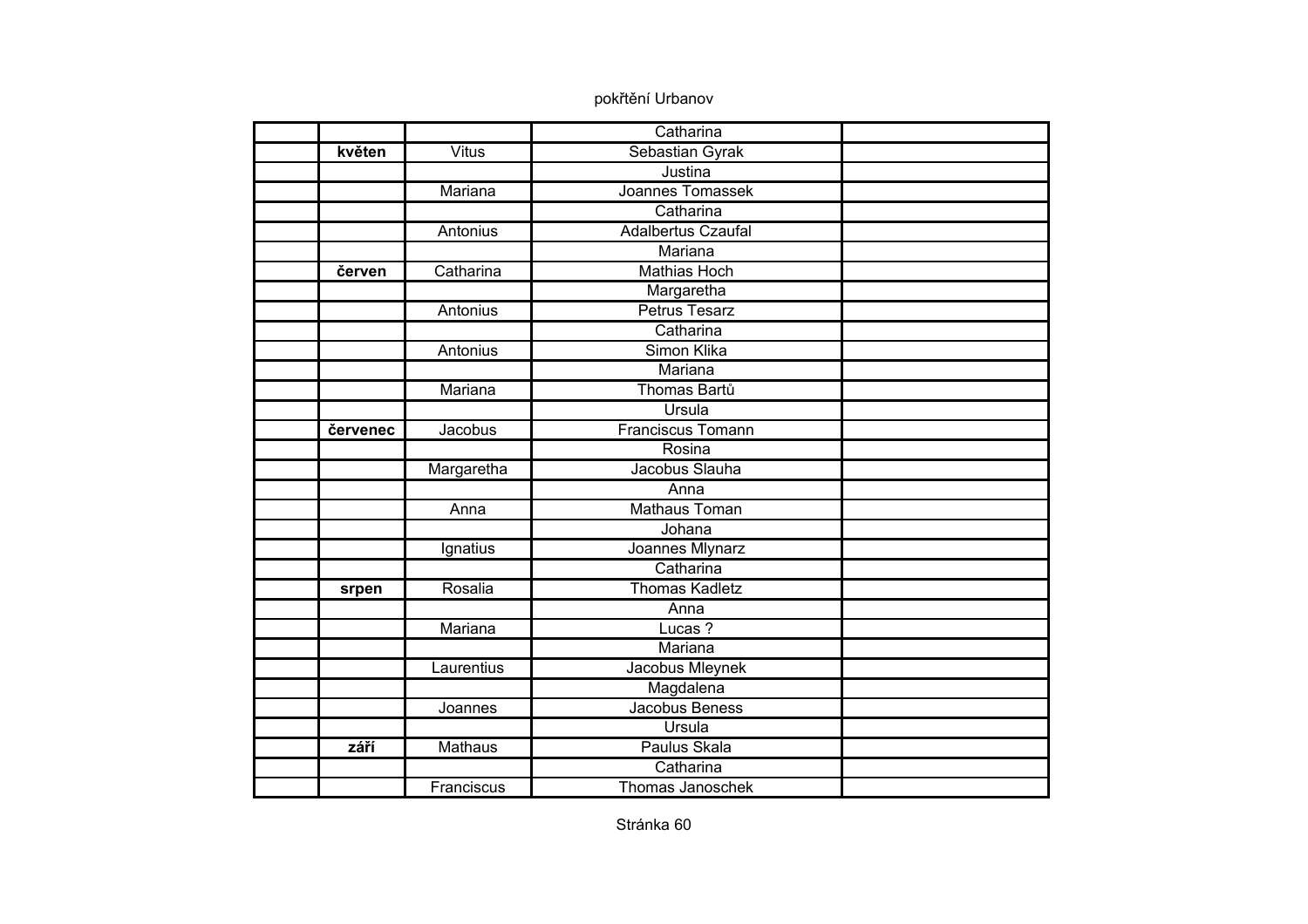|          |                | Catharina                 |  |
|----------|----------------|---------------------------|--|
| květen   | <b>Vitus</b>   | Sebastian Gyrak           |  |
|          |                | Justina                   |  |
|          | Mariana        | Joannes Tomassek          |  |
|          |                | Catharina                 |  |
|          | Antonius       | <b>Adalbertus Czaufal</b> |  |
|          |                | Mariana                   |  |
| červen   | Catharina      | <b>Mathias Hoch</b>       |  |
|          |                | Margaretha                |  |
|          | Antonius       | <b>Petrus Tesarz</b>      |  |
|          |                | Catharina                 |  |
|          | Antonius       | Simon Klika               |  |
|          |                | Mariana                   |  |
|          | Mariana        | Thomas Bartů              |  |
|          |                | Ursula                    |  |
| červenec | Jacobus        | <b>Franciscus Tomann</b>  |  |
|          |                | Rosina                    |  |
|          | Margaretha     | Jacobus Slauha            |  |
|          |                | Anna                      |  |
|          | Anna           | <b>Mathaus Toman</b>      |  |
|          |                | Johana                    |  |
|          | Ignatius       | Joannes Mlynarz           |  |
|          |                | Catharina                 |  |
| srpen    | Rosalia        | <b>Thomas Kadletz</b>     |  |
|          |                | Anna                      |  |
|          | Mariana        | Lucas?                    |  |
|          |                | Mariana                   |  |
|          | Laurentius     | Jacobus Mleynek           |  |
|          |                | Magdalena                 |  |
|          | Joannes        | Jacobus Beness            |  |
|          |                | Ursula                    |  |
| září     | <b>Mathaus</b> | Paulus Skala              |  |
|          |                | Catharina                 |  |
|          | Franciscus     | Thomas Janoschek          |  |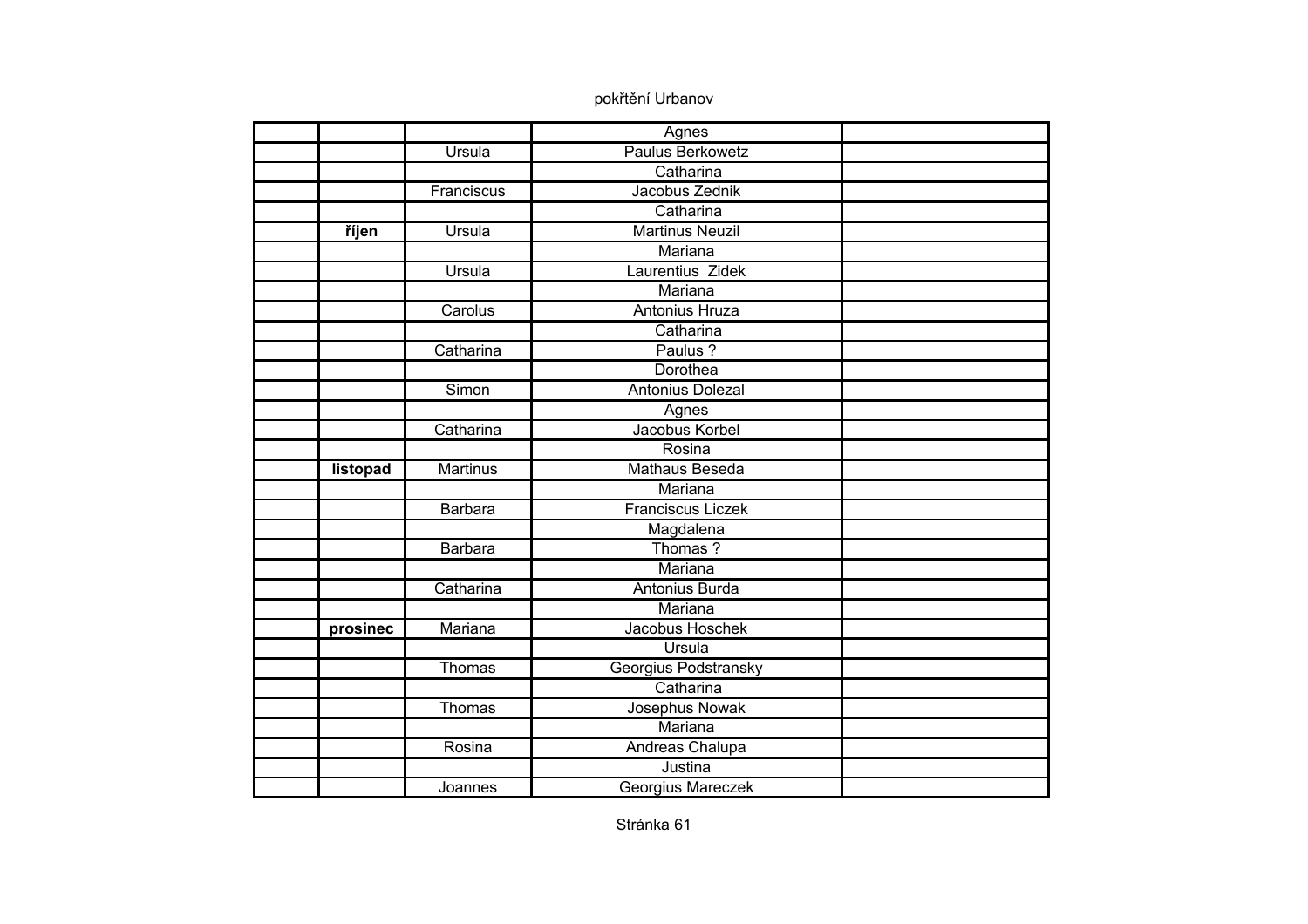|          |                 | Agnes                    |  |
|----------|-----------------|--------------------------|--|
|          | Ursula          | <b>Paulus Berkowetz</b>  |  |
|          |                 | Catharina                |  |
|          | Franciscus      | Jacobus Zednik           |  |
|          |                 | Catharina                |  |
| říjen    | <b>Ursula</b>   | <b>Martinus Neuzil</b>   |  |
|          |                 | Mariana                  |  |
|          | Ursula          | Laurentius Zidek         |  |
|          |                 | Mariana                  |  |
|          | Carolus         | <b>Antonius Hruza</b>    |  |
|          |                 | Catharina                |  |
|          | Catharina       | Paulus ?                 |  |
|          |                 | <b>Dorothea</b>          |  |
|          | Simon           | Antonius Dolezal         |  |
|          |                 | Agnes                    |  |
|          | Catharina       | Jacobus Korbel           |  |
|          |                 | Rosina                   |  |
| listopad | <b>Martinus</b> | Mathaus Beseda           |  |
|          |                 | Mariana                  |  |
|          | <b>Barbara</b>  | <b>Franciscus Liczek</b> |  |
|          |                 | Magdalena                |  |
|          | <b>Barbara</b>  | Thomas?                  |  |
|          |                 | Mariana                  |  |
|          | Catharina       | <b>Antonius Burda</b>    |  |
|          |                 | Mariana                  |  |
| prosinec | Mariana         | Jacobus Hoschek          |  |
|          |                 | Ursula                   |  |
|          | Thomas          | Georgius Podstransky     |  |
|          |                 | Catharina                |  |
|          | Thomas          | Josephus Nowak           |  |
|          |                 | Mariana                  |  |
|          | Rosina          | Andreas Chalupa          |  |
|          |                 | Justina                  |  |
|          | Joannes         | Georgius Mareczek        |  |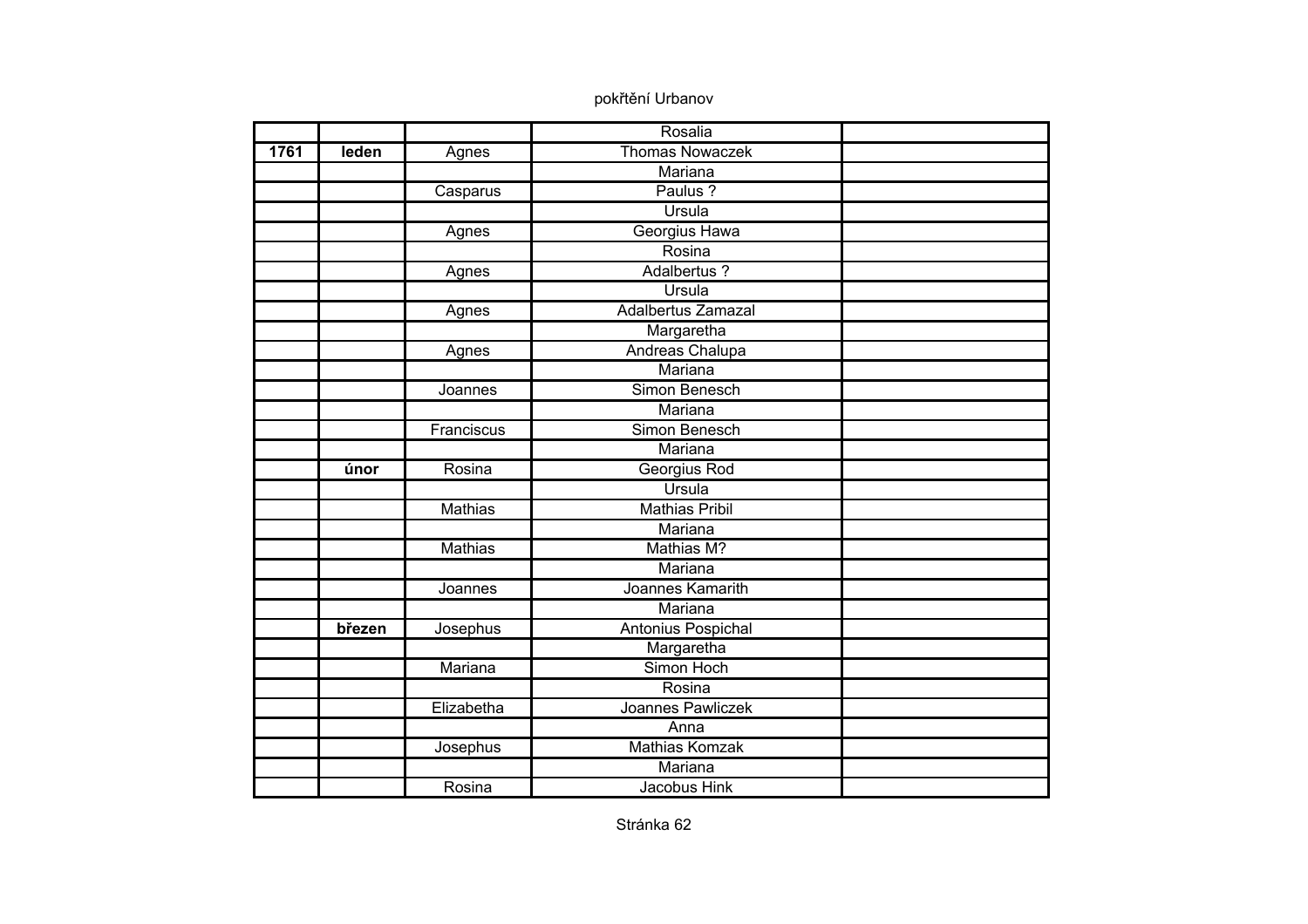|      |        |                | Rosalia                |  |
|------|--------|----------------|------------------------|--|
| 1761 | leden  | Agnes          | <b>Thomas Nowaczek</b> |  |
|      |        |                | <b>Mariana</b>         |  |
|      |        | Casparus       | Paulus ?               |  |
|      |        |                | Ursula                 |  |
|      |        | Agnes          | Georgius Hawa          |  |
|      |        |                | Rosina                 |  |
|      |        | Agnes          | Adalbertus ?           |  |
|      |        |                | Ursula                 |  |
|      |        | Agnes          | Adalbertus Zamazal     |  |
|      |        |                | Margaretha             |  |
|      |        | Agnes          | <b>Andreas Chalupa</b> |  |
|      |        |                | Mariana                |  |
|      |        | Joannes        | Simon Benesch          |  |
|      |        |                | Mariana                |  |
|      |        | Franciscus     | Simon Benesch          |  |
|      |        |                | Mariana                |  |
|      | únor   | Rosina         | Georgius Rod           |  |
|      |        |                | Ursula                 |  |
|      |        | <b>Mathias</b> | <b>Mathias Pribil</b>  |  |
|      |        |                | Mariana                |  |
|      |        | <b>Mathias</b> | Mathias M?             |  |
|      |        |                | Mariana                |  |
|      |        | Joannes        | Joannes Kamarith       |  |
|      |        |                | Mariana                |  |
|      | březen | Josephus       | Antonius Pospichal     |  |
|      |        |                | Margaretha             |  |
|      |        | Mariana        | Simon Hoch             |  |
|      |        |                | Rosina                 |  |
|      |        | Elizabetha     | Joannes Pawliczek      |  |
|      |        |                | Anna                   |  |
|      |        | Josephus       | <b>Mathias Komzak</b>  |  |
|      |        |                | Mariana                |  |
|      |        | Rosina         | Jacobus Hink           |  |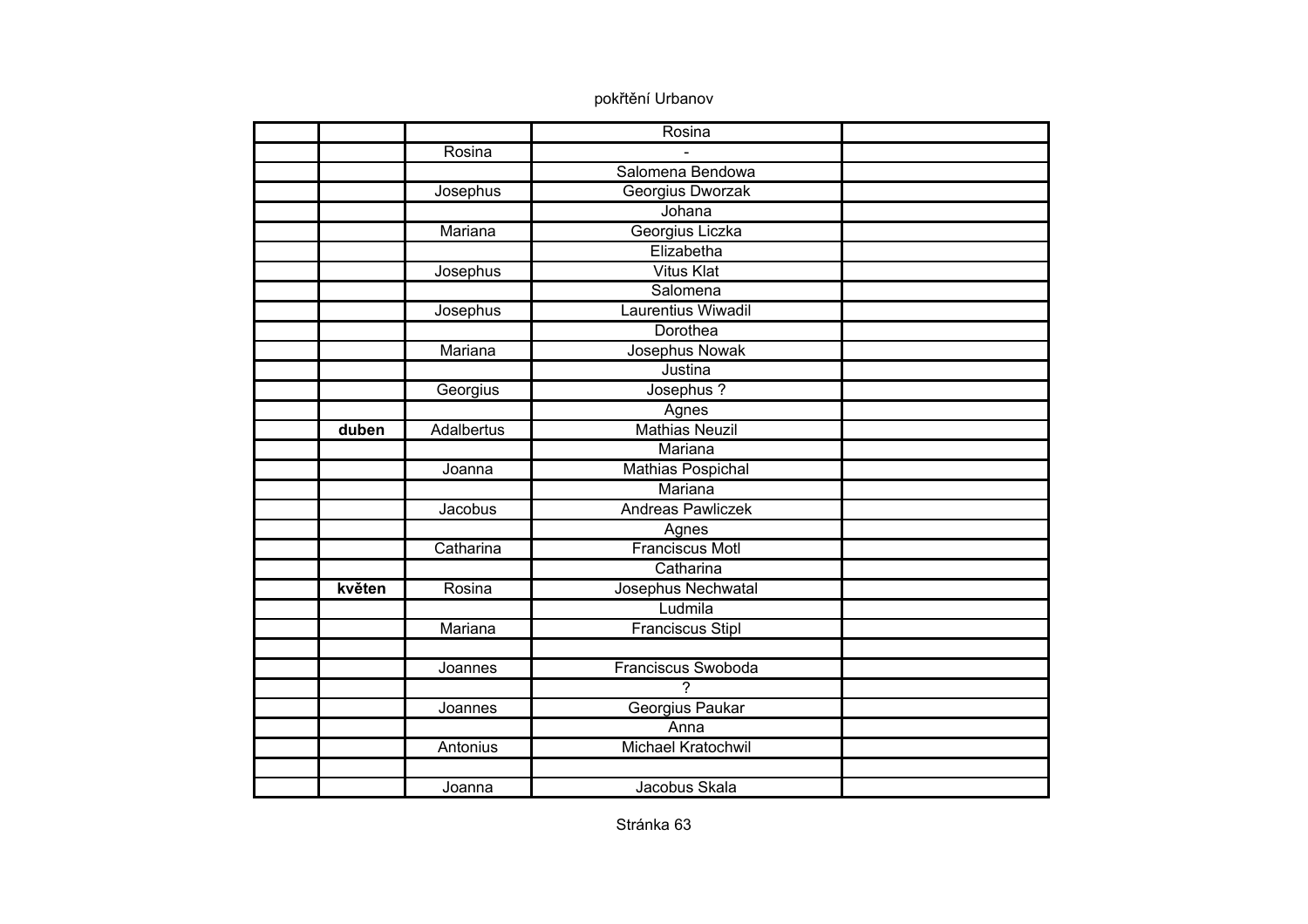|        |                   | Rosina                    |  |
|--------|-------------------|---------------------------|--|
|        | Rosina            |                           |  |
|        |                   | Salomena Bendowa          |  |
|        | Josephus          | Georgius Dworzak          |  |
|        |                   | Johana                    |  |
|        | Mariana           | Georgius Liczka           |  |
|        |                   | Elizabetha                |  |
|        | Josephus          | <b>Vitus Klat</b>         |  |
|        |                   | Salomena                  |  |
|        | Josephus          | Laurentius Wiwadil        |  |
|        |                   | Dorothea                  |  |
|        | Mariana           | Josephus Nowak            |  |
|        |                   | Justina                   |  |
|        | Georgius          | Josephus ?                |  |
|        |                   | Agnes                     |  |
| duben  | <b>Adalbertus</b> | <b>Mathias Neuzil</b>     |  |
|        |                   | Mariana                   |  |
|        | Joanna            | Mathias Pospichal         |  |
|        |                   | Mariana                   |  |
|        | Jacobus           | <b>Andreas Pawliczek</b>  |  |
|        |                   | Agnes                     |  |
|        | Catharina         | Franciscus Motl           |  |
|        |                   | Catharina                 |  |
| květen | Rosina            | Josephus Nechwatal        |  |
|        |                   | Ludmila                   |  |
|        | Mariana           | <b>Franciscus Stipl</b>   |  |
|        |                   |                           |  |
|        | Joannes           | Franciscus Swoboda        |  |
|        |                   | $\overline{\phantom{a}}$  |  |
|        | Joannes           | Georgius Paukar           |  |
|        |                   | Anna                      |  |
|        | Antonius          | <b>Michael Kratochwil</b> |  |
|        |                   |                           |  |
|        | Joanna            | Jacobus Skala             |  |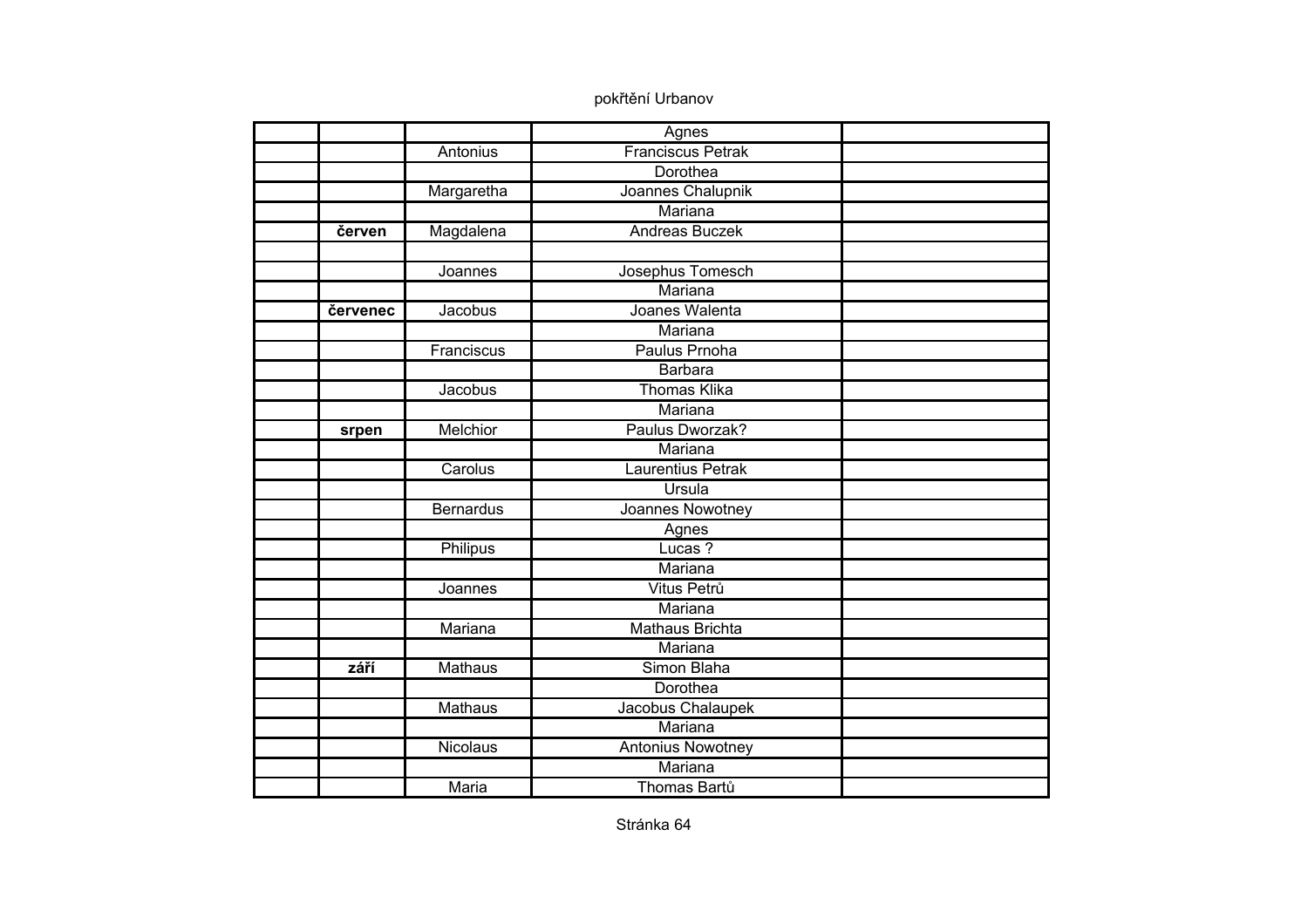|          |                  | Agnes                    |  |
|----------|------------------|--------------------------|--|
|          | Antonius         | <b>Franciscus Petrak</b> |  |
|          |                  | <b>Dorothea</b>          |  |
|          | Margaretha       | Joannes Chalupnik        |  |
|          |                  | Mariana                  |  |
| červen   | Magdalena        | <b>Andreas Buczek</b>    |  |
|          |                  |                          |  |
|          | Joannes          | Josephus Tomesch         |  |
|          |                  | Mariana                  |  |
| červenec | Jacobus          | Joanes Walenta           |  |
|          |                  | Mariana                  |  |
|          | Franciscus       | Paulus Prnoha            |  |
|          |                  | <b>Barbara</b>           |  |
|          | Jacobus          | <b>Thomas Klika</b>      |  |
|          |                  | Mariana                  |  |
| srpen    | <b>Melchior</b>  | Paulus Dworzak?          |  |
|          |                  | <b>Mariana</b>           |  |
|          | Carolus          | Laurentius Petrak        |  |
|          |                  | Ursula                   |  |
|          | <b>Bernardus</b> | Joannes Nowotney         |  |
|          |                  | Agnes                    |  |
|          | Philipus         | Lucas?                   |  |
|          |                  | Mariana                  |  |
|          | Joannes          | Vitus Petrů              |  |
|          |                  | Mariana                  |  |
|          | Mariana          | <b>Mathaus Brichta</b>   |  |
|          |                  | Mariana                  |  |
| září     | Mathaus          | Simon Blaha              |  |
|          |                  | Dorothea                 |  |
|          | <b>Mathaus</b>   | Jacobus Chalaupek        |  |
|          |                  | Mariana                  |  |
|          | <b>Nicolaus</b>  | <b>Antonius Nowotney</b> |  |
|          |                  | Mariana                  |  |
|          | <b>Maria</b>     | Thomas Bartů             |  |